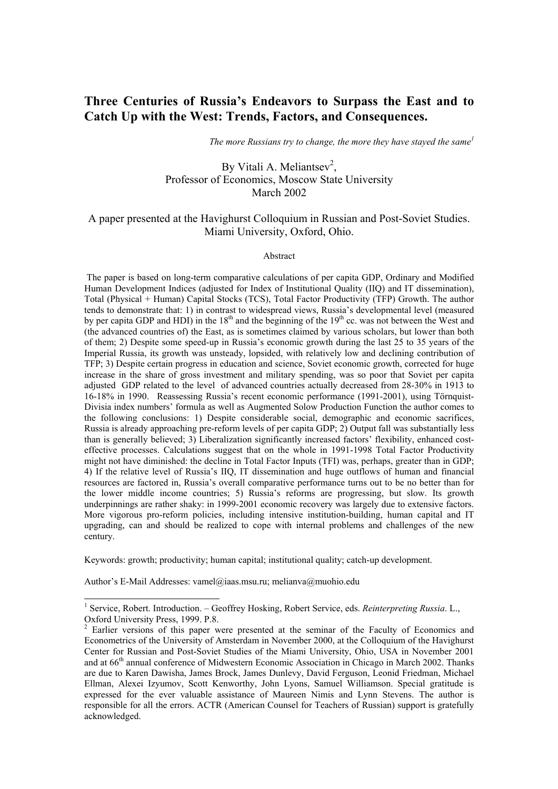# **Three Centuries of Russia's Endeavors to Surpass the East and to Catch Up with the West: Trends, Factors, and Consequences.**

 *The more Russians try to change, the more they have stayed the sam[e1](#page-0-0)*

# By Vitali A. Meliantsev<sup>[2](#page-0-1)</sup>, Professor of Economics, Moscow State University March 2002

# A paper presented at the Havighurst Colloquium in Russian and Post-Soviet Studies. Miami University, Oxford, Ohio.

#### Abstract

 The paper is based on long-term comparative calculations of per capita GDP, Ordinary and Modified Human Development Indices (adjusted for Index of Institutional Quality (IIQ) and IT dissemination), Total (Physical + Human) Capital Stocks (TCS), Total Factor Productivity (TFP) Growth. The author tends to demonstrate that: 1) in contrast to widespread views, Russia's developmental level (measured by per capita GDP and HDI) in the  $18<sup>th</sup>$  and the beginning of the  $19<sup>th</sup>$  cc. was not between the West and (the advanced countries of) the East, as is sometimes claimed by various scholars, but lower than both of them; 2) Despite some speed-up in Russia's economic growth during the last 25 to 35 years of the Imperial Russia, its growth was unsteady, lopsided, with relatively low and declining contribution of TFP; 3) Despite certain progress in education and science, Soviet economic growth, corrected for huge increase in the share of gross investment and military spending, was so poor that Soviet per capita adjusted GDP related to the level of advanced countries actually decreased from 28-30% in 1913 to 16-18% in 1990. Reassessing Russia's recent economic performance (1991-2001), using Törnquist-Divisia index numbers' formula as well as Augmented Solow Production Function the author comes to the following conclusions: 1) Despite considerable social, demographic and economic sacrifices, Russia is already approaching pre-reform levels of per capita GDP; 2) Output fall was substantially less than is generally believed; 3) Liberalization significantly increased factors' flexibility, enhanced costeffective processes. Calculations suggest that on the whole in 1991-1998 Total Factor Productivity might not have diminished: the decline in Total Factor Inputs (TFI) was, perhaps, greater than in GDP; 4) If the relative level of Russia's IIQ, IT dissemination and huge outflows of human and financial resources are factored in, Russia's overall comparative performance turns out to be no better than for the lower middle income countries; 5) Russia's reforms are progressing, but slow. Its growth underpinnings are rather shaky: in 1999-2001 economic recovery was largely due to extensive factors. More vigorous pro-reform policies, including intensive institution-building, human capital and IT upgrading, can and should be realized to cope with internal problems and challenges of the new century.

Keywords: growth; productivity; human capital; institutional quality; catch-up development.

Author's E-Mail Addresses: vamel@iaas.msu.ru; melianva@muohio.edu

<span id="page-0-0"></span><sup>&</sup>lt;sup>1</sup> Service, Robert. Introduction. - Geoffrey Hosking, Robert Service, eds. *Reinterpreting Russia*. L., Oxford University Press, 1999. P.8.

<span id="page-0-1"></span> $2$  Earlier versions of this paper were presented at the seminar of the Faculty of Economics and Econometrics of the University of Amsterdam in November 2000, at the Colloquium of the Havighurst Center for Russian and Post-Soviet Studies of the Miami University, Ohio, USA in November 2001 and at 66<sup>th</sup> annual conference of Midwestern Economic Association in Chicago in March 2002. Thanks are due to Karen Dawisha, James Brock, James Dunlevy, David Ferguson, Leonid Friedman, Michael Ellman, Alexei Izyumov, Scott Kenworthy, John Lyons, Samuel Williamson. Special gratitude is expressed for the ever valuable assistance of Maureen Nimis and Lynn Stevens. The author is responsible for all the errors. ACTR (American Counsel for Teachers of Russian) support is gratefully acknowledged.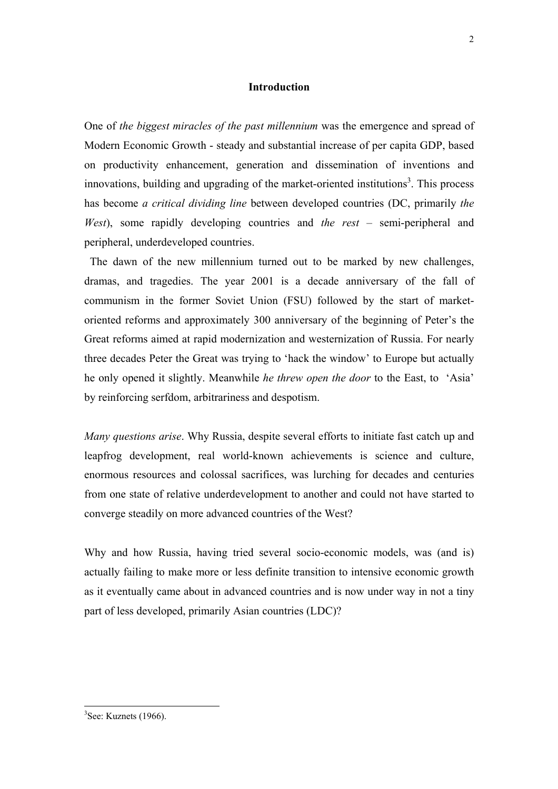### **Introduction**

One of *the biggest miracles of the past millennium* was the emergence and spread of Modern Economic Growth - steady and substantial increase of per capita GDP, based on productivity enhancement, generation and dissemination of inventions and innovations, building and upgrading of the market-oriented institutions<sup>3</sup>. This process has become *a critical dividing line* between developed countries (DC, primarily *the West*), some rapidly developing countries and *the rest* – semi-peripheral and peripheral, underdeveloped countries.

 The dawn of the new millennium turned out to be marked by new challenges, dramas, and tragedies. The year 2001 is a decade anniversary of the fall of communism in the former Soviet Union (FSU) followed by the start of marketoriented reforms and approximately 300 anniversary of the beginning of Peter's the Great reforms aimed at rapid modernization and westernization of Russia. For nearly three decades Peter the Great was trying to 'hack the window' to Europe but actually he only opened it slightly. Meanwhile *he threw open the door* to the East, to 'Asia' by reinforcing serfdom, arbitrariness and despotism.

*Many questions arise*. Why Russia, despite several efforts to initiate fast catch up and leapfrog development, real world-known achievements is science and culture, enormous resources and colossal sacrifices, was lurching for decades and centuries from one state of relative underdevelopment to another and could not have started to converge steadily on more advanced countries of the West?

Why and how Russia, having tried several socio-economic models, was (and is) actually failing to make more or less definite transition to intensive economic growth as it eventually came about in advanced countries and is now under way in not a tiny part of less developed, primarily Asian countries (LDC)?

<span id="page-1-0"></span> ${}^{3}$ See: Kuznets (1966).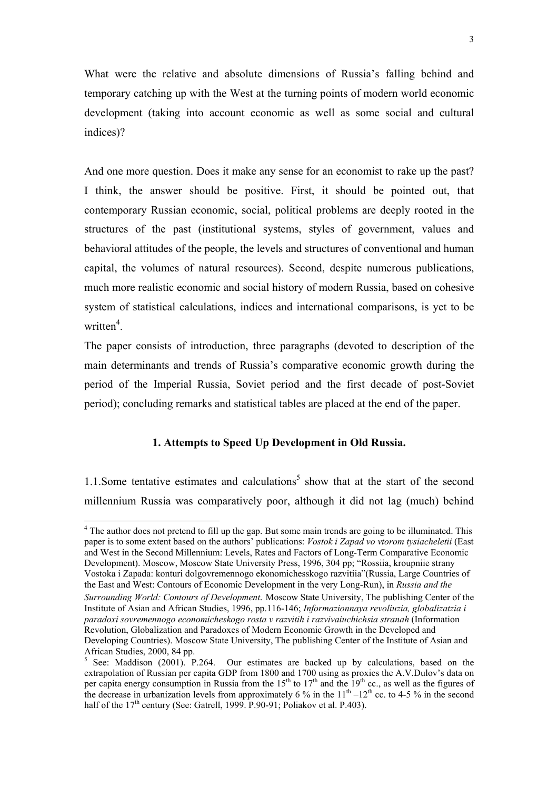What were the relative and absolute dimensions of Russia's falling behind and temporary catching up with the West at the turning points of modern world economic development (taking into account economic as well as some social and cultural indices)?

And one more question. Does it make any sense for an economist to rake up the past? I think, the answer should be positive. First, it should be pointed out, that contemporary Russian economic, social, political problems are deeply rooted in the structures of the past (institutional systems, styles of government, values and behavioral attitudes of the people, the levels and structures of conventional and human capital, the volumes of natural resources). Second, despite numerous publications, much more realistic economic and social history of modern Russia, based on cohesive system of statistical calculations, indices and international comparisons, is yet to be written<sup>[4](#page-2-0)</sup>.

The paper consists of introduction, three paragraphs (devoted to description of the main determinants and trends of Russia's comparative economic growth during the period of the Imperial Russia, Soviet period and the first decade of post-Soviet period); concluding remarks and statistical tables are placed at the end of the paper.

### **1. Attempts to Speed Up Development in Old Russia.**

1.1. Some tentative estimates and calculations<sup>5</sup> show that at the start of the second millennium Russia was comparatively poor, although it did not lag (much) behind

<span id="page-2-0"></span><sup>&</sup>lt;sup>4</sup> The author does not pretend to fill up the gap. But some main trends are going to be illuminated. This paper is to some extent based on the authors' publications: *Vostok i Zapad vo vtorom tysiacheletii* (East and West in the Second Millennium: Levels, Rates and Factors of Long-Term Comparative Economic Development). Moscow, Moscow State University Press, 1996, 304 pp; "Rossiia, kroupniie strany Vostoka i Zapada: konturi dolgovremennogo ekonomichesskogo razvitiia"(Russia, Large Countries of the East and West: Contours of Economic Development in the very Long-Run), in *Russia and the Surrounding World: Contours of Development.* Moscow State University, The publishing Center of the Institute of Asian and African Studies, 1996, pp.116-146; *Informazionnaya revoliuzia, globalizatzia i paradoxi sovremennogo economicheskogo rosta v razvitih i razvivaiuchichsia stranah* (Information Revolution, Globalization and Paradoxes of Modern Economic Growth in the Developed and Developing Countries). Moscow State University, The publishing Center of the Institute of Asian and African Studies, 2000, 84 pp.

<span id="page-2-1"></span><sup>&</sup>lt;sup>5</sup> See: Maddison (2001). P.264. Our estimates are backed up by calculations, based on the extrapolation of Russian per capita GDP from 1800 and 1700 using as proxies the A.V. Dulov's data on per capita energy consumption in Russia from the  $15<sup>th</sup>$  to  $17<sup>th</sup>$  and the  $19<sup>th</sup>$  cc., as well as the figures of the decrease in urbanization levels from approximately 6 % in the  $11<sup>th</sup> - 12<sup>th</sup>$  cc. to 4-5 % in the second half of the  $17<sup>th</sup>$  century (See: Gatrell, 1999, P.90-91; Poliakov et al. P.403).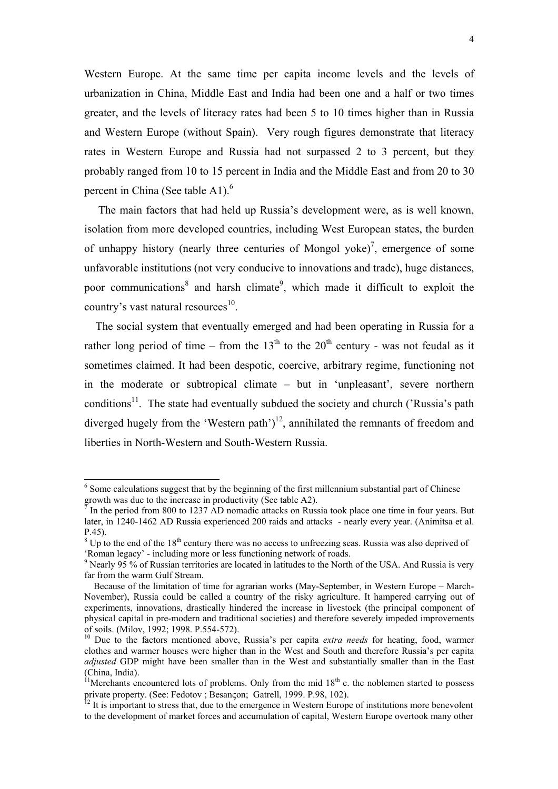<span id="page-3-6"></span>Western Europe. At the same time per capita income levels and the levels of urbanization in China, Middle East and India had been one and a half or two times greater, and the levels of literacy rates had been 5 to 10 times higher than in Russia and Western Europe (without Spain). Very rough figures demonstrate that literacy rates in Western Europe and Russia had not surpassed 2 to 3 percent, but they probably ranged from 10 to 15 percent in India and the Middle East and from 20 to 30 percent in China (See table  $A1$ ).<sup>[6](#page-3-0)</sup>

 The main factors that had held up Russia's development were, as is well known, isolation from more developed countries, including West European states, the burden of unhappy history (nearly three centuries of Mongol yoke)<sup>7</sup>, emergence of some unfavorable institutions (not very conducive to innovations and trade), huge distances, poor communications<sup>[8](#page-3-2)</sup> and harsh climate<sup>[9](#page-3-3)</sup>, which made it difficult to exploit the country's vast natural resources $^{10}$ .

 The social system that eventually emerged and had been operating in Russia for a rather long period of time – from the  $13<sup>th</sup>$  to the  $20<sup>th</sup>$  century - was not feudal as it sometimes claimed. It had been despotic, coercive, arbitrary regime, functioning not in the moderate or subtropical climate – but in 'unpleasant', severe northern conditions<sup>11</sup>. The state had eventually subdued the society and church ('Russia's path diverged hugely from the 'Western path')<sup>12</sup>, annihilated the remnants of freedom and liberties in North-Western and South-Western Russia.

<span id="page-3-0"></span><sup>&</sup>lt;sup>6</sup> Some calculations suggest that by the beginning of the first millennium substantial part of Chinese growth was due to the increase in productivity (See table A2).<br> $\frac{7}{1}$  In the period from 800 to 1237 AD periodic attacks on Puss

<span id="page-3-1"></span>In the period from 800 to 1237 AD nomadic attacks on Russia took place one time in four years. But later, in 1240-1462 AD Russia experienced 200 raids and attacks - nearly every year. (Animitsa et al. P.45).

<span id="page-3-2"></span> $8$  Up to the end of the 18<sup>th</sup> century there was no access to unfreezing seas. Russia was also deprived of 'Roman legacy' - including more or less functioning network of roads.

<span id="page-3-3"></span> $9$  Nearly 95 % of Russian territories are located in latitudes to the North of the USA. And Russia is very far from the warm Gulf Stream.

Because of the limitation of time for agrarian works (May-September, in Western Europe – March-November), Russia could be called a country of the risky agriculture. It hampered carrying out of experiments, innovations, drastically hindered the increase in livestock (the principal component of physical capital in pre-modern and traditional societies) and therefore severely impeded improvements of soils. (Milov, 1992; 1998. P.554-572).

<span id="page-3-4"></span><sup>&</sup>lt;sup>10</sup> Due to the factors mentioned above, Russia's per capita *extra needs* for heating, food, warmer clothes and warmer houses were higher than in the West and South and therefore Russia's per capita *adjusted* GDP might have been smaller than in the West and substantially smaller than in the East (China, India).

<span id="page-3-5"></span><sup>&</sup>lt;sup>11</sup>Merchants encountered lots of problems. Only from the mid  $18<sup>th</sup>$  c. the noblemen started to possess private property. (See: Fedotov ; Besançon; Gatrell, 1999. P.98, 102). <sup>12</sup> It is important to stress that, due to the emergence in Western Europe of institutions more benevolent

to the development of market forces and accumulation of capital, Western Europe overtook many other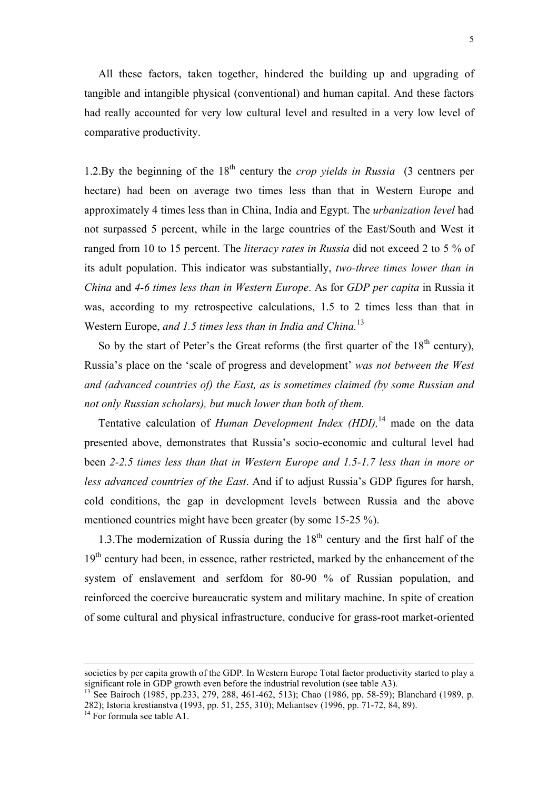All these factors, taken together, hindered the building up and upgrading of tangible and intangible physical (conventional) and human capital. And these factors had really accounted for very low cultural level and resulted in a very low level of comparative productivity.

1.2.By the beginning of the 18th century the *crop yields in Russia* (3 centners per hectare) had been on average two times less than that in Western Europe and approximately 4 times less than in China, India and Egypt. The *urbanization level* had not surpassed 5 percent, while in the large countries of the East/South and West it ranged from 10 to 15 percent. The *literacy rates in Russia* did not exceed 2 to 5 % of its adult population. This indicator was substantially, *two-three times lower than in China* and *4-6 times less than in Western Europe*. As for *GDP per capita* in Russia it was, according to my retrospective calculations, 1.5 to 2 times less than that in Western Europe, *and 1.5 times less than in India and China.*[13](#page-4-0)

So by the start of Peter's the Great reforms (the first quarter of the  $18<sup>th</sup>$  century), Russia's place on the 'scale of progress and development' *was not between the West and (advanced countries of) the East, as is sometimes claimed (by some Russian and not only Russian scholars), but much lower than both of them.*

Tentative calculation of *Human Development Index (HDI),*[14](#page-4-1) made on the data presented above, demonstrates that Russia's socio-economic and cultural level had been *2-2.5 times less than that in Western Europe and 1.5-1.7 less than in more or less advanced countries of the East*. And if to adjust Russia's GDP figures for harsh, cold conditions, the gap in development levels between Russia and the above mentioned countries might have been greater (by some 15-25 %).

1.3. The modernization of Russia during the  $18<sup>th</sup>$  century and the first half of the 19<sup>th</sup> century had been, in essence, rather restricted, marked by the enhancement of the system of enslavement and serfdom for 80-90 % of Russian population, and reinforced the coercive bureaucratic system and military machine. In spite of creation of some cultural and physical infrastructure, conducive for grass-root market-oriented

-

societies by per capita growth of the GDP. In Western Europe Total factor productivity started to play a significant role in GDP growth even before the industrial revolution (see table A3).

<span id="page-4-0"></span>See Bairoch (1985, pp.233, 279, 288, 461-462, 513); Chao (1986, pp. 58-59); Blanchard (1989, p. 282); Istoria krestianstva (1993, pp. 51, 255, 310); Meliantsev (1996, pp. 71-72, 84, 89).

<span id="page-4-1"></span> $14$  For formula see table A1.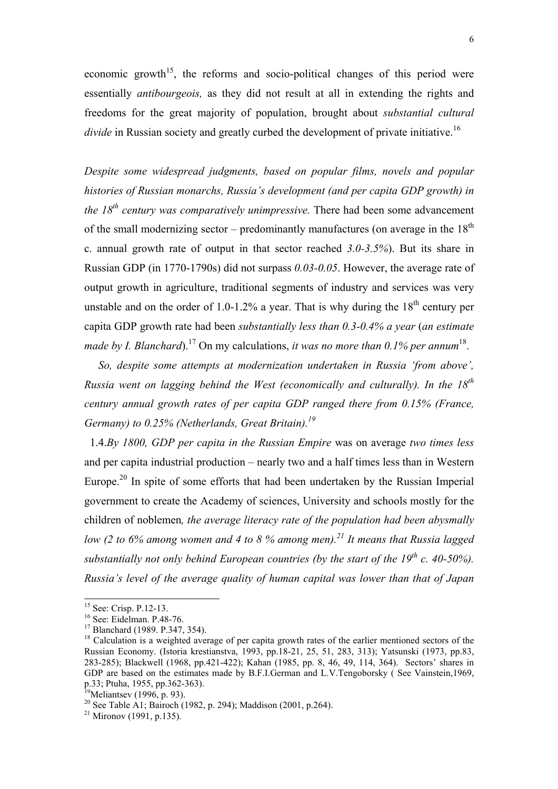economic growth<sup>15</sup>, the reforms and socio-political changes of this period were essentially *antibourgeois,* as they did not result at all in extending the rights and freedoms for the great majority of population, brought about *substantial cultural divide* in Russian society and greatly curbed the development of private initiative.<sup>[16](#page-5-1)</sup>

*Despite some widespread judgments, based on popular films, novels and popular histories of Russian monarchs, Russia's development (and per capita GDP growth) in the 18th century was comparatively unimpressive.* There had been some advancement of the small modernizing sector – predominantly manufactures (on average in the  $18<sup>th</sup>$ c. annual growth rate of output in that sector reached *3.0-3.5%*). But its share in Russian GDP (in 1770-1790s) did not surpass *0.03-0.05*. However, the average rate of output growth in agriculture, traditional segments of industry and services was very unstable and on the order of 1.0-1.2% a year. That is why during the  $18<sup>th</sup>$  century per capita GDP growth rate had been *substantially less than 0.3-0.4% a year* (*an estimate made by I. Blanchard*).[17](#page-5-2) On my calculations, *it was no more than 0.1% per annum*[18.](#page-5-3)

 *So, despite some attempts at modernization undertaken in Russia 'from above', Russia went on lagging behind the West (economically and culturally). In the 18th century annual growth rates of per capita GDP ranged there from 0.15% (France, Germany) to 0.25% (Netherlands, Great Britain).[19](#page-5-4)*

 1.4.*By 1800, GDP per capita in the Russian Empire* was on average *two times less*  and per capita industrial production – nearly two and a half times less than in Western Europe.<sup>20</sup> In spite of some efforts that had been undertaken by the Russian Imperial government to create the Academy of sciences, University and schools mostly for the children of noblemen*, the average literacy rate of the population had been abysmally low (2 to 6% among women and 4 to 8 % among men).[21](#page-5-6) It means that Russia lagged substantially not only behind European countries (by the start of the*  $19^{th}$  *c. 40-50%). Russia's level of the average quality of human capital was lower than that of Japan* 

<span id="page-5-0"></span><sup>&</sup>lt;sup>15</sup> See: Crisp. P.12-13.

<span id="page-5-1"></span><sup>16</sup> See: Eidelman. P.48-76.

<span id="page-5-2"></span><sup>17</sup> Blanchard (1989. P.347, 354).

<span id="page-5-3"></span><sup>&</sup>lt;sup>18</sup> Calculation is a weighted average of per capita growth rates of the earlier mentioned sectors of the Russian Economy. (Istoria krestianstva, 1993, pp.18-21, 25, 51, 283, 313); Yatsunski (1973, pp.83, 283-285); Blackwell (1968, pp.421-422); Kahan (1985, pp. 8, 46, 49, 114, 364). Sectors' shares in GDP are based on the estimates made by B.F.I.German and L.V.Tengoborsky (See Vainstein, 1969, p.33; Ptuha, 1955, pp.362-363).

<span id="page-5-4"></span>Meliantsev (1996, p. 93).

<span id="page-5-5"></span><sup>&</sup>lt;sup>20</sup> See Table A1: Bairoch (1982, p. 294); Maddison (2001, p.264).

<span id="page-5-6"></span> $21$  Mironov (1991, p.135).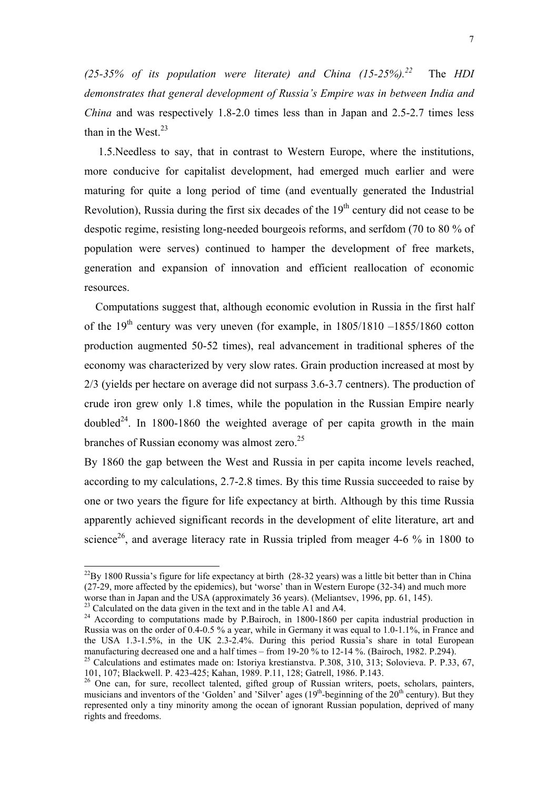*(25-35% of its population were literate) and China (15-25%).[22](#page-6-0)* The *HDI demonstrates that general development of Russia's Empire was in between India and China* and was respectively 1.8-2.0 times less than in Japan and 2.5-2.7 times less than in the West. $^{23}$  $^{23}$  $^{23}$ 

 1.5.Needless to say, that in contrast to Western Europe, where the institutions, more conducive for capitalist development, had emerged much earlier and were maturing for quite a long period of time (and eventually generated the Industrial Revolution), Russia during the first six decades of the  $19<sup>th</sup>$  century did not cease to be despotic regime, resisting long-needed bourgeois reforms, and serfdom (70 to 80 % of population were serves) continued to hamper the development of free markets, generation and expansion of innovation and efficient reallocation of economic resources.

 Computations suggest that, although economic evolution in Russia in the first half of the  $19<sup>th</sup>$  century was very uneven (for example, in  $1805/1810 - 1855/1860$  cotton production augmented 50-52 times), real advancement in traditional spheres of the economy was characterized by very slow rates. Grain production increased at most by 2/3 (yields per hectare on average did not surpass 3.6-3.7 centners). The production of crude iron grew only 1.8 times, while the population in the Russian Empire nearly doubled<sup>24</sup>. In 1800-1860 the weighted average of per capita growth in the main branches of Russian economy was almost zero.<sup>25</sup>

By 1860 the gap between the West and Russia in per capita income levels reached, according to my calculations, 2.7-2.8 times. By this time Russia succeeded to raise by one or two years the figure for life expectancy at birth. Although by this time Russia apparently achieved significant records in the development of elite literature, art and science<sup>26</sup>, and average literacy rate in Russia tripled from meager 4-6  $\%$  in 1800 to

<span id="page-6-0"></span> $^{22}$ By 1800 Russia's figure for life expectancy at birth (28-32 years) was a little bit better than in China (27-29, more affected by the epidemics), but 'worse' than in Western Europe (32-34) and much more worse than in Japan and the USA (approximately 36 years). (Meliantsev, 1996, pp. 61, 145).

<span id="page-6-1"></span> $^{23}$  Calculated on the data given in the text and in the table A1 and A4.

<span id="page-6-2"></span><sup>&</sup>lt;sup>24</sup> According to computations made by P.Bairoch, in 1800-1860 per capita industrial production in Russia was on the order of 0.4-0.5 % a year, while in Germany it was equal to 1.0-1.1%, in France and the USA 1.3-1.5%, in the UK 2.3-2.4%. During this period Russia's share in total European manufacturing decreased one and a half times – from 19-20 % to 12-14 %. (Bairoch, 1982. P.294).

<span id="page-6-3"></span><sup>&</sup>lt;sup>25</sup> Calculations and estimates made on: Istoriya krestianstva. P.308, 310, 313; Solovieva. P. P.33, 67, 101, 107; Blackwell. P. 423-425; Kahan, 1989. P.11, 128; Gatrell, 1986. P.143.

<span id="page-6-4"></span><sup>&</sup>lt;sup>26</sup> One can, for sure, recollect talented, gifted group of Russian writers, poets, scholars, painters, musicians and inventors of the 'Golden' and 'Silver' ages  $(19<sup>th</sup>$ -beginning of the  $20<sup>th</sup>$  century). But they represented only a tiny minority among the ocean of ignorant Russian population, deprived of many rights and freedoms.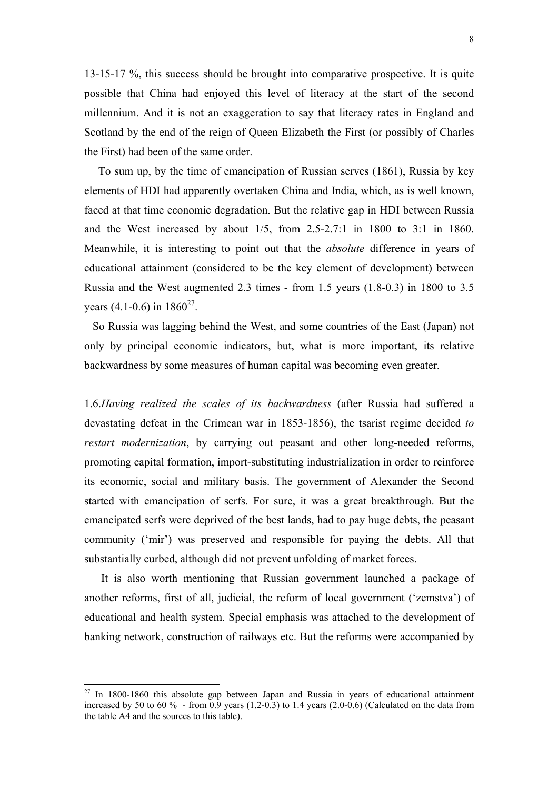13-15-17 %, this success should be brought into comparative prospective. It is quite possible that China had enjoyed this level of literacy at the start of the second millennium. And it is not an exaggeration to say that literacy rates in England and Scotland by the end of the reign of Queen Elizabeth the First (or possibly of Charles the First) had been of the same order.

 To sum up, by the time of emancipation of Russian serves (1861), Russia by key elements of HDI had apparently overtaken China and India, which, as is well known, faced at that time economic degradation. But the relative gap in HDI between Russia and the West increased by about 1/5, from 2.5-2.7:1 in 1800 to 3:1 in 1860. Meanwhile, it is interesting to point out that the *absolute* difference in years of educational attainment (considered to be the key element of development) between Russia and the West augmented 2.3 times - from 1.5 years (1.8-0.3) in 1800 to 3.5 vears  $(4.1-0.6)$  in  $1860^{27}$ .

 So Russia was lagging behind the West, and some countries of the East (Japan) not only by principal economic indicators, but, what is more important, its relative backwardness by some measures of human capital was becoming even greater.

1.6.*Having realized the scales of its backwardness* (after Russia had suffered a devastating defeat in the Crimean war in 1853-1856), the tsarist regime decided *to restart modernization*, by carrying out peasant and other long-needed reforms, promoting capital formation, import-substituting industrialization in order to reinforce its economic, social and military basis. The government of Alexander the Second started with emancipation of serfs. For sure, it was a great breakthrough. But the emancipated serfs were deprived of the best lands, had to pay huge debts, the peasant community ('mir') was preserved and responsible for paying the debts. All that substantially curbed, although did not prevent unfolding of market forces.

 It is also worth mentioning that Russian government launched a package of another reforms, first of all, judicial, the reform of local government ('zemstva') of educational and health system. Special emphasis was attached to the development of banking network, construction of railways etc. But the reforms were accompanied by

<span id="page-7-0"></span> $27$  In 1800-1860 this absolute gap between Japan and Russia in years of educational attainment increased by 50 to 60 % - from  $\overline{0.9}$  years (1.2-0.3) to 1.4 years (2.0-0.6) (Calculated on the data from the table A4 and the sources to this table).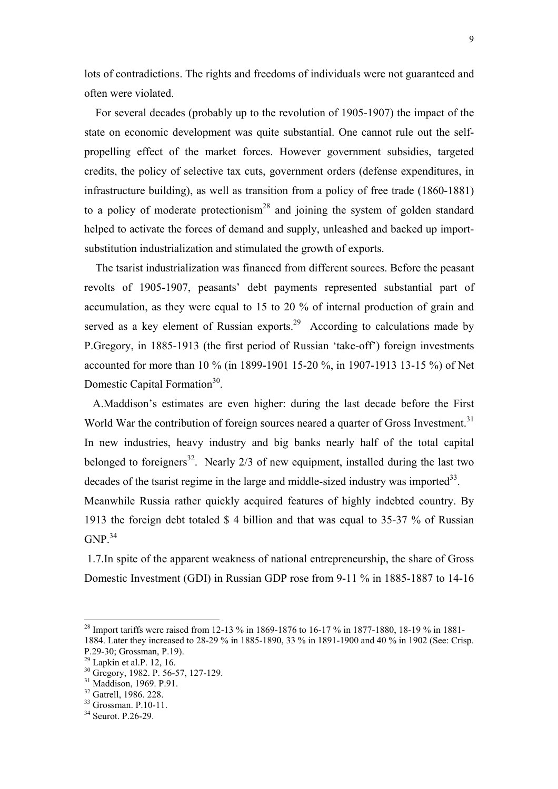lots of contradictions. The rights and freedoms of individuals were not guaranteed and often were violated.

 For several decades (probably up to the revolution of 1905-1907) the impact of the state on economic development was quite substantial. One cannot rule out the selfpropelling effect of the market forces. However government subsidies, targeted credits, the policy of selective tax cuts, government orders (defense expenditures, in infrastructure building), as well as transition from a policy of free trade (1860-1881) to a policy of moderate protectionism<sup>28</sup> and joining the system of golden standard helped to activate the forces of demand and supply, unleashed and backed up importsubstitution industrialization and stimulated the growth of exports.

 The tsarist industrialization was financed from different sources. Before the peasant revolts of 1905-1907, peasants' debt payments represented substantial part of accumulation, as they were equal to 15 to 20 % of internal production of grain and served as a key element of Russian exports.<sup>29</sup> According to calculations made by P.Gregory, in 1885-1913 (the first period of Russian 'take-off') foreign investments accounted for more than 10 % (in 1899-1901 15-20 %, in 1907-1913 13-15 %) of Net Domestic Capital Formation<sup>30</sup>.

 A.Maddison's estimates are even higher: during the last decade before the First World War the contribution of foreign sources neared a quarter of Gross Investment.<sup>[31](#page-8-3)</sup> In new industries, heavy industry and big banks nearly half of the total capital belonged to foreigners<sup>32</sup>. Nearly  $2/3$  of new equipment, installed during the last two decades of the tsarist regime in the large and middle-sized industry was imported $^{33}$ . Meanwhile Russia rather quickly acquired features of highly indebted country. By

1913 the foreign debt totaled \$ 4 billion and that was equal to 35-37 % of Russian  $GNP<sup>34</sup>$  $GNP<sup>34</sup>$  $GNP<sup>34</sup>$ 

 1.7.In spite of the apparent weakness of national entrepreneurship, the share of Gross Domestic Investment (GDI) in Russian GDP rose from 9-11 % in 1885-1887 to 14-16

<span id="page-8-0"></span><sup>&</sup>lt;sup>28</sup> Import tariffs were raised from 12-13 % in 1869-1876 to 16-17 % in 1877-1880, 18-19 % in 1881-

<sup>1884.</sup> Later they increased to 28-29 % in 1885-1890, 33 % in 1891-1900 and 40 % in 1902 (See: Crisp. P.29-30; Grossman, P.19).

<span id="page-8-1"></span> $29$  Lapkin et al.P. 12, 16.

<span id="page-8-2"></span><sup>&</sup>lt;sup>30</sup> Gregory, 1982. P. 56-57, 127-129.

<span id="page-8-3"></span><sup>&</sup>lt;sup>31</sup> Maddison, 1969. P.91.

<span id="page-8-4"></span><sup>32</sup> Gatrell, 1986. 228.

<span id="page-8-5"></span> $33$  Grossman. P.10-11.

<span id="page-8-6"></span><sup>&</sup>lt;sup>34</sup> Seurot. P. 26-29.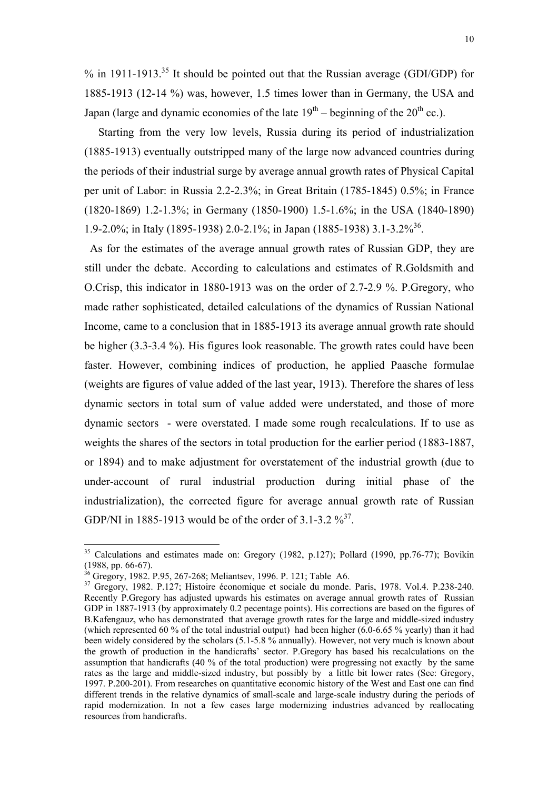% in 1911-1913.<sup>35</sup> It should be pointed out that the Russian average (GDI/GDP) for 1885-1913 (12-14 %) was, however, 1.5 times lower than in Germany, the USA and Japan (large and dynamic economies of the late  $19<sup>th</sup>$  – beginning of the  $20<sup>th</sup>$  cc.).

 Starting from the very low levels, Russia during its period of industrialization (1885-1913) eventually outstripped many of the large now advanced countries during the periods of their industrial surge by average annual growth rates of Physical Capital per unit of Labor: in Russia 2.2-2.3%; in Great Britain (1785-1845) 0.5%; in France (1820-1869) 1.2-1.3%; in Germany (1850-1900) 1.5-1.6%; in the USA (1840-1890) 1.9-2.0%; in Italy (1895-1938) 2.0-2.1%; in Japan (1885-1938) 3.1-3.2%<sup>36</sup>.

 As for the estimates of the average annual growth rates of Russian GDP, they are still under the debate. According to calculations and estimates of R.Goldsmith and O.Crisp, this indicator in 1880-1913 was on the order of 2.7-2.9 %. P.Gregory, who made rather sophisticated, detailed calculations of the dynamics of Russian National Income, came to a conclusion that in 1885-1913 its average annual growth rate should be higher (3.3-3.4 %). His figures look reasonable. The growth rates could have been faster. However, combining indices of production, he applied Paasche formulae (weights are figures of value added of the last year, 1913). Therefore the shares of less dynamic sectors in total sum of value added were understated, and those of more dynamic sectors - were overstated. I made some rough recalculations. If to use as weights the shares of the sectors in total production for the earlier period (1883-1887, or 1894) and to make adjustment for overstatement of the industrial growth (due to under-account of rural industrial production during initial phase of the industrialization), the corrected figure for average annual growth rate of Russian GDP/NI in 1885-1913 would be of the order of 3.1-3.2  $\frac{9}{3}$ <sup>37</sup>.

<span id="page-9-0"></span><sup>&</sup>lt;sup>35</sup> Calculations and estimates made on: Gregory (1982, p.127); Pollard (1990, pp.76-77); Bovikin (1988, pp. 66-67).

<span id="page-9-1"></span><sup>&</sup>lt;sup>36</sup> Gregory, 1982. P.95, 267-268; Meliantsev, 1996. P. 121; Table A6.

<span id="page-9-2"></span><sup>37</sup> Gregory, 1982. P.127; Histoire économique et sociale du monde. Paris, 1978. Vol.4. P.238-240. Recently P.Gregory has adjusted upwards his estimates on average annual growth rates of Russian GDP in 1887-1913 (by approximately 0.2 pecentage points). His corrections are based on the figures of B.Kafengauz, who has demonstrated that average growth rates for the large and middle-sized industry (which represented 60 % of the total industrial output) had been higher (6.0-6.65 % yearly) than it had been widely considered by the scholars (5.1-5.8 % annually). However, not very much is known about the growth of production in the handicrafts' sector. P.Gregory has based his recalculations on the assumption that handicrafts (40 % of the total production) were progressing not exactly by the same rates as the large and middle-sized industry, but possibly by a little bit lower rates (See: Gregory, 1997. P.200-201). From researches on quantitative economic history of the West and East one can find different trends in the relative dynamics of small-scale and large-scale industry during the periods of rapid modernization. In not a few cases large modernizing industries advanced by reallocating resources from handicrafts.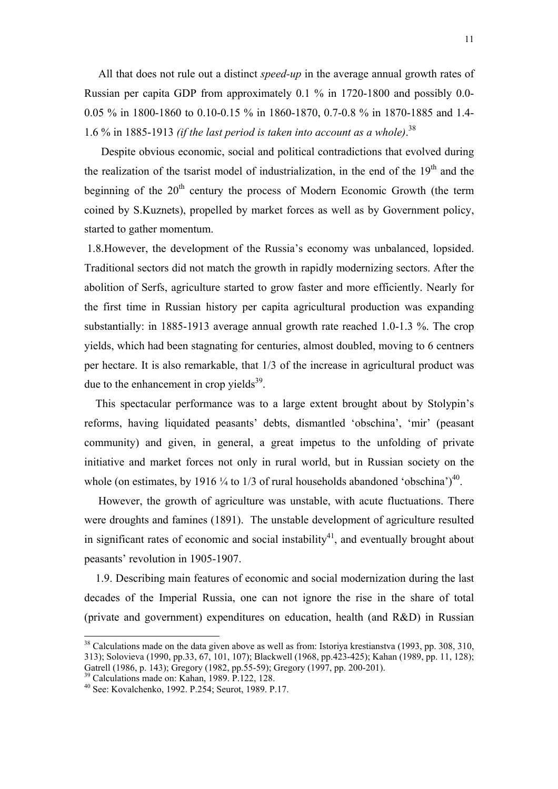All that does not rule out a distinct *speed-up* in the average annual growth rates of Russian per capita GDP from approximately 0.1 % in 1720-1800 and possibly 0.0- 0.05 % in 1800-1860 to 0.10-0.15 % in 1860-1870, 0.7-0.8 % in 1870-1885 and 1.4- 1.6 % in 1885-1913 *(if the last period is taken into account as a whole)*. [38](#page-10-0) 

 Despite obvious economic, social and political contradictions that evolved during the realization of the tsarist model of industrialization, in the end of the  $19<sup>th</sup>$  and the beginning of the  $20<sup>th</sup>$  century the process of Modern Economic Growth (the term coined by S.Kuznets), propelled by market forces as well as by Government policy, started to gather momentum.

 1.8.However, the development of the Russia's economy was unbalanced, lopsided. Traditional sectors did not match the growth in rapidly modernizing sectors. After the abolition of Serfs, agriculture started to grow faster and more efficiently. Nearly for the first time in Russian history per capita agricultural production was expanding substantially: in 1885-1913 average annual growth rate reached 1.0-1.3 %. The crop yields, which had been stagnating for centuries, almost doubled, moving to 6 centners per hectare. It is also remarkable, that 1/3 of the increase in agricultural product was due to the enhancement in crop yields $39$ .

 This spectacular performance was to a large extent brought about by Stolypin's reforms, having liquidated peasants' debts, dismantled 'obschina', 'mir' (peasant community) and given, in general, a great impetus to the unfolding of private initiative and market forces not only in rural world, but in Russian society on the whole (on estimates, by 1916  $\frac{1}{4}$  to 1/3 of rural households abandoned 'obschina')<sup>40</sup>.

 However, the growth of agriculture was unstable, with acute fluctuations. There were droughts and famines (1891). The unstable development of agriculture resulted in significant rates of economic and social instability<sup>41</sup>, and eventually brought about peasants' revolution in 1905-1907.

 1.9. Describing main features of economic and social modernization during the last decades of the Imperial Russia, one can not ignore the rise in the share of total (private and government) expenditures on education, health (and R&D) in Russian

<span id="page-10-0"></span> $38$  Calculations made on the data given above as well as from: Istoriya krestianstva (1993, pp. 308, 310, 313); Solovieva (1990, pp.33, 67, 101, 107); Blackwell (1968, pp.423-425); Kahan (1989, pp. 11, 128); Gatrell (1986, p. 143); Gregory (1982, pp.55-59); Gregory (1997, pp. 200-201).

<span id="page-10-3"></span><span id="page-10-1"></span><sup>39</sup> Calculations made on: Kahan, 1989. P.122, 128.

<span id="page-10-2"></span><sup>40</sup> See: Kovalchenko, 1992. P.254; Seurot, 1989. P.17.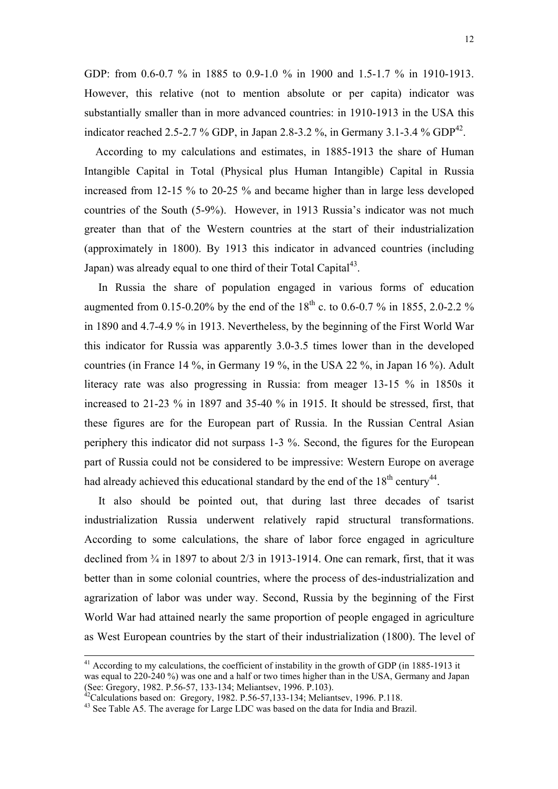GDP: from 0.6-0.7 % in 1885 to 0.9-1.0 % in 1900 and 1.5-1.7 % in 1910-1913. However, this relative (not to mention absolute or per capita) indicator was substantially smaller than in more advanced countries: in 1910-1913 in the USA this indicator reached 2.5-2.7 % GDP, in Japan 2.8-3.2 %, in Germany 3.1-3.4 % GDP<sup>42</sup>.

 According to my calculations and estimates, in 1885-1913 the share of Human Intangible Capital in Total (Physical plus Human Intangible) Capital in Russia increased from 12-15 % to 20-25 % and became higher than in large less developed countries of the South (5-9%). However, in 1913 Russia's indicator was not much greater than that of the Western countries at the start of their industrialization (approximately in 1800). By 1913 this indicator in advanced countries (including Japan) was already equal to one third of their Total Capital $43$ .

 In Russia the share of population engaged in various forms of education augmented from 0.15-0.20% by the end of the  $18^{th}$  c. to 0.6-0.7 % in 1855, 2.0-2.2 % in 1890 and 4.7-4.9 % in 1913. Nevertheless, by the beginning of the First World War this indicator for Russia was apparently 3.0-3.5 times lower than in the developed countries (in France 14 %, in Germany 19 %, in the USA 22 %, in Japan 16 %). Adult literacy rate was also progressing in Russia: from meager 13-15 % in 1850s it increased to 21-23 % in 1897 and 35-40 % in 1915. It should be stressed, first, that these figures are for the European part of Russia. In the Russian Central Asian periphery this indicator did not surpass 1-3 %. Second, the figures for the European part of Russia could not be considered to be impressive: Western Europe on average had already achieved this educational standard by the end of the  $18<sup>th</sup>$  century<sup>44</sup>.

 It also should be pointed out, that during last three decades of tsarist industrialization Russia underwent relatively rapid structural transformations. According to some calculations, the share of labor force engaged in agriculture declined from ¾ in 1897 to about 2/3 in 1913-1914. One can remark, first, that it was better than in some colonial countries, where the process of des-industrialization and agrarization of labor was under way. Second, Russia by the beginning of the First World War had attained nearly the same proportion of people engaged in agriculture as West European countries by the start of their industrialization (1800). The level of

<span id="page-11-2"></span><sup>&</sup>lt;sup>41</sup> According to my calculations, the coefficient of instability in the growth of GDP (in 1885-1913 it was equal to 220-240 %) was one and a half or two times higher than in the USA, Germany and Japan (See: Gregory, 1982. P.56-57, 133-134; Meliantsev, 1996. P.103).

<span id="page-11-1"></span>

<span id="page-11-0"></span> $^{42}$ Calculations based on: Gregory, 1982. P.56-57,133-134; Meliantsev, 1996. P.118.  $^{43}$  See Table A5. The average for Large LDC was based on the data for India and Brazil.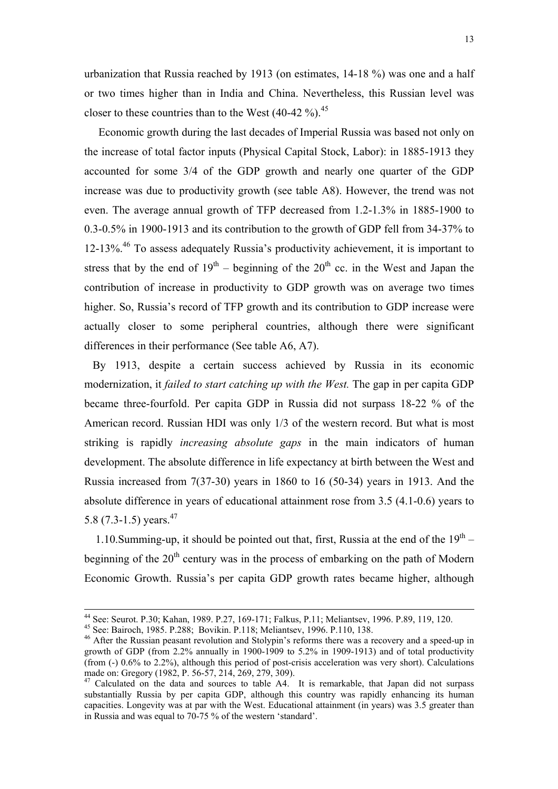urbanization that Russia reached by 1913 (on estimates, 14-18 %) was one and a half or two times higher than in India and China. Nevertheless, this Russian level was closer to these countries than to the West  $(40-42\%)$ .<sup>45</sup>

 Economic growth during the last decades of Imperial Russia was based not only on the increase of total factor inputs (Physical Capital Stock, Labor): in 1885-1913 they accounted for some 3/4 of the GDP growth and nearly one quarter of the GDP increase was due to productivity growth (see table A8). However, the trend was not even. The average annual growth of TFP decreased from 1.2-1.3% in 1885-1900 to 0.3-0.5% in 1900-1913 and its contribution to the growth of GDP fell from 34-37% to 12-13%.[46](#page-12-1) To assess adequately Russia's productivity achievement, it is important to stress that by the end of  $19<sup>th</sup>$  – beginning of the  $20<sup>th</sup>$  cc. in the West and Japan the contribution of increase in productivity to GDP growth was on average two times higher. So, Russia's record of TFP growth and its contribution to GDP increase were actually closer to some peripheral countries, although there were significant differences in their performance (See table A6, A7).

By 1913, despite a certain success achieved by Russia in its economic modernization, it *failed to start catching up with the West.* The gap in per capita GDP became three-fourfold. Per capita GDP in Russia did not surpass 18-22 % of the American record. Russian HDI was only 1/3 of the western record. But what is most striking is rapidly *increasing absolute gaps* in the main indicators of human development. The absolute difference in life expectancy at birth between the West and Russia increased from 7(37-30) years in 1860 to 16 (50-34) years in 1913. And the absolute difference in years of educational attainment rose from 3.5 (4.1-0.6) years to 5.8 (7.3-1.5) years.<sup>47</sup>

1.10. Summing-up, it should be pointed out that, first. Russia at the end of the  $19<sup>th</sup>$  – beginning of the  $20<sup>th</sup>$  century was in the process of embarking on the path of Modern Economic Growth. Russia's per capita GDP growth rates became higher, although

 <sup>44</sup> See: Seurot. P.30; Kahan, 1989. P.27, 169-171; Falkus, P.11; Meliantsev, 1996. P.89, 119, 120. 45 See: Bairoch, 1985. P.288; Bovikin. P.118; Meliantsev, 1996. P.110, 138.

<span id="page-12-0"></span>

<span id="page-12-1"></span><sup>&</sup>lt;sup>46</sup> After the Russian peasant revolution and Stolypin's reforms there was a recovery and a speed-up in growth of GDP (from 2.2% annually in 1900-1909 to 5.2% in 1909-1913) and of total productivity (from (-) 0.6% to 2.2%), although this period of post-crisis acceleration was very short). Calculations made on: Gregory (1982, P. 56-57, 214, 269, 279, 309).

<span id="page-12-2"></span><sup>&</sup>lt;sup>47</sup> Calculated on the data and sources to table A4. It is remarkable, that Japan did not surpass substantially Russia by per capita GDP, although this country was rapidly enhancing its human capacities. Longevity was at par with the West. Educational attainment (in years) was 3.5 greater than in Russia and was equal to 70-75 % of the western 'standard'.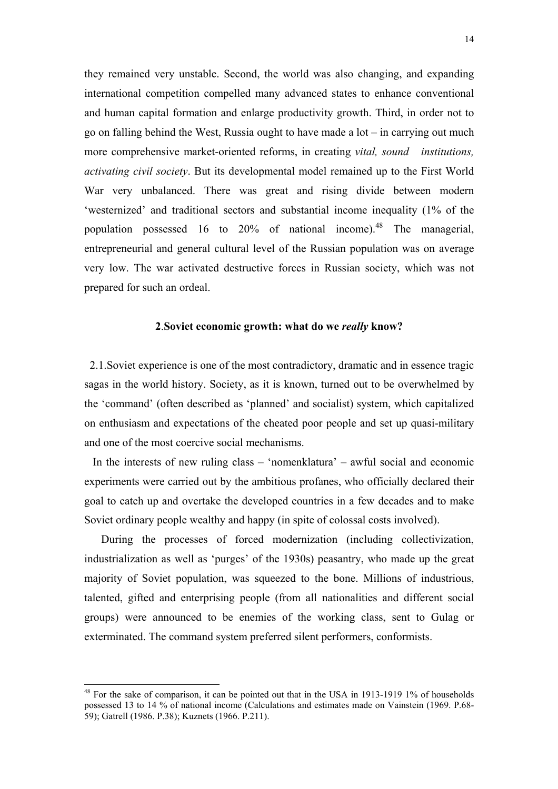they remained very unstable. Second, the world was also changing, and expanding international competition compelled many advanced states to enhance conventional and human capital formation and enlarge productivity growth. Third, in order not to go on falling behind the West, Russia ought to have made a lot – in carrying out much more comprehensive market-oriented reforms, in creating *vital, sound institutions, activating civil society*. But its developmental model remained up to the First World War very unbalanced. There was great and rising divide between modern 'westernized' and traditional sectors and substantial income inequality (1% of the population possessed 16 to 20% of national income).<sup>48</sup> The managerial, entrepreneurial and general cultural level of the Russian population was on average very low. The war activated destructive forces in Russian society, which was not prepared for such an ordeal.

### **2**.**Soviet economic growth: what do we** *really* **know?**

 2.1.Soviet experience is one of the most contradictory, dramatic and in essence tragic sagas in the world history. Society, as it is known, turned out to be overwhelmed by the 'command' (often described as 'planned' and socialist) system, which capitalized on enthusiasm and expectations of the cheated poor people and set up quasi-military and one of the most coercive social mechanisms.

 In the interests of new ruling class – 'nomenklatura' – awful social and economic experiments were carried out by the ambitious profanes, who officially declared their goal to catch up and overtake the developed countries in a few decades and to make Soviet ordinary people wealthy and happy (in spite of colossal costs involved).

 During the processes of forced modernization (including collectivization, industrialization as well as 'purges' of the 1930s) peasantry, who made up the great majority of Soviet population, was squeezed to the bone. Millions of industrious, talented, gifted and enterprising people (from all nationalities and different social groups) were announced to be enemies of the working class, sent to Gulag or exterminated. The command system preferred silent performers, conformists.

<span id="page-13-0"></span><sup>&</sup>lt;sup>48</sup> For the sake of comparison, it can be pointed out that in the USA in 1913-1919 1% of households possessed 13 to 14 % of national income (Calculations and estimates made on Vainstein (1969. P.68- 59); Gatrell (1986. P.38); Kuznets (1966. P.211).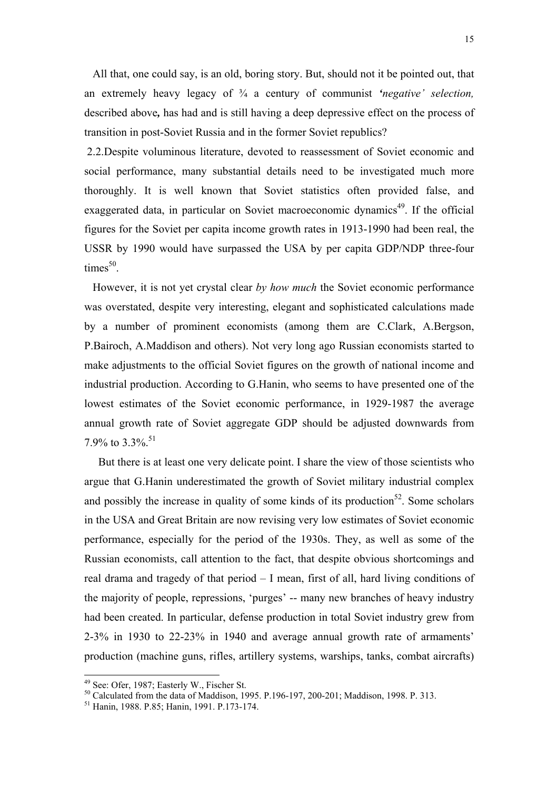All that, one could say, is an old, boring story. But, should not it be pointed out, that an extremely heavy legacy of ¾ a century of communist *'negative' selection,* described above*,* has had and is still having a deep depressive effect on the process of transition in post-Soviet Russia and in the former Soviet republics?

 2.2.Despite voluminous literature, devoted to reassessment of Soviet economic and social performance, many substantial details need to be investigated much more thoroughly. It is well known that Soviet statistics often provided false, and exaggerated data, in particular on Soviet macroeconomic dynamics<sup>49</sup>. If the official figures for the Soviet per capita income growth rates in 1913-1990 had been real, the USSR by 1990 would have surpassed the USA by per capita GDP/NDP three-four  $times<sup>50</sup>$ .

 However, it is not yet crystal clear *by how much* the Soviet economic performance was overstated, despite very interesting, elegant and sophisticated calculations made by a number of prominent economists (among them are C.Clark, A.Bergson, P.Bairoch, A.Maddison and others). Not very long ago Russian economists started to make adjustments to the official Soviet figures on the growth of national income and industrial production. According to G.Hanin, who seems to have presented one of the lowest estimates of the Soviet economic performance, in 1929-1987 the average annual growth rate of Soviet aggregate GDP should be adjusted downwards from 7.9% to 3.3%.<sup>[51](#page-14-2)</sup>

<span id="page-14-3"></span> But there is at least one very delicate point. I share the view of those scientists who argue that G.Hanin underestimated the growth of Soviet military industrial complex and possibly the increase in quality of some kinds of its production<sup>52</sup>. Some scholars in the USA and Great Britain are now revising very low estimates of Soviet economic performance, especially for the period of the 1930s. They, as well as some of the Russian economists, call attention to the fact, that despite obvious shortcomings and real drama and tragedy of that period – I mean, first of all, hard living conditions of the majority of people, repressions, 'purges' -- many new branches of heavy industry had been created. In particular, defense production in total Soviet industry grew from 2-3% in 1930 to 22-23% in 1940 and average annual growth rate of armaments' production (machine guns, rifles, artillery systems, warships, tanks, combat aircrafts)

<span id="page-14-0"></span><sup>&</sup>lt;sup>49</sup> See: Ofer, 1987; Easterly W., Fischer St.

<span id="page-14-1"></span><sup>50</sup> Calculated from the data of Maddison, 1995. P.196-197, 200-201; Maddison, 1998. P. 313.

<span id="page-14-2"></span><sup>51</sup> Hanin, 1988. P.85; Hanin, 1991. P.173-174.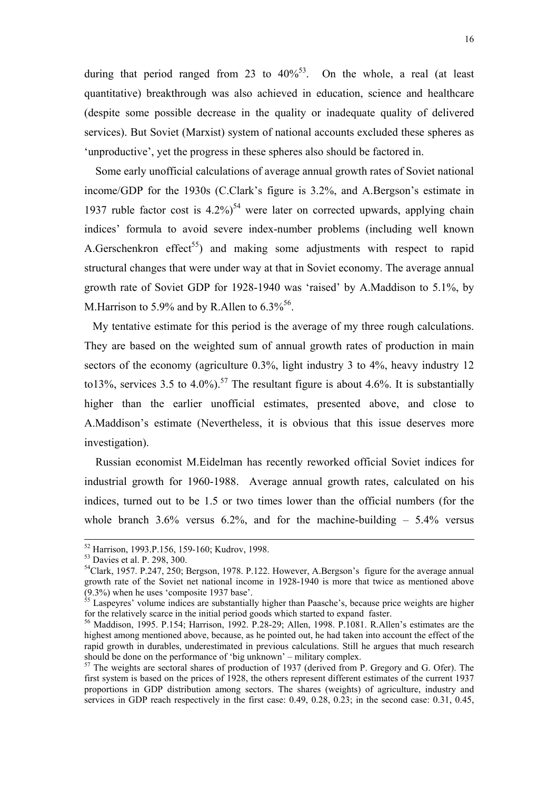<span id="page-15-4"></span>during that period ranged from 23 to  $40\%$ <sup>53</sup>. On the whole, a real (at least quantitative) breakthrough was also achieved in education, science and healthcare (despite some possible decrease in the quality or inadequate quality of delivered services). But Soviet (Marxist) system of national accounts excluded these spheres as 'unproductive', yet the progress in these spheres also should be factored in.

 Some early unofficial calculations of average annual growth rates of Soviet national income/GDP for the 1930s (C.Clark's figure is 3.2%, and A.Bergson's estimate in 1937 ruble factor cost is  $4.2\%$ <sup>54</sup> were later on corrected upwards, applying chain indices' formula to avoid severe index-number problems (including well known A.Gerschenkron effect<sup>55</sup>) and making some adjustments with respect to rapid structural changes that were under way at that in Soviet economy. The average annual growth rate of Soviet GDP for 1928-1940 was 'raised' by A.Maddison to 5.1%, by M. Harrison to 5.9% and by R. Allen to  $6.3\%^{56}$ .

 My tentative estimate for this period is the average of my three rough calculations. They are based on the weighted sum of annual growth rates of production in main sectors of the economy (agriculture 0.3%, light industry 3 to 4%, heavy industry 12 to13%, services 3.5 to 4.0%).<sup>57</sup> The resultant figure is about 4.6%. It is substantially higher than the earlier unofficial estimates, presented above, and close to A.Maddison's estimate (Nevertheless, it is obvious that this issue deserves more investigation).

 Russian economist M.Eidelman has recently reworked official Soviet indices for industrial growth for 1960-1988. Average annual growth rates, calculated on his indices, turned out to be 1.5 or two times lower than the official numbers (for the whole branch  $3.6\%$  versus  $6.2\%$ , and for the machine-building  $-5.4\%$  versus

 <sup>52</sup> Harrison, 1993.P.156, 159-160; Kudrov, 1998.

<span id="page-15-0"></span><sup>53</sup> Davies et al. P. 298, 300.

<span id="page-15-1"></span><sup>&</sup>lt;sup>54</sup>Clark, 1957. P.247, 250; Bergson, 1978. P.122. However, A.Bergson's figure for the average annual growth rate of the Soviet net national income in 1928-1940 is more that twice as mentioned above (9.3%) when he uses 'composite 1937 base'.

<span id="page-15-2"></span> $55$  Laspeyres' volume indices are substantially higher than Paasche's, because price weights are higher for the relatively scarce in the initial period goods which started to expand faster. 56 Maddison, 1995. P.154; Harrison, 1992. P.28-29; Allen, 1998. P.1081. R.Allen's estimates are the

<span id="page-15-3"></span>highest among mentioned above, because, as he pointed out, he had taken into account the effect of the rapid growth in durables, underestimated in previous calculations. Still he argues that much research should be done on the performance of 'big unknown' – military complex.

 $57$  The weights are sectoral shares of production of 1937 (derived from P. Gregory and G. Ofer). The first system is based on the prices of 1928, the others represent different estimates of the current 1937 proportions in GDP distribution among sectors. The shares (weights) of agriculture, industry and services in GDP reach respectively in the first case: 0.49, 0.28, 0.23; in the second case: 0.31, 0.45,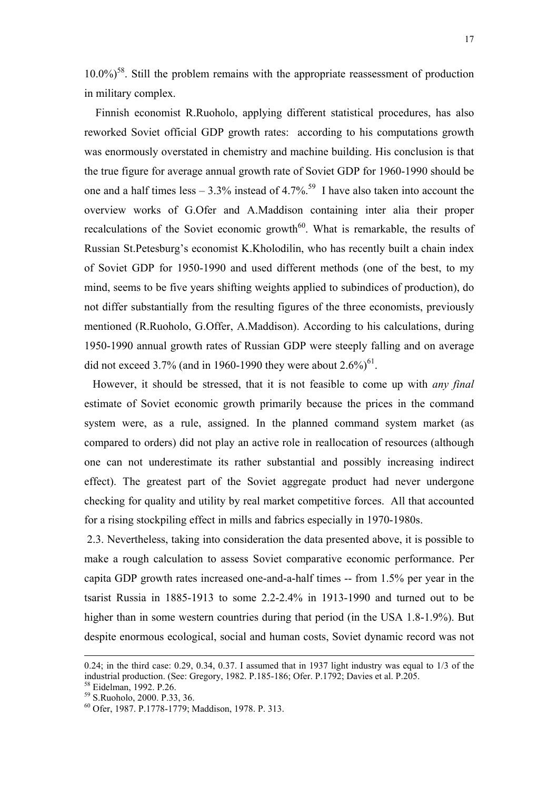$10.0\%$ <sup>58</sup>. Still the problem remains with the appropriate reassessment of production in military complex.

 Finnish economist R.Ruoholo, applying different statistical procedures, has also reworked Soviet official GDP growth rates: according to his computations growth was enormously overstated in chemistry and machine building. His conclusion is that the true figure for average annual growth rate of Soviet GDP for 1960-1990 should be one and a half times less – 3.3% instead of 4.7%.<sup>59</sup> I have also taken into account the overview works of G.Ofer and A.Maddison containing inter alia their proper recalculations of the Soviet economic growth $60$ . What is remarkable, the results of Russian St.Petesburg's economist K.Kholodilin, who has recently built a chain index of Soviet GDP for 1950-1990 and used different methods (one of the best, to my mind, seems to be five years shifting weights applied to subindices of production), do not differ substantially from the resulting figures of the three economists, previously mentioned (R.Ruoholo, G.Offer, A.Maddison). According to his calculations, during 1950-1990 annual growth rates of Russian GDP were steeply falling and on average did not exceed 3.7% (and in 1960-1990 they were about  $2.6\%$ )<sup>61</sup>.

 However, it should be stressed, that it is not feasible to come up with *any final* estimate of Soviet economic growth primarily because the prices in the command system were, as a rule, assigned. In the planned command system market (as compared to orders) did not play an active role in reallocation of resources (although one can not underestimate its rather substantial and possibly increasing indirect effect). The greatest part of the Soviet aggregate product had never undergone checking for quality and utility by real market competitive forces. All that accounted for a rising stockpiling effect in mills and fabrics especially in 1970-1980s.

<span id="page-16-3"></span> 2.3. Nevertheless, taking into consideration the data presented above, it is possible to make a rough calculation to assess Soviet comparative economic performance. Per capita GDP growth rates increased one-and-a-half times -- from 1.5% per year in the tsarist Russia in 1885-1913 to some 2.2-2.4% in 1913-1990 and turned out to be higher than in some western countries during that period (in the USA 1.8-1.9%). But despite enormous ecological, social and human costs, Soviet dynamic record was not

-

<sup>0.24;</sup> in the third case: 0.29, 0.34, 0.37. I assumed that in 1937 light industry was equal to 1/3 of the industrial production. (See: Gregory, 1982. P.185-186; Ofer. P.1792; Davies et al. P.205.

<span id="page-16-0"></span><sup>58</sup> Eidelman, 1992. P.26.

<span id="page-16-1"></span><sup>59</sup> S.Ruoholo, 2000. P.33, 36.

<span id="page-16-2"></span><sup>60</sup> Ofer, 1987. P.1778-1779; Maddison, 1978. P. 313.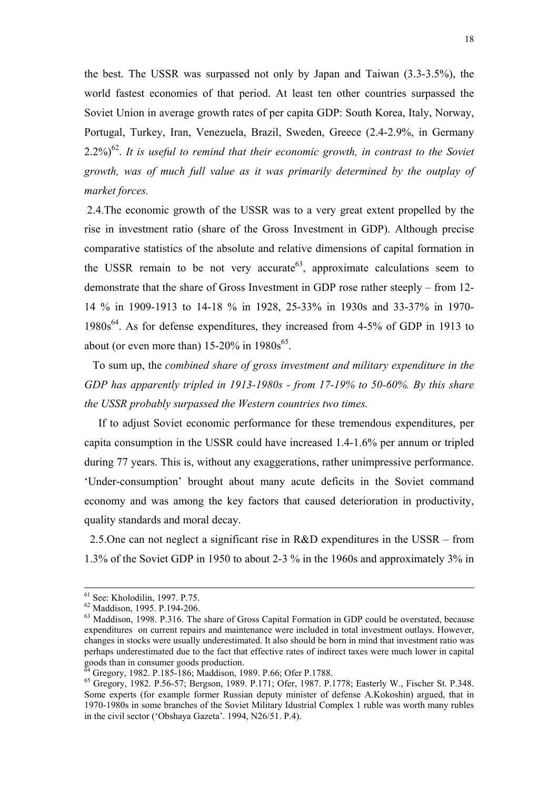the best. The USSR was surpassed not only by Japan and Taiwan (3.3-3.5%), the world fastest economies of that period. At least ten other countries surpassed the Soviet Union in average growth rates of per capita GDP: South Korea, Italy, Norway, Portugal, Turkey, Iran, Venezuela, Brazil, Sweden, Greece (2.4-2.9%, in Germany  $2.2\%$ )<sup>62</sup>. It is useful to remind that their economic growth, in contrast to the Soviet *growth, was of much full value as it was primarily determined by the outplay of market forces.* 

 2.4.The economic growth of the USSR was to a very great extent propelled by the rise in investment ratio (share of the Gross Investment in GDP). Although precise comparative statistics of the absolute and relative dimensions of capital formation in the USSR remain to be not very accurate  $63$ , approximate calculations seem to demonstrate that the share of Gross Investment in GDP rose rather steeply – from 12- 14 % in 1909-1913 to 14-18 % in 1928, 25-33% in 1930s and 33-37% in 1970-  $1980s<sup>64</sup>$ . As for defense expenditures, they increased from 4-5% of GDP in 1913 to about (or even more than)  $15{\text -}20\%$  in  $1980s^{65}$ .

 To sum up, the *combined share of gross investment and military expenditure in the GDP has apparently tripled in 1913-1980s - from 17-19% to 50-60%. By this share the USSR probably surpassed the Western countries two times.* 

 If to adjust Soviet economic performance for these tremendous expenditures, per capita consumption in the USSR could have increased 1.4-1.6% per annum or tripled during 77 years. This is, without any exaggerations, rather unimpressive performance. 'Under-consumption' brought about many acute deficits in the Soviet command economy and was among the key factors that caused deterioration in productivity, quality standards and moral decay.

 2.5.One can not neglect a significant rise in R&D expenditures in the USSR – from 1.3% of the Soviet GDP in 1950 to about 2-3 % in the 1960s and approximately 3% in

 <sup>61</sup> See: Kholodilin, 1997. P.75.

<span id="page-17-0"></span><sup>62</sup> Maddison, 1995. P.194-206.

<span id="page-17-1"></span><sup>&</sup>lt;sup>63</sup> Maddison, 1998. P.316. The share of Gross Capital Formation in GDP could be overstated, because expenditures on current repairs and maintenance were included in total investment outlays. However, changes in stocks were usually underestimated. It also should be born in mind that investment ratio was perhaps underestimated due to the fact that effective rates of indirect taxes were much lower in capital goods than in consumer goods production.

<span id="page-17-2"></span><sup>64</sup> Gregory, 1982. P.185-186; Maddison, 1989. P.66; Ofer P.1788.

<span id="page-17-3"></span><sup>65</sup> Gregory, 1982. P.56-57; Bergson, 1989. P.171; Ofer, 1987. P.1778; Easterly W., Fischer St. P.348. Some experts (for example former Russian deputy minister of defense A.Kokoshin) argued, that in 1970-1980s in some branches of the Soviet Military Idustrial Complex 1 ruble was worth many rubles in the civil sector ('Obshaya Gazeta'. 1994, N26/51. P.4).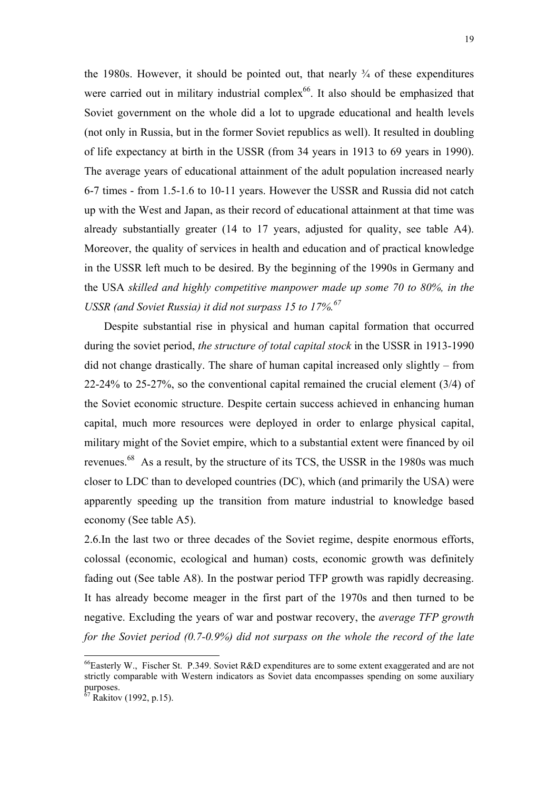the 1980s. However, it should be pointed out, that nearly  $\frac{3}{4}$  of these expenditures were carried out in military industrial complex<sup>66</sup>. It also should be emphasized that Soviet government on the whole did a lot to upgrade educational and health levels (not only in Russia, but in the former Soviet republics as well). It resulted in doubling of life expectancy at birth in the USSR (from 34 years in 1913 to 69 years in 1990). The average years of educational attainment of the adult population increased nearly 6-7 times - from 1.5-1.6 to 10-11 years. However the USSR and Russia did not catch up with the West and Japan, as their record of educational attainment at that time was already substantially greater (14 to 17 years, adjusted for quality, see table A4). Moreover, the quality of services in health and education and of practical knowledge in the USSR left much to be desired. By the beginning of the 1990s in Germany and the USA *skilled and highly competitive manpower made up some 70 to 80%, in the USSR (and Soviet Russia) it did not surpass 15 to 17%.[67](#page-18-1)*

 Despite substantial rise in physical and human capital formation that occurred during the soviet period, *the structure of total capital stock* in the USSR in 1913-1990 did not change drastically. The share of human capital increased only slightly – from 22-24% to 25-27%, so the conventional capital remained the crucial element (3/4) of the Soviet economic structure. Despite certain success achieved in enhancing human capital, much more resources were deployed in order to enlarge physical capital, military might of the Soviet empire, which to a substantial extent were financed by oil revenues.<sup>68</sup> As a result, by the structure of its TCS, the USSR in the 1980s was much closer to LDC than to developed countries (DC), which (and primarily the USA) were apparently speeding up the transition from mature industrial to knowledge based economy (See table A5).

2.6.In the last two or three decades of the Soviet regime, despite enormous efforts, colossal (economic, ecological and human) costs, economic growth was definitely fading out (See table A8). In the postwar period TFP growth was rapidly decreasing. It has already become meager in the first part of the 1970s and then turned to be negative. Excluding the years of war and postwar recovery, the *average TFP growth for the Soviet period (0.7-0.9%) did not surpass on the whole the record of the late* 

<span id="page-18-2"></span><span id="page-18-0"></span><sup>&</sup>lt;sup>66</sup>Easterly W., Fischer St. P.349. Soviet R&D expenditures are to some extent exaggerated and are not strictly comparable with Western indicators as Soviet data encompasses spending on some auxiliary purposes.

<span id="page-18-1"></span> $67$  Rakitov (1992, p.15).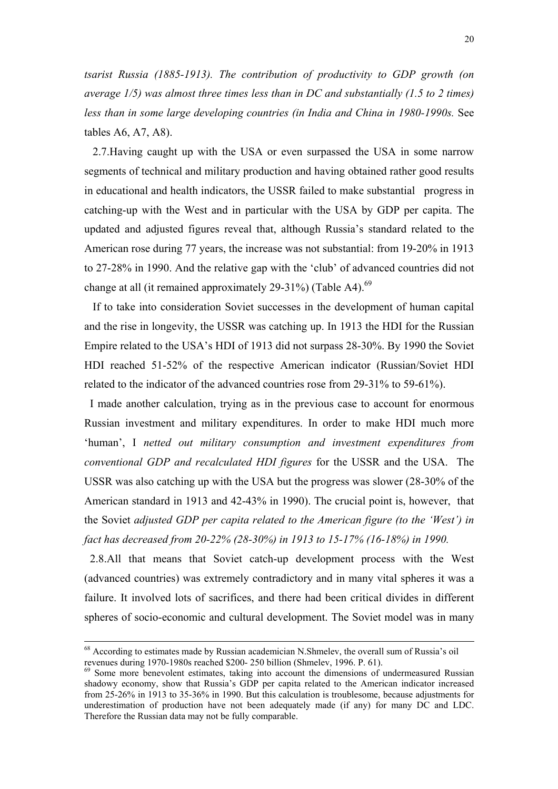*tsarist Russia (1885-1913). The contribution of productivity to GDP growth (on average 1/5) was almost three times less than in DC and substantially (1.5 to 2 times) less than in some large developing countries (in India and China in 1980-1990s.* See tables A6, A7, A8).

 2.7.Having caught up with the USA or even surpassed the USA in some narrow segments of technical and military production and having obtained rather good results in educational and health indicators, the USSR failed to make substantial progress in catching-up with the West and in particular with the USA by GDP per capita. The updated and adjusted figures reveal that, although Russia's standard related to the American rose during 77 years, the increase was not substantial: from 19-20% in 1913 to 27-28% in 1990. And the relative gap with the 'club' of advanced countries did not change at all (it remained approximately 29-31%) (Table A4).<sup>69</sup>

 If to take into consideration Soviet successes in the development of human capital and the rise in longevity, the USSR was catching up. In 1913 the HDI for the Russian Empire related to the USA's HDI of 1913 did not surpass 28-30%. By 1990 the Soviet HDI reached 51-52% of the respective American indicator (Russian/Soviet HDI related to the indicator of the advanced countries rose from 29-31% to 59-61%).

 I made another calculation, trying as in the previous case to account for enormous Russian investment and military expenditures. In order to make HDI much more 'human', I *netted out military consumption and investment expenditures from conventional GDP and recalculated HDI figures* for the USSR and the USA. The USSR was also catching up with the USA but the progress was slower (28-30% of the American standard in 1913 and 42-43% in 1990). The crucial point is, however, that the Soviet *adjusted GDP per capita related to the American figure (to the 'West') in fact has decreased from 20-22% (28-30%) in 1913 to 15-17% (16-18%) in 1990.*

 2.8.All that means that Soviet catch-up development process with the West (advanced countries) was extremely contradictory and in many vital spheres it was a failure. It involved lots of sacrifices, and there had been critical divides in different spheres of socio-economic and cultural development. The Soviet model was in many

 $68$  According to estimates made by Russian academician N.Shmelev, the overall sum of Russia's oil revenues during 1970-1980s reached \$200-250 billion (Shmelev, 1996. P. 61).

<span id="page-19-0"></span><sup>&</sup>lt;sup>69</sup> Some more benevolent estimates, taking into account the dimensions of undermeasured Russian shadowy economy, show that Russia's GDP per capita related to the American indicator increased from 25-26% in 1913 to 35-36% in 1990. But this calculation is troublesome, because adjustments for underestimation of production have not been adequately made (if any) for many DC and LDC. Therefore the Russian data may not be fully comparable.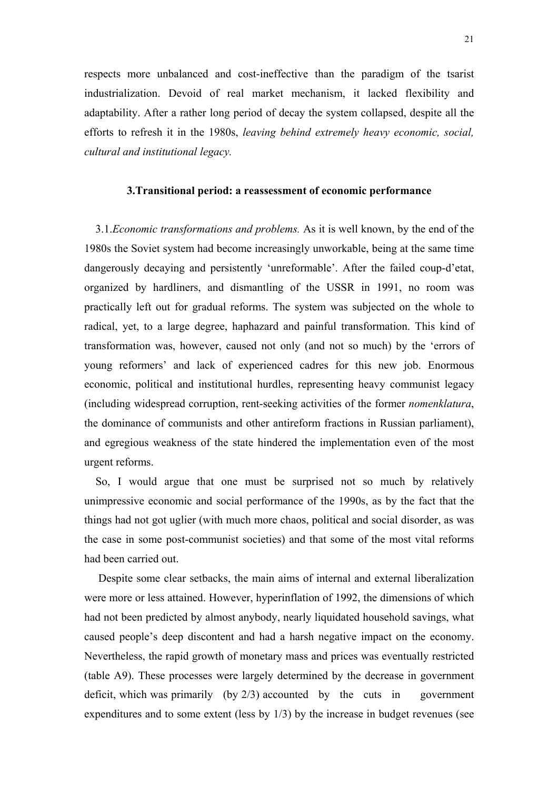respects more unbalanced and cost-ineffective than the paradigm of the tsarist industrialization. Devoid of real market mechanism, it lacked flexibility and adaptability. After a rather long period of decay the system collapsed, despite all the efforts to refresh it in the 1980s, *leaving behind extremely heavy economic, social, cultural and institutional legacy.*

# **3.Transitional period: a reassessment of economic performance**

 3.1.*Economic transformations and problems.* As it is well known, by the end of the 1980s the Soviet system had become increasingly unworkable, being at the same time dangerously decaying and persistently 'unreformable'. After the failed coup-d'etat, organized by hardliners, and dismantling of the USSR in 1991, no room was practically left out for gradual reforms. The system was subjected on the whole to radical, yet, to a large degree, haphazard and painful transformation. This kind of transformation was, however, caused not only (and not so much) by the 'errors of young reformers' and lack of experienced cadres for this new job. Enormous economic, political and institutional hurdles, representing heavy communist legacy (including widespread corruption, rent-seeking activities of the former *nomenklatura*, the dominance of communists and other antireform fractions in Russian parliament), and egregious weakness of the state hindered the implementation even of the most urgent reforms.

 So, I would argue that one must be surprised not so much by relatively unimpressive economic and social performance of the 1990s, as by the fact that the things had not got uglier (with much more chaos, political and social disorder, as was the case in some post-communist societies) and that some of the most vital reforms had been carried out.

 Despite some clear setbacks, the main aims of internal and external liberalization were more or less attained. However, hyperinflation of 1992, the dimensions of which had not been predicted by almost anybody, nearly liquidated household savings, what caused people's deep discontent and had a harsh negative impact on the economy. Nevertheless, the rapid growth of monetary mass and prices was eventually restricted (table A9). These processes were largely determined by the decrease in government deficit, which was primarily (by 2/3) accounted by the cuts in government expenditures and to some extent (less by 1/3) by the increase in budget revenues (see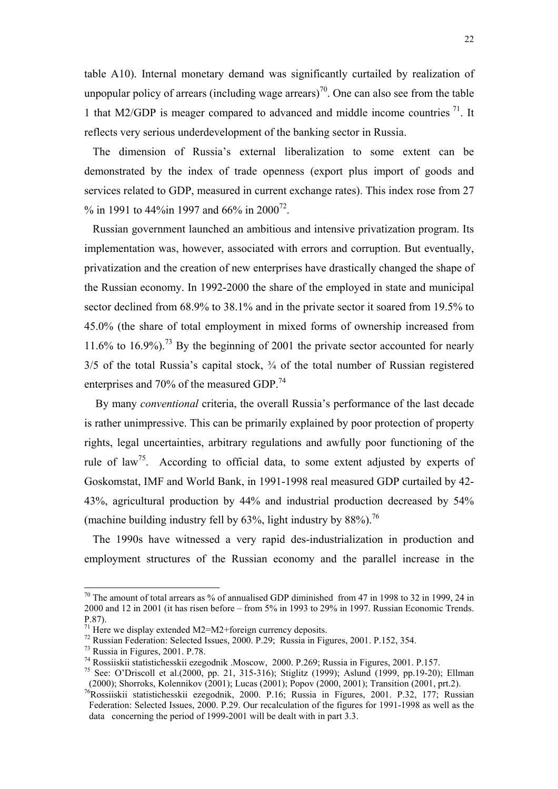table A10). Internal monetary demand was significantly curtailed by realization of unpopular policy of arrears (including wage arrears)<sup>70</sup>. One can also see from the table 1 that M2/GDP is meager compared to advanced and middle income countries  $^{71}$ . It reflects very serious underdevelopment of the banking sector in Russia.

 The dimension of Russia's external liberalization to some extent can be demonstrated by the index of trade openness (export plus import of goods and services related to GDP, measured in current exchange rates). This index rose from 27 % in 1991 to 44%in 1997 and 66% in 2000<sup>72</sup>.

 Russian government launched an ambitious and intensive privatization program. Its implementation was, however, associated with errors and corruption. But eventually, privatization and the creation of new enterprises have drastically changed the shape of the Russian economy. In 1992-2000 the share of the employed in state and municipal sector declined from 68.9% to 38.1% and in the private sector it soared from 19.5% to 45.0% (the share of total employment in mixed forms of ownership increased from 11.6% to 16.9%).<sup>73</sup> By the beginning of 2001 the private sector accounted for nearly  $3/5$  of the total Russia's capital stock,  $\frac{3}{4}$  of the total number of Russian registered enterprises and 70% of the measured GDP.<sup>[74](#page-21-4)</sup>

 By many *conventional* criteria, the overall Russia's performance of the last decade is rather unimpressive. This can be primarily explained by poor protection of property rights, legal uncertainties, arbitrary regulations and awfully poor functioning of the rule of law<sup>75</sup>. According to official data, to some extent adjusted by experts of Goskomstat, IMF and World Bank, in 1991-1998 real measured GDP curtailed by 42- 43%, agricultural production by 44% and industrial production decreased by 54% (machine building industry fell by  $63\%$ , light industry by  $88\%$ ).<sup>76</sup>

 The 1990s have witnessed a very rapid des-industrialization in production and employment structures of the Russian economy and the parallel increase in the

<span id="page-21-0"></span> $70$  The amount of total arrears as % of annualised GDP diminished from 47 in 1998 to 32 in 1999, 24 in 2000 and 12 in 2001 (it has risen before – from 5% in 1993 to 29% in 1997. Russian Economic Trends. P.87).<br><sup>71</sup> Here we display extended M2=M2+foreign currency deposits.

<span id="page-21-1"></span>

<span id="page-21-2"></span> $72$  Russian Federation: Selected Issues, 2000. P.29; Russia in Figures, 2001. P.152, 354.

<span id="page-21-3"></span><sup>73</sup> Russia in Figures, 2001. P.78.

<span id="page-21-4"></span><sup>74</sup> Rossiiskii statistichesskii ezegodnik .Moscow, 2000. P.269; Russia in Figures, 2001. P.157.

<span id="page-21-5"></span><sup>75</sup> See: O'Driscoll et al.(2000, pp. 21, 315-316); Stiglitz (1999); Aslund (1999, pp.19-20); Ellman (2000); Shorroks, Kolennikov (2001); Lucas (2001); Popov (2000, 2001); Transition (2001, prt.2).

<span id="page-21-6"></span><sup>&</sup>lt;sup>76</sup>Rossiiskii statistichesskii ezegodnik, 2000. P.16; Russia in Figures, 2001. P.32, 177; Russian Federation: Selected Issues, 2000. P.29. Our recalculation of the figures for 1991-1998 as well as the data concerning the period of 1999-2001 will be dealt with in part 3.3.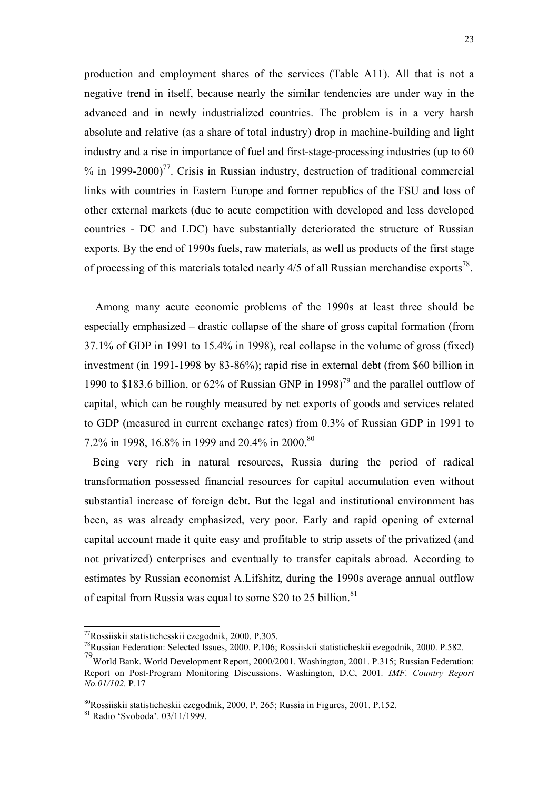production and employment shares of the services (Table A11). All that is not a negative trend in itself, because nearly the similar tendencies are under way in the advanced and in newly industrialized countries. The problem is in a very harsh absolute and relative (as a share of total industry) drop in machine-building and light industry and a rise in importance of fuel and first-stage-processing industries (up to 60  $%$  in 1999-2000)<sup>77</sup>. Crisis in Russian industry, destruction of traditional commercial links with countries in Eastern Europe and former republics of the FSU and loss of other external markets (due to acute competition with developed and less developed countries - DC and LDC) have substantially deteriorated the structure of Russian exports. By the end of 1990s fuels, raw materials, as well as products of the first stage of processing of this materials totaled nearly  $4/5$  of all Russian merchandise exports<sup>78</sup>.

 Among many acute economic problems of the 1990s at least three should be especially emphasized – drastic collapse of the share of gross capital formation (from 37.1% of GDP in 1991 to 15.4% in 1998), real collapse in the volume of gross (fixed) investment (in 1991-1998 by 83-86%); rapid rise in external debt (from \$60 billion in 1990 to \$183.6 billion, or 62% of Russian GNP in 1998)<sup>79</sup> and the parallel outflow of capital, which can be roughly measured by net exports of goods and services related to GDP (measured in current exchange rates) from 0.3% of Russian GDP in 1991 to 7.2% in 1998, 16.8% in 1999 and 20.4% in 2000.<sup>[80](#page-22-3)</sup>

 Being very rich in natural resources, Russia during the period of radical transformation possessed financial resources for capital accumulation even without substantial increase of foreign debt. But the legal and institutional environment has been, as was already emphasized, very poor. Early and rapid opening of external capital account made it quite easy and profitable to strip assets of the privatized (and not privatized) enterprises and eventually to transfer capitals abroad. According to estimates by Russian economist A.Lifshitz, during the 1990s average annual outflow of capital from Russia was equal to some \$20 to 25 billion.<sup>81</sup>

<span id="page-22-0"></span><sup>77</sup>Rossiiskii statistichesskii ezegodnik, 2000. P.305.

<span id="page-22-1"></span><sup>78</sup>Russian Federation: Selected Issues, 2000. P.106; Rossiiskii statisticheskii ezegodnik, 2000. P.582.

<span id="page-22-2"></span><sup>79</sup>World Bank. World Development Report, 2000/2001. Washington, 2001. P.315; Russian Federation: Report on Post-Program Monitoring Discussions. Washington, D.C, 2001*. IMF. Country Report No.01/102.* P.17

<span id="page-22-3"></span><sup>80</sup>Rossiiskii statisticheskii ezegodnik, 2000. P. 265; Russia in Figures, 2001. P.152.

<span id="page-22-4"></span><sup>81</sup> Radio 'Svoboda'. 03/11/1999.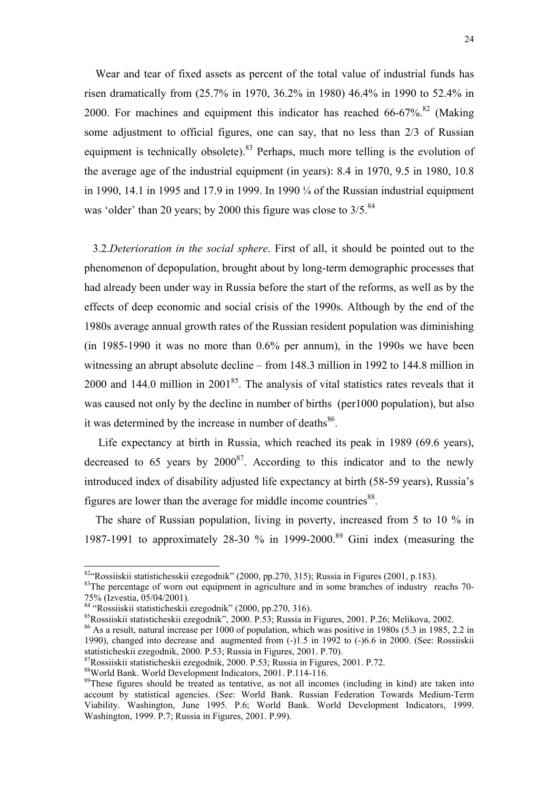Wear and tear of fixed assets as percent of the total value of industrial funds has risen dramatically from (25.7% in 1970, 36.2% in 1980) 46.4% in 1990 to 52.4% in 2000. For machines and equipment this indicator has reached  $66-67\%$ <sup>82</sup> (Making some adjustment to official figures, one can say, that no less than 2/3 of Russian equipment is technically obsolete).<sup>83</sup> Perhaps, much more telling is the evolution of the average age of the industrial equipment (in years): 8.4 in 1970, 9.5 in 1980, 10.8 in 1990, 14.1 in 1995 and 17.9 in 1999. In 1990 ¼ of the Russian industrial equipment was 'older' than 20 years; by 2000 this figure was close to  $3/5$ .<sup>[84](#page-23-2)</sup>

 3.2.*Deterioration in the social sphere*. First of all, it should be pointed out to the phenomenon of depopulation, brought about by long-term demographic processes that had already been under way in Russia before the start of the reforms, as well as by the effects of deep economic and social crisis of the 1990s. Although by the end of the 1980s average annual growth rates of the Russian resident population was diminishing (in 1985-1990 it was no more than 0.6% per annum), in the 1990s we have been witnessing an abrupt absolute decline – from 148.3 million in 1992 to 144.8 million in 2000 and 144.0 million in  $2001^{85}$ . The analysis of vital statistics rates reveals that it was caused not only by the decline in number of births (per1000 population), but also it was determined by the increase in number of deaths $86$ .

 Life expectancy at birth in Russia, which reached its peak in 1989 (69.6 years), decreased to 65 years by  $2000^{87}$ . According to this indicator and to the newly introduced index of disability adjusted life expectancy at birth (58-59 years), Russia's figures are lower than the average for middle income countries<sup>88</sup>.

 The share of Russian population, living in poverty, increased from 5 to 10 % in 1987-1991 to approximately 28-30 % in 1999-2000.<sup>89</sup> Gini index (measuring the

<span id="page-23-0"></span><sup>82&</sup>quot;Rossiiskii statistichesskii ezegodnik" (2000, pp.270, 315); Russia in Figures (2001, p.183).

<span id="page-23-1"></span><sup>&</sup>lt;sup>83</sup>The percentage of worn out equipment in agriculture and in some branches of industry reachs 70-75% (Izvestia, 05/04/2001).

<span id="page-23-2"></span><sup>84 &</sup>quot;Rossiiskii statisticheskii ezegodnik" (2000, pp.270, 316).

<span id="page-23-3"></span><sup>85</sup>Rossiiskii statisticheskii ezegodnik", 2000. P.53; Russia in Figures, 2001. P.26; Melikova, 2002.

<span id="page-23-4"></span><sup>&</sup>lt;sup>86</sup> As a result, natural increase per 1000 of population, which was positive in 1980s (5.3 in 1985, 2.2 in 1990), changed into decrease and augmented from (-)1.5 in 1992 to (-)6.6 in 2000. (See: Rossiiskii statisticheskii ezegodnik, 2000. P.53; Russia in Figures, 2001. P.70).

<span id="page-23-5"></span><sup>87</sup>Rossiiskii statisticheskii ezegodnik, 2000. P.53; Russia in Figures, 2001. P.72.

<span id="page-23-6"></span><sup>88</sup>World Bank. World Development Indicators, 2001. P.114-116.

<span id="page-23-7"></span><sup>&</sup>lt;sup>89</sup>These figures should be treated as tentative, as not all incomes (including in kind) are taken into account by statistical agencies. (See: World Bank. Russian Federation Towards Medium-Term Viability. Washington, June 1995. P.6; World Bank. World Development Indicators, 1999. Washington, 1999. P.7; Russia in Figures, 2001. P.99).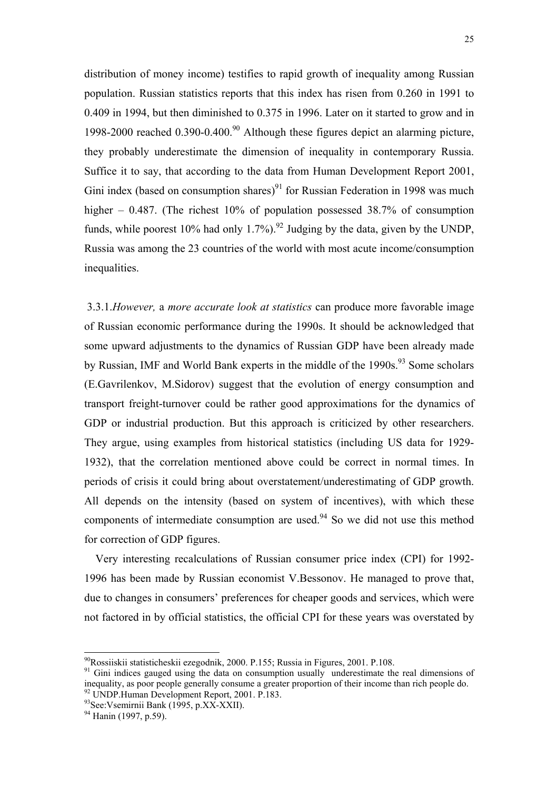distribution of money income) testifies to rapid growth of inequality among Russian population. Russian statistics reports that this index has risen from 0.260 in 1991 to 0.409 in 1994, but then diminished to 0.375 in 1996. Later on it started to grow and in 1998-2000 reached  $0.390$ -0.400.<sup>90</sup> Although these figures depict an alarming picture, they probably underestimate the dimension of inequality in contemporary Russia. Suffice it to say, that according to the data from Human Development Report 2001, Gini index (based on consumption shares)<sup>91</sup> for Russian Federation in 1998 was much higher – 0.487. (The richest 10% of population possessed 38.7% of consumption funds, while poorest 10% had only 1.7%).<sup>92</sup> Judging by the data, given by the UNDP, Russia was among the 23 countries of the world with most acute income/consumption inequalities.

 3.3.1.*However,* a *more accurate look at statistics* can produce more favorable image of Russian economic performance during the 1990s. It should be acknowledged that some upward adjustments to the dynamics of Russian GDP have been already made by Russian, IMF and World Bank experts in the middle of the  $1990s<sup>93</sup>$  Some scholars (E.Gavrilenkov, M.Sidorov) suggest that the evolution of energy consumption and transport freight-turnover could be rather good approximations for the dynamics of GDP or industrial production. But this approach is criticized by other researchers. They argue, using examples from historical statistics (including US data for 1929- 1932), that the correlation mentioned above could be correct in normal times. In periods of crisis it could bring about overstatement/underestimating of GDP growth. All depends on the intensity (based on system of incentives), with which these components of intermediate consumption are used. $94$  So we did not use this method for correction of GDP figures.

 Very interesting recalculations of Russian consumer price index (CPI) for 1992- 1996 has been made by Russian economist V.Bessonov. He managed to prove that, due to changes in consumers' preferences for cheaper goods and services, which were not factored in by official statistics, the official CPI for these years was overstated by

<span id="page-24-0"></span><sup>90</sup>Rossiiskii statisticheskii ezegodnik, 2000. P.155; Russia in Figures, 2001. P.108.

<span id="page-24-1"></span> $91$  Gini indices gauged using the data on consumption usually underestimate the real dimensions of inequality, as poor people generally consume a greater proportion of their income than rich people do. 92 UNDP.Human Development Report, 2001. P.183.

<span id="page-24-3"></span><span id="page-24-2"></span><sup>93</sup>See:Vsemirnii Bank (1995, p.XX-XXII).

<span id="page-24-4"></span><sup>&</sup>lt;sup>94</sup> Hanin (1997, p.59).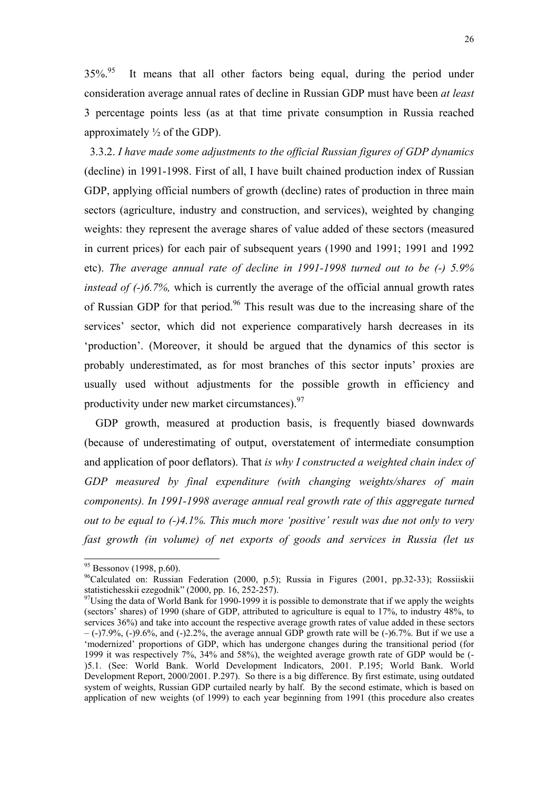<span id="page-25-2"></span> $35\%$ .<sup>95</sup> It means that all other factors being equal, during the period under consideration average annual rates of decline in Russian GDP must have been *at least* 3 percentage points less (as at that time private consumption in Russia reached approximately  $\frac{1}{2}$  of the GDP).

 3.3.2. *I have made some adjustments to the official Russian figures of GDP dynamics* (decline) in 1991-1998. First of all, I have built chained production index of Russian GDP, applying official numbers of growth (decline) rates of production in three main sectors (agriculture, industry and construction, and services), weighted by changing weights: they represent the average shares of value added of these sectors (measured in current prices) for each pair of subsequent years (1990 and 1991; 1991 and 1992 etc). *The average annual rate of decline in 1991-1998 turned out to be (-) 5.9% instead of (-)6.7%*, which is currently the average of the official annual growth rates of Russian GDP for that period.<sup>96</sup> This result was due to the increasing share of the services' sector, which did not experience comparatively harsh decreases in its 'production'. (Moreover, it should be argued that the dynamics of this sector is probably underestimated, as for most branches of this sector inputs' proxies are usually used without adjustments for the possible growth in efficiency and productivity under new market circumstances).<sup>97</sup>

 GDP growth, measured at production basis, is frequently biased downwards (because of underestimating of output, overstatement of intermediate consumption and application of poor deflators). That *is why I constructed a weighted chain index of GDP measured by final expenditure (with changing weights/shares of main components). In 1991-1998 average annual real growth rate of this aggregate turned out to be equal to (-)4.1%. This much more 'positive' result was due not only to very fast growth (in volume) of net exports of goods and services in Russia (let us* 

<span id="page-25-0"></span> $95$  Bessonov (1998, p.60).

<span id="page-25-1"></span><sup>&</sup>lt;sup>96</sup>Calculated on: Russian Federation (2000, p.5); Russia in Figures (2001, pp.32-33); Rossiiskii statistichesskii ezegodnik" (2000, pp. 16, 252-257).

 $97$ Using the data of World Bank for 1990-1999 it is possible to demonstrate that if we apply the weights (sectors' shares) of 1990 (share of GDP, attributed to agriculture is equal to 17%, to industry 48%, to services 36%) and take into account the respective average growth rates of value added in these sectors – (-)7.9%, (-)9.6%, and (-)2.2%, the average annual GDP growth rate will be (-)6.7%. But if we use a 'modernized' proportions of GDP, which has undergone changes during the transitional period (for 1999 it was respectively 7%, 34% and 58%), the weighted average growth rate of GDP would be (- )5.1. (See: World Bank. World Development Indicators, 2001. P.195; World Bank. World Development Report, 2000/2001. P.297). So there is a big difference. By first estimate, using outdated system of weights, Russian GDP curtailed nearly by half. By the second estimate, which is based on application of new weights (of 1999) to each year beginning from 1991 (this procedure also creates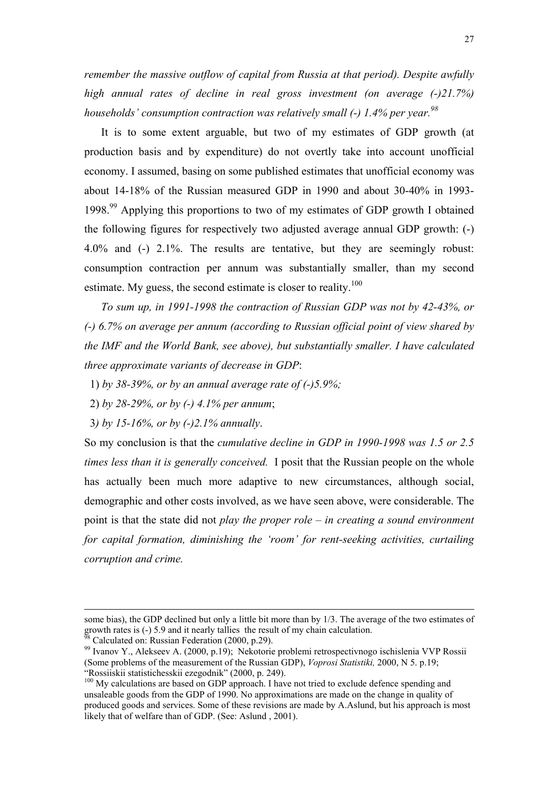*remember the massive outflow of capital from Russia at that period). Despite awfully high annual rates of decline in real gross investment (on average (-)21.7%) households' consumption contraction was relatively small (-) 1.4% per year.*<sup>98</sup>

 It is to some extent arguable, but two of my estimates of GDP growth (at production basis and by expenditure) do not overtly take into account unofficial economy. I assumed, basing on some published estimates that unofficial economy was about 14-18% of the Russian measured GDP in 1990 and about 30-40% in 1993- 1998.[99](#page-26-1) Applying this proportions to two of my estimates of GDP growth I obtained the following figures for respectively two adjusted average annual GDP growth: (-) 4.0% and (-) 2.1%. The results are tentative, but they are seemingly robust: consumption contraction per annum was substantially smaller, than my second estimate. My guess, the second estimate is closer to reality.<sup>[100](#page-26-2)</sup>

 *To sum up, in 1991-1998 the contraction of Russian GDP was not by 42-43%, or (-) 6.7% on average per annum (according to Russian official point of view shared by the IMF and the World Bank, see above), but substantially smaller. I have calculated three approximate variants of decrease in GDP*:

- 1) *by 38-39%, or by an annual average rate of (-)5.9%;*
- 2) *by 28-29%, or by (-) 4.1% per annum*;
- 3*) by 15-16%, or by (-)2.1% annually*.

So my conclusion is that the *cumulative decline in GDP in 1990-1998 was 1.5 or 2.5 times less than it is generally conceived.* I posit that the Russian people on the whole has actually been much more adaptive to new circumstances, although social, demographic and other costs involved, as we have seen above, were considerable. The point is that the state did not *play the proper role – in creating a sound environment for capital formation, diminishing the 'room' for rent-seeking activities, curtailing corruption and crime.* 

-

some bias), the GDP declined but only a little bit more than by 1/3. The average of the two estimates of growth rates is (-) 5.9 and it nearly tallies the result of my chain calculation.<br><sup>98</sup> Calculated on: Russian Federation (2000, p.29).

<span id="page-26-0"></span>

<span id="page-26-1"></span><sup>99</sup> Ivanov Y., Alekseev A. (2000, p.19); Nekotorie problemi retrospectivnogo ischislenia VVP Rossii (Some problems of the measurement of the Russian GDP), *Voprosi Statistiki,* 2000, N 5. p.19; "Rossiiskii statistichesskii ezegodnik" (2000, p. 249).

<span id="page-26-2"></span><sup>&</sup>lt;sup>100</sup> My calculations are based on GDP approach. I have not tried to exclude defence spending and unsaleable goods from the GDP of 1990. No approximations are made on the change in quality of produced goods and services. Some of these revisions are made by A.Aslund, but his approach is most likely that of welfare than of GDP. (See: Aslund , 2001).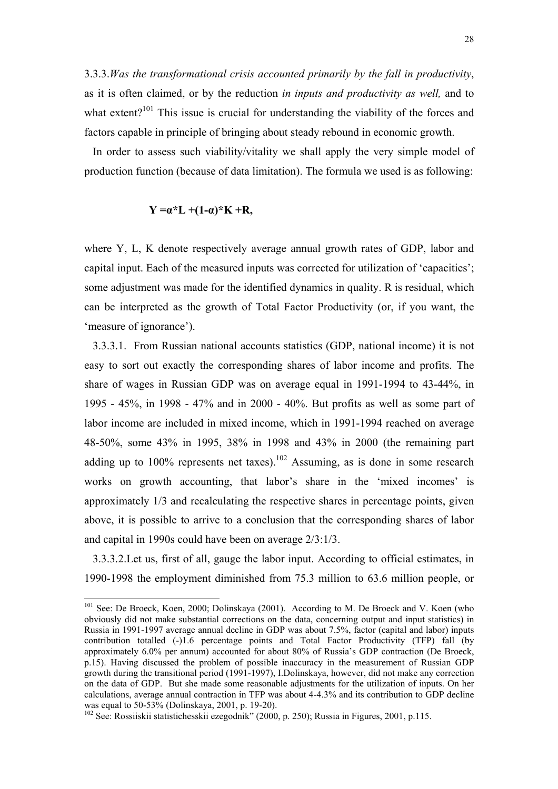3.3.3.*Was the transformational crisis accounted primarily by the fall in productivity*, as it is often claimed, or by the reduction *in inputs and productivity as well,* and to what extent?<sup>101</sup> This issue is crucial for understanding the viability of the forces and factors capable in principle of bringing about steady rebound in economic growth.

 In order to assess such viability/vitality we shall apply the very simple model of production function (because of data limitation). The formula we used is as following:

# $Y = \alpha^*L + (1-\alpha)^*K + R$

l

where Y, L, K denote respectively average annual growth rates of GDP, labor and capital input. Each of the measured inputs was corrected for utilization of 'capacities'; some adjustment was made for the identified dynamics in quality. R is residual, which can be interpreted as the growth of Total Factor Productivity (or, if you want, the 'measure of ignorance').

 3.3.3.1. From Russian national accounts statistics (GDP, national income) it is not easy to sort out exactly the corresponding shares of labor income and profits. The share of wages in Russian GDP was on average equal in 1991-1994 to 43-44%, in 1995 - 45%, in 1998 - 47% and in 2000 - 40%. But profits as well as some part of labor income are included in mixed income, which in 1991-1994 reached on average 48-50%, some 43% in 1995, 38% in 1998 and 43% in 2000 (the remaining part adding up to 100% represents net taxes).<sup>102</sup> Assuming, as is done in some research works on growth accounting, that labor's share in the 'mixed incomes' is approximately 1/3 and recalculating the respective shares in percentage points, given above, it is possible to arrive to a conclusion that the corresponding shares of labor and capital in 1990s could have been on average 2/3:1/3.

 3.3.3.2.Let us, first of all, gauge the labor input. According to official estimates, in 1990-1998 the employment diminished from 75.3 million to 63.6 million people, or

<span id="page-27-0"></span><sup>&</sup>lt;sup>101</sup> See: De Broeck, Koen, 2000; Dolinskaya (2001). According to M. De Broeck and V. Koen (who obviously did not make substantial corrections on the data, concerning output and input statistics) in Russia in 1991-1997 average annual decline in GDP was about 7.5%, factor (capital and labor) inputs contribution totalled (-)1.6 percentage points and Total Factor Productivity (TFP) fall (by approximately 6.0% per annum) accounted for about 80% of Russia's GDP contraction (De Broeck, p.15). Having discussed the problem of possible inaccuracy in the measurement of Russian GDP growth during the transitional period (1991-1997), I.Dolinskaya, however, did not make any correction on the data of GDP. But she made some reasonable adjustments for the utilization of inputs. On her calculations, average annual contraction in TFP was about 4-4.3% and its contribution to GDP decline was equal to 50-53% (Dolinskaya, 2001, p. 19-20).

<span id="page-27-1"></span><sup>&</sup>lt;sup>102</sup> See: Rossiiskii statistichesskii ezegodnik" (2000, p. 250); Russia in Figures, 2001, p.115.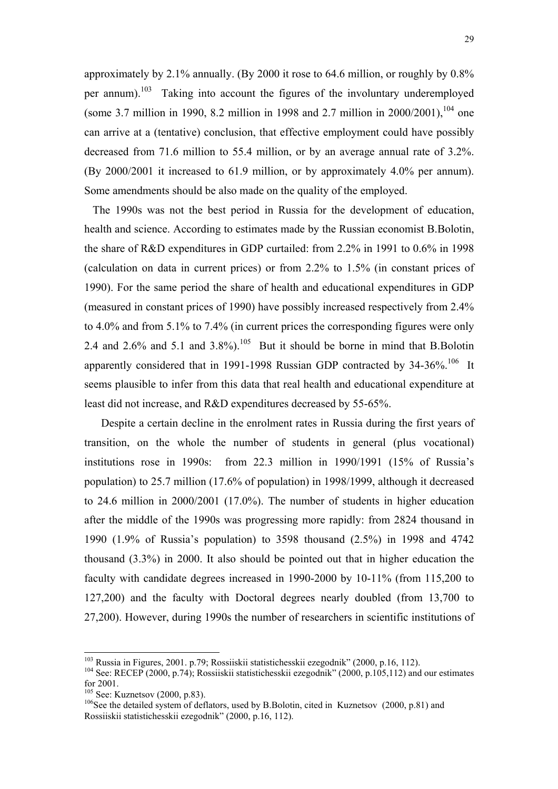approximately by 2.1% annually. (By 2000 it rose to 64.6 million, or roughly by 0.8% per annum).<sup>103</sup> Taking into account the figures of the involuntary underemployed (some 3.7 million in 1990, 8.2 million in 1998 and 2.7 million in  $2000/2001$ ),  $104$  one can arrive at a (tentative) conclusion, that effective employment could have possibly decreased from 71.6 million to 55.4 million, or by an average annual rate of 3.2%. (By 2000/2001 it increased to 61.9 million, or by approximately 4.0% per annum). Some amendments should be also made on the quality of the employed.

 The 1990s was not the best period in Russia for the development of education, health and science. According to estimates made by the Russian economist B.Bolotin, the share of R&D expenditures in GDP curtailed: from 2.2% in 1991 to 0.6% in 1998 (calculation on data in current prices) or from 2.2% to 1.5% (in constant prices of 1990). For the same period the share of health and educational expenditures in GDP (measured in constant prices of 1990) have possibly increased respectively from 2.4% to 4.0% and from 5.1% to 7.4% (in current prices the corresponding figures were only 2.4 and 2.6% and 5.1 and 3.8%).<sup>105</sup> But it should be borne in mind that B.Bolotin apparently considered that in 1991-1998 Russian GDP contracted by 34-36%.<sup>106</sup> It seems plausible to infer from this data that real health and educational expenditure at least did not increase, and R&D expenditures decreased by 55-65%.

 Despite a certain decline in the enrolment rates in Russia during the first years of transition, on the whole the number of students in general (plus vocational) institutions rose in 1990s: from 22.3 million in 1990/1991 (15% of Russia's population) to 25.7 million (17.6% of population) in 1998/1999, although it decreased to 24.6 million in 2000/2001 (17.0%). The number of students in higher education after the middle of the 1990s was progressing more rapidly: from 2824 thousand in 1990 (1.9% of Russia's population) to 3598 thousand (2.5%) in 1998 and 4742 thousand (3.3%) in 2000. It also should be pointed out that in higher education the faculty with candidate degrees increased in 1990-2000 by 10-11% (from 115,200 to 127,200) and the faculty with Doctoral degrees nearly doubled (from 13,700 to 27,200). However, during 1990s the number of researchers in scientific institutions of

<span id="page-28-0"></span> $103$  Russia in Figures, 2001. p.79; Rossiiskii statistichesskii ezegodnik" (2000, p.16, 112).

<span id="page-28-1"></span><sup>&</sup>lt;sup>104</sup> See: RECEP (2000, p.74); Rossiiskii statistichesskii ezegodnik" (2000, p.105,112) and our estimates for 2001.<br> $^{105}$  See: Kuznetsov (2000, p.83).

<span id="page-28-2"></span>

<span id="page-28-3"></span> $106$ See the detailed system of deflators, used by B.Bolotin, cited in Kuznetsov (2000, p.81) and Rossiiskii statistichesskii ezegodnik" (2000, p.16, 112).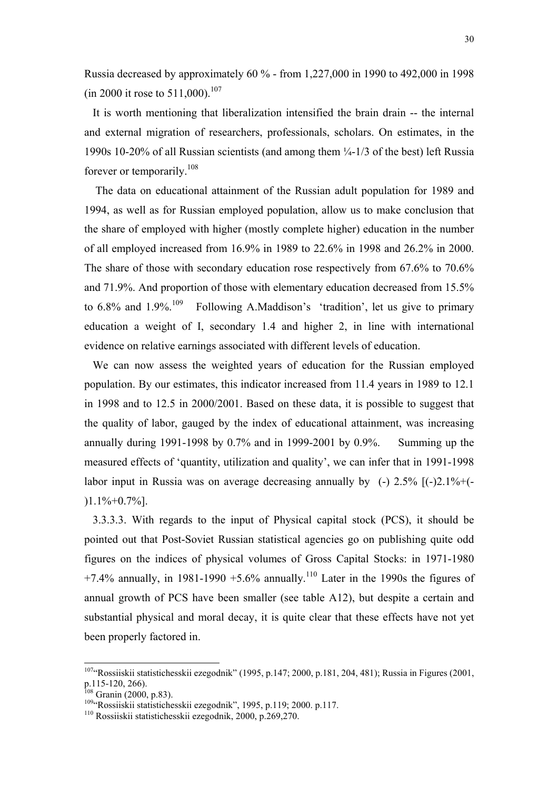Russia decreased by approximately 60 % - from 1,227,000 in 1990 to 492,000 in 1998 (in 2000 it rose to  $511,000$ ).<sup>107</sup>

 It is worth mentioning that liberalization intensified the brain drain -- the internal and external migration of researchers, professionals, scholars. On estimates, in the 1990s 10-20% of all Russian scientists (and among them ¼-1/3 of the best) left Russia forever or temporarily.[108](#page-29-1) 

 The data on educational attainment of the Russian adult population for 1989 and 1994, as well as for Russian employed population, allow us to make conclusion that the share of employed with higher (mostly complete higher) education in the number of all employed increased from 16.9% in 1989 to 22.6% in 1998 and 26.2% in 2000. The share of those with secondary education rose respectively from 67.6% to 70.6% and 71.9%. And proportion of those with elementary education decreased from 15.5% to 6.8% and  $1.9\%$ <sup>109</sup> Following A.Maddison's 'tradition', let us give to primary education a weight of I, secondary 1.4 and higher 2, in line with international evidence on relative earnings associated with different levels of education.

 We can now assess the weighted years of education for the Russian employed population. By our estimates, this indicator increased from 11.4 years in 1989 to 12.1 in 1998 and to 12.5 in 2000/2001. Based on these data, it is possible to suggest that the quality of labor, gauged by the index of educational attainment, was increasing annually during 1991-1998 by 0.7% and in 1999-2001 by 0.9%. Summing up the measured effects of 'quantity, utilization and quality', we can infer that in 1991-1998 labor input in Russia was on average decreasing annually by  $(-)$  2.5%  $[(-)2.1\% + (-)2.1\% + (-)2.1\% + (-)2.1\% + (-)2.1\% + (-)2.1\% + (-)2.1\% + (-)2.1\% + (-)2.1\% + (-)2.1\% + (-)2.1\% + (-)2.1\% + (-)2.1\% + (-)2.1\% + (-)2.1\% + (-)2.1\% + (-)2.1\% + (-)2.1\% + (-)2.1$  $1.1\% + 0.7\%$ ].

 3.3.3.3. With regards to the input of Physical capital stock (PCS), it should be pointed out that Post-Soviet Russian statistical agencies go on publishing quite odd figures on the indices of physical volumes of Gross Capital Stocks: in 1971-1980 +7.4% annually, in 1981-1990 +5.6% annually.<sup>110</sup> Later in the 1990s the figures of annual growth of PCS have been smaller (see table A12), but despite a certain and substantial physical and moral decay, it is quite clear that these effects have not yet been properly factored in.

<span id="page-29-0"></span> $1074$  Rossiiskii statistichesskii ezegodnik" (1995, p.147; 2000, p.181, 204, 481); Russia in Figures (2001, p.115-120, 266).<br><sup>108</sup> Granin (2000, p.83).

<span id="page-29-1"></span>

<span id="page-29-2"></span><sup>&</sup>lt;sup>109</sup> Rossiiskii statistichesskii ezegodnik", 1995, p.119; 2000. p.117.<br><sup>110</sup> Rossiiskii statistichesskii ezegodnik, 2000, p.269,270.

<span id="page-29-3"></span>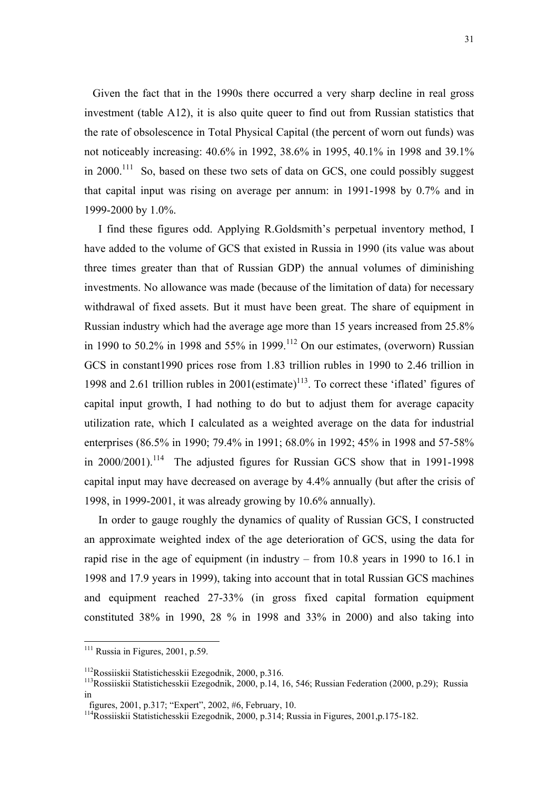Given the fact that in the 1990s there occurred a very sharp decline in real gross investment (table A12), it is also quite queer to find out from Russian statistics that the rate of obsolescence in Total Physical Capital (the percent of worn out funds) was not noticeably increasing: 40.6% in 1992, 38.6% in 1995, 40.1% in 1998 and 39.1% in 2000.<sup>111</sup> So, based on these two sets of data on GCS, one could possibly suggest that capital input was rising on average per annum: in 1991-1998 by 0.7% and in 1999-2000 by 1.0%.

 I find these figures odd. Applying R.Goldsmith's perpetual inventory method, I have added to the volume of GCS that existed in Russia in 1990 (its value was about three times greater than that of Russian GDP) the annual volumes of diminishing investments. No allowance was made (because of the limitation of data) for necessary withdrawal of fixed assets. But it must have been great. The share of equipment in Russian industry which had the average age more than 15 years increased from 25.8% in 1990 to 50.2% in 1998 and 55% in 1999.<sup>112</sup> On our estimates, (overworn) Russian GCS in constant1990 prices rose from 1.83 trillion rubles in 1990 to 2.46 trillion in 1998 and 2.61 trillion rubles in  $2001$ (estimate)<sup>113</sup>. To correct these 'iflated' figures of capital input growth, I had nothing to do but to adjust them for average capacity utilization rate, which I calculated as a weighted average on the data for industrial enterprises (86.5% in 1990; 79.4% in 1991; 68.0% in 1992; 45% in 1998 and 57-58% in  $2000/2001$ <sup>114</sup> The adjusted figures for Russian GCS show that in 1991-1998 capital input may have decreased on average by 4.4% annually (but after the crisis of 1998, in 1999-2001, it was already growing by 10.6% annually).

 In order to gauge roughly the dynamics of quality of Russian GCS, I constructed an approximate weighted index of the age deterioration of GCS, using the data for rapid rise in the age of equipment (in industry – from 10.8 years in 1990 to 16.1 in 1998 and 17.9 years in 1999), taking into account that in total Russian GCS machines and equipment reached 27-33% (in gross fixed capital formation equipment constituted 38% in 1990, 28 % in 1998 and 33% in 2000) and also taking into

<span id="page-30-0"></span> $111$  Russia in Figures, 2001, p.59.

<span id="page-30-2"></span><span id="page-30-1"></span>

<sup>&</sup>lt;sup>112</sup>Rossiiskii Statistichesskii Ezegodnik, 2000, p.316.<br><sup>113</sup>Rossiiskii Statistichesskii Ezegodnik, 2000, p.14, 16, 546; Russian Federation (2000, p.29); Russia in

figures, 2001, p.317; "Expert", 2002, #6, February, 10.

<span id="page-30-3"></span><sup>114</sup>Rossiiskii Statistichesskii Ezegodnik, 2000, p.314; Russia in Figures, 2001,p.175-182.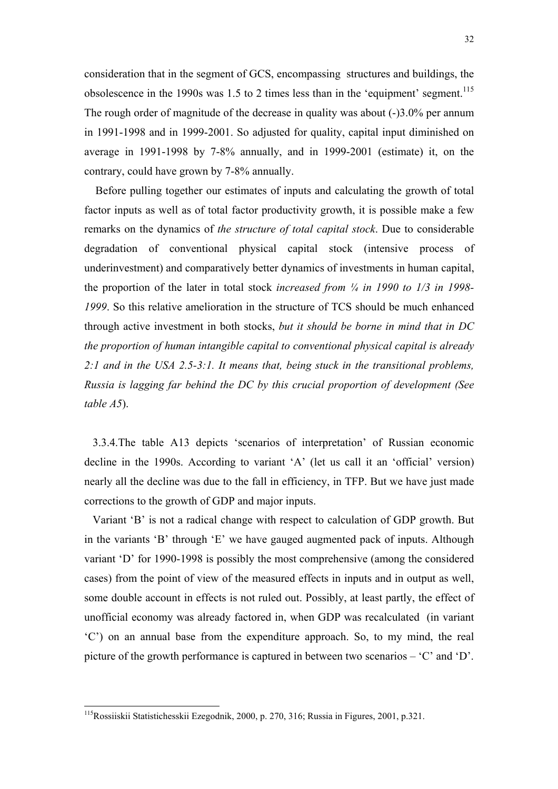consideration that in the segment of GCS, encompassing structures and buildings, the obsolescence in the 1990s was  $1.5$  to 2 times less than in the 'equipment' segment.<sup>115</sup> The rough order of magnitude of the decrease in quality was about (-)3.0% per annum in 1991-1998 and in 1999-2001. So adjusted for quality, capital input diminished on average in 1991-1998 by 7-8% annually, and in 1999-2001 (estimate) it, on the contrary, could have grown by 7-8% annually.

 Before pulling together our estimates of inputs and calculating the growth of total factor inputs as well as of total factor productivity growth, it is possible make a few remarks on the dynamics of *the structure of total capital stock*. Due to considerable degradation of conventional physical capital stock (intensive process of underinvestment) and comparatively better dynamics of investments in human capital, the proportion of the later in total stock *increased from ¼ in 1990 to 1/3 in 1998- 1999*. So this relative amelioration in the structure of TCS should be much enhanced through active investment in both stocks, *but it should be borne in mind that in DC the proportion of human intangible capital to conventional physical capital is already 2:1 and in the USA 2.5-3:1. It means that, being stuck in the transitional problems, Russia is lagging far behind the DC by this crucial proportion of development (See table A5*).

 3.3.4.The table A13 depicts 'scenarios of interpretation' of Russian economic decline in the 1990s. According to variant 'A' (let us call it an 'official' version) nearly all the decline was due to the fall in efficiency, in TFP. But we have just made corrections to the growth of GDP and major inputs.

 Variant 'B' is not a radical change with respect to calculation of GDP growth. But in the variants 'B' through 'E' we have gauged augmented pack of inputs. Although variant 'D' for 1990-1998 is possibly the most comprehensive (among the considered cases) from the point of view of the measured effects in inputs and in output as well, some double account in effects is not ruled out. Possibly, at least partly, the effect of unofficial economy was already factored in, when GDP was recalculated (in variant 'C') on an annual base from the expenditure approach. So, to my mind, the real picture of the growth performance is captured in between two scenarios – 'C' and 'D'.

<span id="page-31-0"></span><sup>115</sup>Rossiiskii Statistichesskii Ezegodnik, 2000, p. 270, 316; Russia in Figures, 2001, p.321.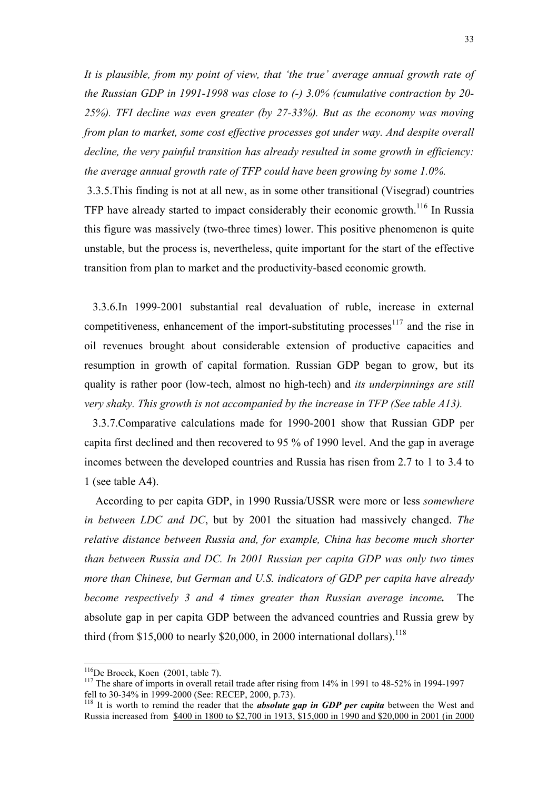<span id="page-32-2"></span>*It is plausible, from my point of view, that 'the true' average annual growth rate of the Russian GDP in 1991-1998 was close to (-) 3.0% (cumulative contraction by 20- 25%). TFI decline was even greater (by 27-33%). But as the economy was moving from plan to market, some cost effective processes got under way. And despite overall decline, the very painful transition has already resulted in some growth in efficiency: the average annual growth rate of TFP could have been growing by some 1.0%.* 

 3.3.5.This finding is not at all new, as in some other transitional (Visegrad) countries TFP have already started to impact considerably their economic growth.<sup>116</sup> In Russia this figure was massively (two-three times) lower. This positive phenomenon is quite unstable, but the process is, nevertheless, quite important for the start of the effective transition from plan to market and the productivity-based economic growth.

 3.3.6.In 1999-2001 substantial real devaluation of ruble, increase in external competitiveness, enhancement of the import-substituting processes $117$  and the rise in oil revenues brought about considerable extension of productive capacities and resumption in growth of capital formation. Russian GDP began to grow, but its quality is rather poor (low-tech, almost no high-tech) and *its underpinnings are still very shaky. This growth is not accompanied by the increase in TFP (See table A13).*

 3.3.7.Comparative calculations made for 1990-2001 show that Russian GDP per capita first declined and then recovered to 95 % of 1990 level. And the gap in average incomes between the developed countries and Russia has risen from 2.7 to 1 to 3.4 to 1 (see table A4).

 According to per capita GDP, in 1990 Russia/USSR were more or less *somewhere in between LDC and DC*, but by 2001 the situation had massively changed. *The relative distance between Russia and, for example, China has become much shorter than between Russia and DC. In 2001 Russian per capita GDP was only two times more than Chinese, but German and U.S. indicators of GDP per capita have already become respectively 3 and 4 times greater than Russian average income.* The absolute gap in per capita GDP between the advanced countries and Russia grew by third (from  $$15,000$  to nearly  $$20,000$ , in 2000 international dollars).<sup>[118](#page-32-2)</sup>

<span id="page-32-0"></span><sup>&</sup>lt;sup>116</sup>De Broeck, Koen (2001, table 7).

<span id="page-32-1"></span><sup>&</sup>lt;sup>117</sup> The share of imports in overall retail trade after rising from  $14\%$  in 1991 to 48-52% in 1994-1997 fell to 30-34% in 1999-2000 (See: RECEP, 2000, p.73).

<sup>&</sup>lt;sup>118</sup> It is worth to remind the reader that the *absolute* gap in GDP per capita between the West and Russia increased from \$400 in 1800 to \$2,700 in 1913, \$15,000 in 1990 and \$20,000 in 2001 (in 2000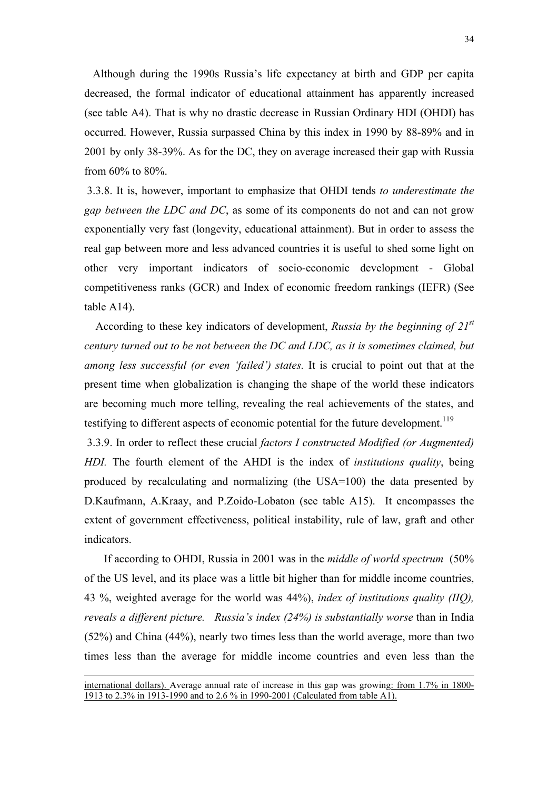Although during the 1990s Russia's life expectancy at birth and GDP per capita decreased, the formal indicator of educational attainment has apparently increased (see table A4). That is why no drastic decrease in Russian Ordinary HDI (OHDI) has occurred. However, Russia surpassed China by this index in 1990 by 88-89% and in 2001 by only 38-39%. As for the DC, they on average increased their gap with Russia from 60% to 80%.

 3.3.8. It is, however, important to emphasize that OHDI tends *to underestimate the gap between the LDC and DC*, as some of its components do not and can not grow exponentially very fast (longevity, educational attainment). But in order to assess the real gap between more and less advanced countries it is useful to shed some light on other very important indicators of socio-economic development - Global competitiveness ranks (GCR) and Index of economic freedom rankings (IEFR) (See table A14).

 According to these key indicators of development, *Russia by the beginning of 21st century turned out to be not between the DC and LDC, as it is sometimes claimed, but among less successful (or even 'failed') states.* It is crucial to point out that at the present time when globalization is changing the shape of the world these indicators are becoming much more telling, revealing the real achievements of the states, and testifying to different aspects of economic potential for the future development.<sup>119</sup>

 3.3.9. In order to reflect these crucial *factors I constructed Modified (or Augmented) HDI.* The fourth element of the AHDI is the index of *institutions quality*, being produced by recalculating and normalizing (the USA=100) the data presented by D.Kaufmann, A.Kraay, and P.Zoido-Lobaton (see table A15). It encompasses the extent of government effectiveness, political instability, rule of law, graft and other indicators.

 If according to OHDI, Russia in 2001 was in the *middle of world spectrum* (50% of the US level, and its place was a little bit higher than for middle income countries, 43 %, weighted average for the world was 44%), *index of institutions quality (IIQ), reveals a different picture. Russia's index (24%) is substantially worse* than in India (52%) and China (44%), nearly two times less than the world average, more than two times less than the average for middle income countries and even less than the

<span id="page-33-0"></span>-

international dollars). Average annual rate of increase in this gap was growing: from 1.7% in 1800- 1913 to 2.3% in 1913-1990 and to 2.6 % in 1990-2001 (Calculated from table A1).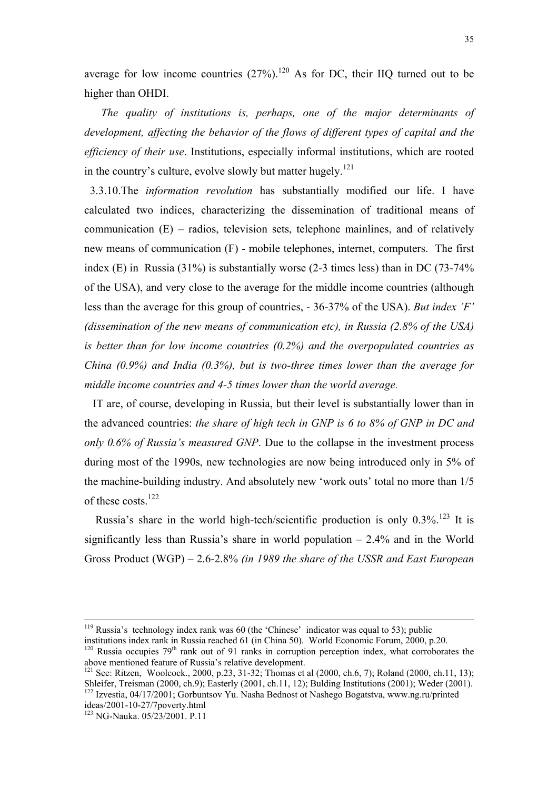average for low income countries  $(27%)$ .<sup>120</sup> As for DC, their IIQ turned out to be higher than OHDI.

 *The quality of institutions is, perhaps, one of the major determinants of development, affecting the behavior of the flows of different types of capital and the efficiency of their use*. Institutions, especially informal institutions, which are rooted in the country's culture, evolve slowly but matter hugely.<sup>121</sup>

3.3.10.The *information revolution* has substantially modified our life. I have calculated two indices, characterizing the dissemination of traditional means of communication (E) – radios, television sets, telephone mainlines, and of relatively new means of communication (F) - mobile telephones, internet, computers. The first index (E) in Russia (31%) is substantially worse (2-3 times less) than in DC (73-74% of the USA), and very close to the average for the middle income countries (although less than the average for this group of countries, - 36-37% of the USA). *But index 'F' (dissemination of the new means of communication etc), in Russia (2.8% of the USA) is better than for low income countries (0.2%) and the overpopulated countries as China (0.9%) and India (0.3%), but is two-three times lower than the average for middle income countries and 4-5 times lower than the world average.* 

 IT are, of course, developing in Russia, but their level is substantially lower than in the advanced countries: *the share of high tech in GNP is 6 to 8% of GNP in DC and only 0.6% of Russia's measured GNP*. Due to the collapse in the investment process during most of the 1990s, new technologies are now being introduced only in 5% of the machine-building industry. And absolutely new 'work outs' total no more than 1/5 of these costs.<sup>122</sup>

Russia's share in the world high-tech/scientific production is only  $0.3\%$ <sup>123</sup> It is significantly less than Russia's share in world population – 2.4% and in the World Gross Product (WGP) – 2.6-2.8% *(in 1989 the share of the USSR and East European* 

<sup>&</sup>lt;sup>119</sup> Russia's technology index rank was 60 (the 'Chinese' indicator was equal to 53); public institutions index rank in Russia reached 61 (in China 50). World Economic Forum, 2000, p.20.

<span id="page-34-0"></span><sup>&</sup>lt;sup>120</sup> Russia occupies 79<sup>th</sup> rank out of 91 ranks in corruption perception index, what corroborates the above mentioned feature of Russia's relative development.

<span id="page-34-1"></span><sup>&</sup>lt;sup>121</sup> See: Ritzen, Woolcock., 2000, p.23, 31-32; Thomas et al (2000, ch.6, 7); Roland (2000, ch.11, 13); Shleifer, Treisman (2000, ch.9); Easterly (2001, ch.11, 12); Bulding Institutions (2001): Weder (2001). 122 Izvestia, 04/17/2001; Gorbuntsov Yu. Nasha Bednost ot Nashego Bogatstva, www.ng.ru/printed ideas/2001-10-27/7poverty.html

<span id="page-34-3"></span><span id="page-34-2"></span> $123$  NG-Nauka.  $05/23/2001$ . P.11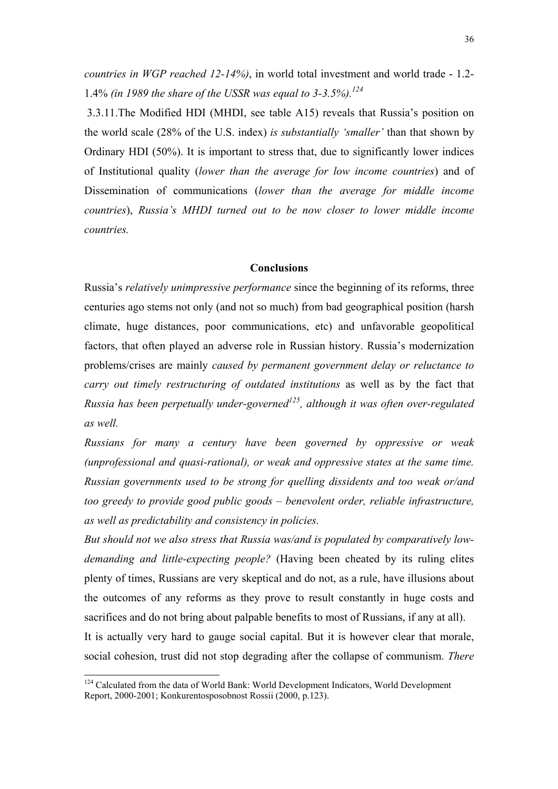*countries in WGP reached 12-14%)*, in world total investment and world trade - 1.2- 1.4% *(in 1989 the share of the USSR was equal to 3-3.5%)[.124](#page-35-0)* 

 3.3.11.The Modified HDI (MHDI, see table A15) reveals that Russia's position on the world scale (28% of the U.S. index) *is substantially 'smaller'* than that shown by Ordinary HDI (50%). It is important to stress that, due to significantly lower indices of Institutional quality (*lower than the average for low income countries*) and of Dissemination of communications (*lower than the average for middle income countries*), *Russia's MHDI turned out to be now closer to lower middle income countries.* 

### **Conclusions**

Russia's *relatively unimpressive performance* since the beginning of its reforms, three centuries ago stems not only (and not so much) from bad geographical position (harsh climate, huge distances, poor communications, etc) and unfavorable geopolitical factors, that often played an adverse role in Russian history. Russia's modernization problems/crises are mainly *caused by permanent government delay or reluctance to carry out timely restructuring of outdated institutions* as well as by the fact that *Russia has been perpetually under-governed[125,](#page-35-1) although it was often over-regulated as well.*

*Russians for many a century have been governed by oppressive or weak (unprofessional and quasi-rational), or weak and oppressive states at the same time. Russian governments used to be strong for quelling dissidents and too weak or/and too greedy to provide good public goods – benevolent order, reliable infrastructure, as well as predictability and consistency in policies.*

*But should not we also stress that Russia was/and is populated by comparatively lowdemanding and little-expecting people?* (Having been cheated by its ruling elites plenty of times, Russians are very skeptical and do not, as a rule, have illusions about the outcomes of any reforms as they prove to result constantly in huge costs and sacrifices and do not bring about palpable benefits to most of Russians, if any at all). It is actually very hard to gauge social capital. But it is however clear that morale, social cohesion, trust did not stop degrading after the collapse of communism. *There* 

<span id="page-35-1"></span><span id="page-35-0"></span><sup>&</sup>lt;sup>124</sup> Calculated from the data of World Bank: World Development Indicators, World Development Report, 2000-2001; Konkurentosposobnost Rossii (2000, p.123).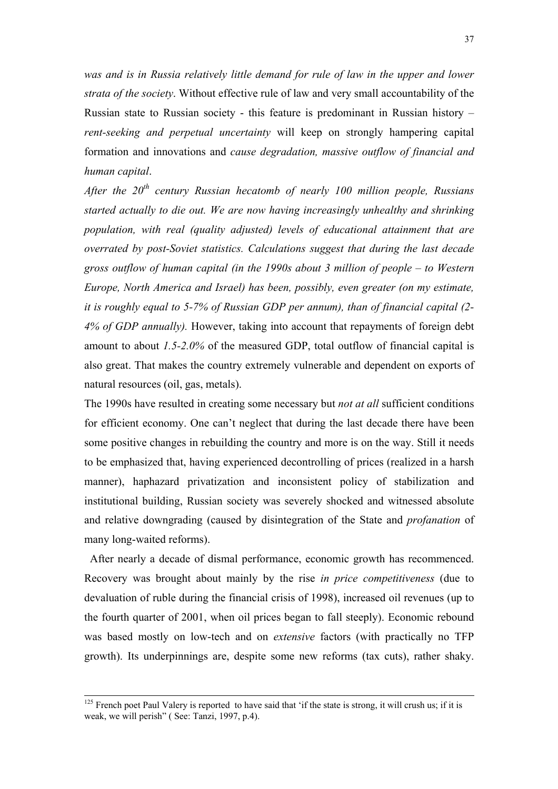was and is in Russia relatively little demand for rule of law in the upper and lower *strata of the society*. Without effective rule of law and very small accountability of the Russian state to Russian society - this feature is predominant in Russian history – *rent-seeking and perpetual uncertainty* will keep on strongly hampering capital formation and innovations and *cause degradation, massive outflow of financial and human capital*.

*After the 20<sup>th</sup> century Russian hecatomb of nearly 100 million people, Russians started actually to die out. We are now having increasingly unhealthy and shrinking population, with real (quality adjusted) levels of educational attainment that are overrated by post-Soviet statistics. Calculations suggest that during the last decade gross outflow of human capital (in the 1990s about 3 million of people – to Western Europe, North America and Israel) has been, possibly, even greater (on my estimate, it is roughly equal to 5-7% of Russian GDP per annum), than of financial capital (2- 4% of GDP annually).* However, taking into account that repayments of foreign debt amount to about *1.5-2.0%* of the measured GDP, total outflow of financial capital is also great. That makes the country extremely vulnerable and dependent on exports of natural resources (oil, gas, metals).

The 1990s have resulted in creating some necessary but *not at all* sufficient conditions for efficient economy. One can't neglect that during the last decade there have been some positive changes in rebuilding the country and more is on the way. Still it needs to be emphasized that, having experienced decontrolling of prices (realized in a harsh manner), haphazard privatization and inconsistent policy of stabilization and institutional building, Russian society was severely shocked and witnessed absolute and relative downgrading (caused by disintegration of the State and *profanation* of many long-waited reforms).

 After nearly a decade of dismal performance, economic growth has recommenced. Recovery was brought about mainly by the rise *in price competitiveness* (due to devaluation of ruble during the financial crisis of 1998), increased oil revenues (up to the fourth quarter of 2001, when oil prices began to fall steeply). Economic rebound was based mostly on low-tech and on *extensive* factors (with practically no TFP growth). Its underpinnings are, despite some new reforms (tax cuts), rather shaky.

 $125$  French poet Paul Valery is reported to have said that 'if the state is strong, it will crush us; if it is weak, we will perish" (See: Tanzi, 1997, p.4).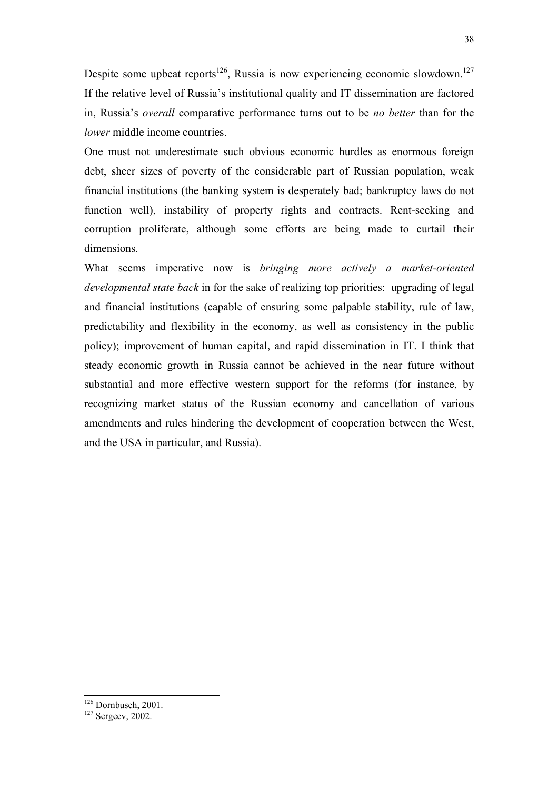Despite some upbeat reports<sup>126</sup>, Russia is now experiencing economic slowdown.<sup>127</sup> If the relative level of Russia's institutional quality and IT dissemination are factored in, Russia's *overall* comparative performance turns out to be *no better* than for the *lower* middle income countries.

One must not underestimate such obvious economic hurdles as enormous foreign debt, sheer sizes of poverty of the considerable part of Russian population, weak financial institutions (the banking system is desperately bad; bankruptcy laws do not function well), instability of property rights and contracts. Rent-seeking and corruption proliferate, although some efforts are being made to curtail their dimensions.

What seems imperative now is *bringing more actively a market-oriented developmental state back* in for the sake of realizing top priorities: upgrading of legal and financial institutions (capable of ensuring some palpable stability, rule of law, predictability and flexibility in the economy, as well as consistency in the public policy); improvement of human capital, and rapid dissemination in IT. I think that steady economic growth in Russia cannot be achieved in the near future without substantial and more effective western support for the reforms (for instance, by recognizing market status of the Russian economy and cancellation of various amendments and rules hindering the development of cooperation between the West, and the USA in particular, and Russia).

 $\frac{126}{127}$  Dornbusch, 2001.

<span id="page-37-1"></span><span id="page-37-0"></span>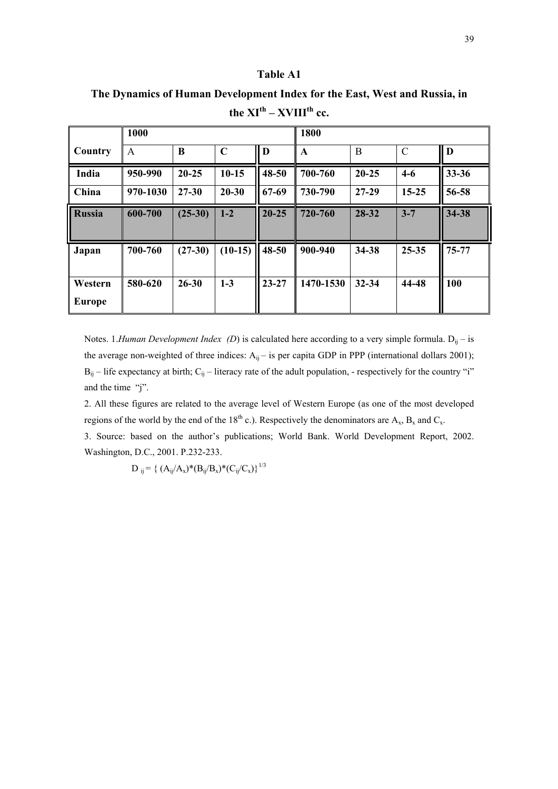**The Dynamics of Human Development Index for the East, West and Russia, in**  the  $XI<sup>th</sup> - XVIII<sup>th</sup>$  cc.

|                          | 1000     |           |             |           | 1800        |           |               |           |
|--------------------------|----------|-----------|-------------|-----------|-------------|-----------|---------------|-----------|
| Country                  | A        | B         | $\mathbf C$ | D         | $\mathbf A$ | B         | $\mathcal{C}$ | D         |
| India                    | 950-990  | $20 - 25$ | $10-15$     | 48-50     | 700-760     | $20 - 25$ | $4-6$         | $33 - 36$ |
| China                    | 970-1030 | $27 - 30$ | $20 - 30$   | 67-69     | 730-790     | $27-29$   | $15 - 25$     | 56-58     |
| <b>Russia</b>            | 600-700  | $(25-30)$ | $1-2$       | $20 - 25$ | 720-760     | 28-32     | $3 - 7$       | 34-38     |
| Japan                    | 700-760  | $(27-30)$ | $(10-15)$   | 48-50     | 900-940     | 34-38     | $25 - 35$     | 75-77     |
| Western<br><b>Europe</b> | 580-620  | $26 - 30$ | $1-3$       | $23 - 27$ | 1470-1530   | 32-34     | 44-48         | 100       |

Notes. 1.*Human Development Index (D)* is calculated here according to a very simple formula. D<sub>ij</sub> – is the average non-weighted of three indices:  $A_{ij}$  – is per capita GDP in PPP (international dollars 2001);  $B_{ij}$  – life expectancy at birth;  $C_{ij}$  – literacy rate of the adult population, - respectively for the country "i" and the time "j".

2. All these figures are related to the average level of Western Europe (as one of the most developed regions of the world by the end of the 18<sup>th</sup> c.). Respectively the denominators are  $A_x$ ,  $B_x$  and  $C_x$ .

3. Source: based on the author's publications; World Bank. World Development Report, 2002. Washington, D.C., 2001. P.232-233.

 $D_{ij} = \{ (A_{ij}/A_x)^*(B_{ij}/B_x)^*(C_{ij}/C_x) \}^{1/3}$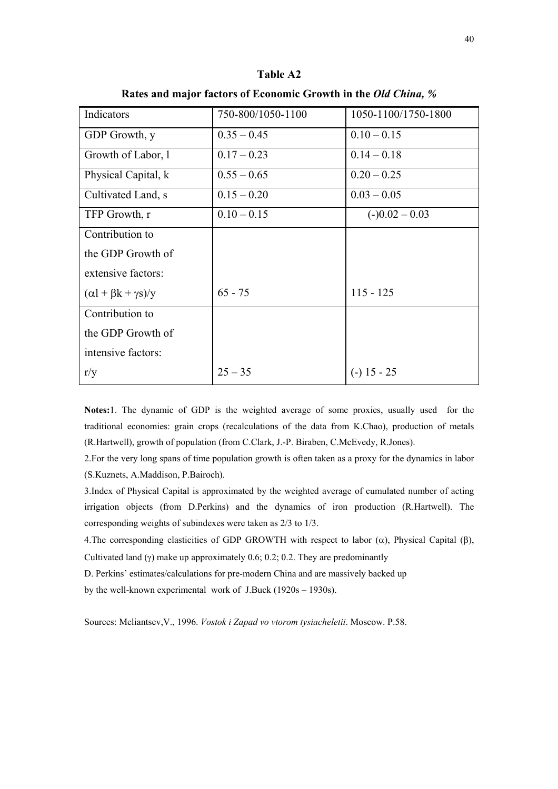| Indicators                          | 750-800/1050-1100 | 1050-1100/1750-1800 |
|-------------------------------------|-------------------|---------------------|
| GDP Growth, y                       | $0.35 - 0.45$     | $0.10 - 0.15$       |
| Growth of Labor, 1                  | $0.17 - 0.23$     | $0.14 - 0.18$       |
| Physical Capital, k                 | $0.55 - 0.65$     | $0.20 - 0.25$       |
| Cultivated Land, s                  | $0.15 - 0.20$     | $0.03 - 0.05$       |
| TFP Growth, r                       | $0.10 - 0.15$     | $(-)0.02 - 0.03$    |
| Contribution to                     |                   |                     |
| the GDP Growth of                   |                   |                     |
| extensive factors:                  |                   |                     |
| $(\alpha l + \beta k + \gamma s)/y$ | $65 - 75$         | $115 - 125$         |
| Contribution to                     |                   |                     |
| the GDP Growth of                   |                   |                     |
| intensive factors:                  |                   |                     |
| r/y                                 | $25 - 35$         | $(-)$ 15 - 25       |

**Table A2** 

**Rates and major factors of Economic Growth in the** *Old China, %*

**Notes:**1. The dynamic of GDP is the weighted average of some proxies, usually used for the traditional economies: grain crops (recalculations of the data from K.Chao), production of metals (R.Hartwell), growth of population (from C.Clark, J.-P. Biraben, C.McEvedy, R.Jones).

2.For the very long spans of time population growth is often taken as a proxy for the dynamics in labor (S.Kuznets, A.Maddison, P.Bairoch).

3.Index of Physical Capital is approximated by the weighted average of cumulated number of acting irrigation objects (from D.Perkins) and the dynamics of iron production (R.Hartwell). The corresponding weights of subindexes were taken as 2/3 to 1/3.

4. The corresponding elasticities of GDP GROWTH with respect to labor  $(\alpha)$ , Physical Capital (β),

Cultivated land (γ) make up approximately 0.6; 0.2; 0.2. They are predominantly

D. Perkins' estimates/calculations for pre-modern China and are massively backed up

by the well-known experimental work of J.Buck (1920s – 1930s).

Sources: Meliantsev,V., 1996. *Vostok i Zapad vo vtorom tysiacheletii*. Moscow. P.58.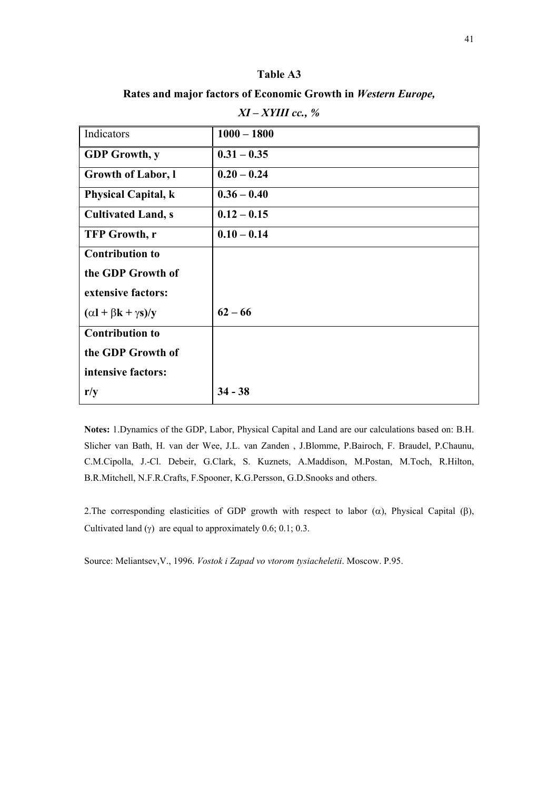**Rates and major factors of Economic Growth in** *Western Europe,* 

| Indicators                          | $1000 - 1800$ |
|-------------------------------------|---------------|
| <b>GDP</b> Growth, y                | $0.31 - 0.35$ |
| <b>Growth of Labor, l</b>           | $0.20 - 0.24$ |
| <b>Physical Capital, k</b>          | $0.36 - 0.40$ |
| <b>Cultivated Land, s</b>           | $0.12 - 0.15$ |
| <b>TFP Growth, r</b>                | $0.10 - 0.14$ |
| <b>Contribution to</b>              |               |
| the GDP Growth of                   |               |
| extensive factors:                  |               |
| $(\alpha l + \beta k + \gamma s)/y$ | $62 - 66$     |
| <b>Contribution to</b>              |               |
| the GDP Growth of                   |               |
| intensive factors:                  |               |
| r/y                                 | $34 - 38$     |

| XI – XYIII cc., % |  |
|-------------------|--|
|-------------------|--|

**Notes:** 1.Dynamics of the GDP, Labor, Physical Capital and Land are our calculations based on: B.H. Slicher van Bath, H. van der Wee, J.L. van Zanden , J.Blomme, P.Bairoch, F. Braudel, P.Chaunu, C.M.Cipolla, J.-Cl. Debeir, G.Clark, S. Kuznets, A.Maddison, M.Postan, M.Toch, R.Hilton, B.R.Mitchell, N.F.R.Crafts, F.Spooner, K.G.Persson, G.D.Snooks and others.

2. The corresponding elasticities of GDP growth with respect to labor ( $\alpha$ ), Physical Capital ( $\beta$ ), Cultivated land (γ) are equal to approximately  $0.6$ ;  $0.1$ ;  $0.3$ .

Source: Meliantsev,V., 1996. *Vostok i Zapad vo vtorom tysiacheletii*. Moscow. P.95.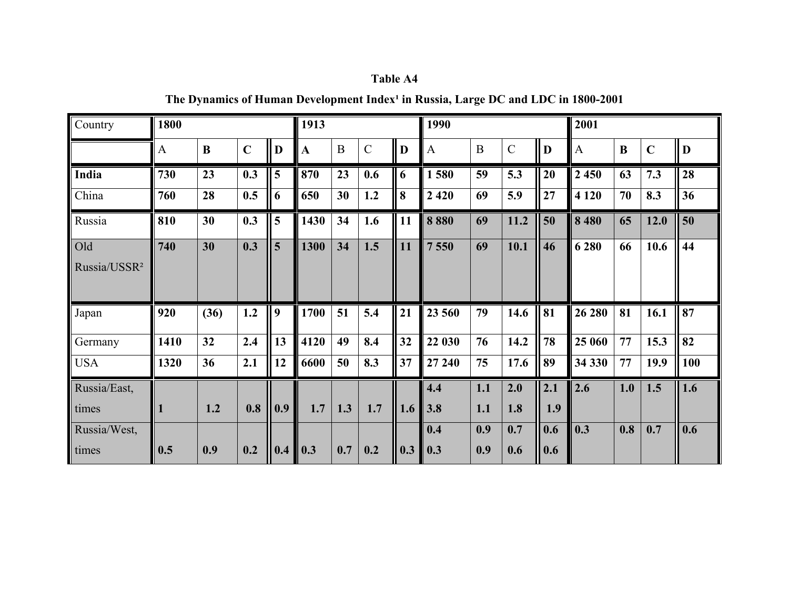| Table A4 |  |
|----------|--|
|----------|--|

The Dynamics of Human Development Index<sup>1</sup> in Russia, Large DC and LDC in 1800-2001

| Country                  | 1800 |      |             |     | 1913         |                |             |     | 1990    |          |                    |     | 2001         |     |             |     |
|--------------------------|------|------|-------------|-----|--------------|----------------|-------------|-----|---------|----------|--------------------|-----|--------------|-----|-------------|-----|
|                          | A    | B    | $\mathbf C$ | D   | $\mathbf{A}$ | $\overline{B}$ | $\mathbf C$ | D   | A       | $\bf{B}$ | $\overline{\rm C}$ | D   | $\mathbf{A}$ | B   | $\mathbf C$ | D   |
| India                    | 730  | 23   | 0.3         | 5   | 870          | 23             | 0.6         | 6   | 1580    | 59       | 5.3                | 20  | 2 4 5 0      | 63  | 7.3         | 28  |
| China                    | 760  | 28   | 0.5         | 6   | 650          | 30             | 1.2         | 8   | 2 4 2 0 | 69       | 5.9                | 27  | 4 1 2 0      | 70  | 8.3         | 36  |
| Russia                   | 810  | 30   | 0.3         | 5   | 1430         | 34             | 1.6         | 11  | 8880    | 69       | 11.2               | 50  | 8 4 8 0      | 65  | 12.0        | 50  |
| Old                      | 740  | 30   | 0.3         | 5   | 1300         | 34             | 1.5         | 11  | 7550    | 69       | 10.1               | 46  | 6 2 8 0      | 66  | 10.6        | 44  |
| Russia/USSR <sup>2</sup> |      |      |             |     |              |                |             |     |         |          |                    |     |              |     |             |     |
| Japan                    | 920  | (36) | 1.2         | 9   | 1700         | 51             | 5.4         | 21  | 23 560  | 79       | 14.6               | 81  | 26 280       | 81  | 16.1        | 87  |
| Germany                  | 1410 | 32   | 2.4         | 13  | 4120         | 49             | 8.4         | 32  | 22 030  | 76       | 14.2               | 78  | 25 060       | 77  | 15.3        | 82  |
| <b>USA</b>               | 1320 | 36   | 2.1         | 12  | 6600         | 50             | 8.3         | 37  | 27 240  | 75       | 17.6               | 89  | 34 330       | 77  | 19.9        | 100 |
| Russia/East,             |      |      |             |     |              |                |             |     | 4.4     | 1.1      | 2.0                | 2.1 | 2.6          | 1.0 | 1.5         | 1.6 |
| times                    | 1    | 1.2  | 0.8         | 0.9 | 1.7          | 1.3            | 1.7         | 1.6 | 3.8     | 1.1      | 1.8                | 1.9 |              |     |             |     |
| Russia/West,             |      |      |             |     |              |                |             |     | 0.4     | 0.9      | 0.7                | 0.6 | 0.3          | 0.8 | 0.7         | 0.6 |
| times                    | 0.5  | 0.9  | 0.2         | 0.4 | 0.3          | 0.7            | 0.2         | 0.3 | 0.3     | 0.9      | 0.6                | 0.6 |              |     |             |     |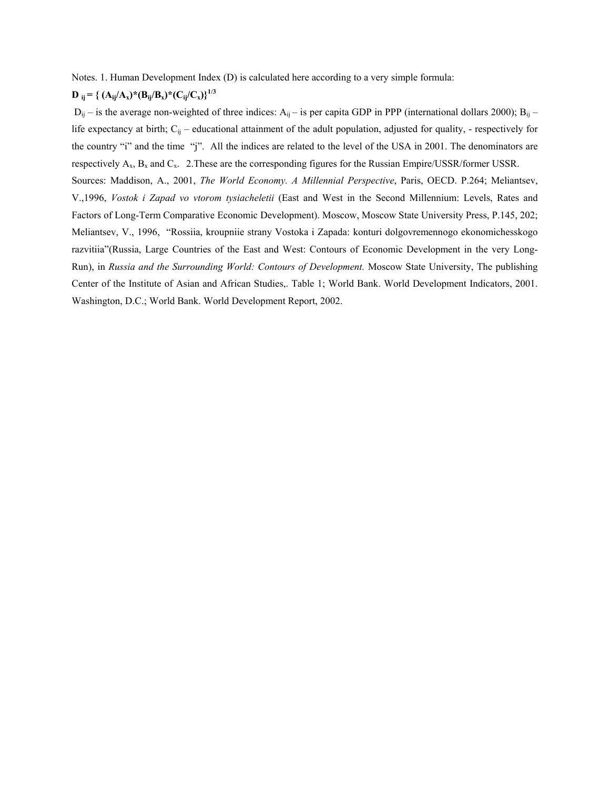Notes. 1. Human Development Index (D) is calculated here according to a very simple formula:

# $D_{ij} = \left\{ (A_{ij}/A_x)^*(B_{ij}/B_x)^*(C_{ij}/C_x) \right\}^{1/3}$

 $D_{ij}$  – is the average non-weighted of three indices:  $A_{ij}$  – is per capita GDP in PPP (international dollars 2000);  $B_{ij}$  – life expectancy at birth;  $C_{ij}$  – educational attainment of the adult population, adjusted for quality, - respectively for the country "i" and the time "j". All the indices are related to the level of the USA in 2001. The denominators are respectively  $A_x$ ,  $B_x$  and  $C_x$ . 2. These are the corresponding figures for the Russian Empire/USSR/former USSR. Sources: Maddison, A., 2001, *The World Economy. A Millennial Perspective*, Paris, OECD. P.264; Meliantsev, V.,1996, *Vostok i Zapad vo vtorom tysiacheletii* (East and West in the Second Millennium: Levels, Rates and Factors of Long-Term Comparative Economic Development). Moscow, Moscow State University Press, P.145, 202; Meliantsev, V., 1996, "Rossiia, kroupniie strany Vostoka i Zapada: konturi dolgovremennogo ekonomichesskogo razvitiia"(Russia, Large Countries of the East and West: Contours of Economic Development in the very Long-Run), in *Russia and the Surrounding World: Contours of Development.* Moscow State University, The publishing Center of the Institute of Asian and African Studies,. Table 1; World Bank. World Development Indicators, 2001. Washington, D.C.; World Bank. World Development Report, 2002.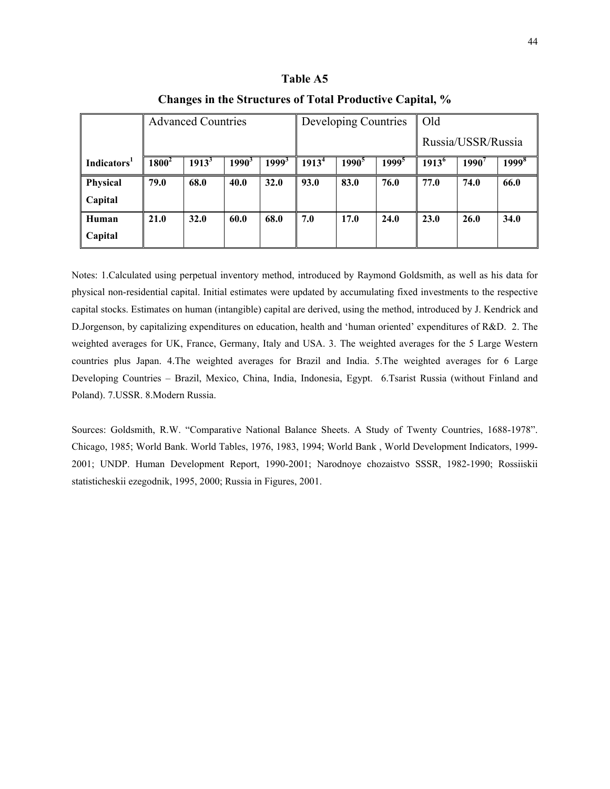|                         |          | <b>Advanced Countries</b> |          |                   | Developing Countries |                   |                   | Old                |       |                   |
|-------------------------|----------|---------------------------|----------|-------------------|----------------------|-------------------|-------------------|--------------------|-------|-------------------|
|                         |          |                           |          |                   |                      |                   |                   | Russia/USSR/Russia |       |                   |
| Indicators <sup>1</sup> | $1800^2$ | $1913^3$                  | $1990^3$ | 1999 <sup>3</sup> | 1913 <sup>4</sup>    | 1990 <sup>5</sup> | 1999 <sup>5</sup> | $1913^6$           | 1990' | 1999 <sup>8</sup> |
| <b>Physical</b>         | 79.0     | 68.0                      | 40.0     | 32.0              | 93.0                 | 83.0              | 76.0              | 77.0               | 74.0  | 66.0              |
| Capital                 |          |                           |          |                   |                      |                   |                   |                    |       |                   |
| Human                   | 21.0     | 32.0                      | 60.0     | 68.0              | 7.0                  | 17.0              | 24.0              | 23.0               | 26.0  | 34.0              |
| Capital                 |          |                           |          |                   |                      |                   |                   |                    |       |                   |

**Changes in the Structures of Total Productive Capital, %**

Notes: 1.Calculated using perpetual inventory method, introduced by Raymond Goldsmith, as well as his data for physical non-residential capital. Initial estimates were updated by accumulating fixed investments to the respective capital stocks. Estimates on human (intangible) capital are derived, using the method, introduced by J. Kendrick and D.Jorgenson, by capitalizing expenditures on education, health and 'human oriented' expenditures of R&D. 2. The weighted averages for UK, France, Germany, Italy and USA. 3. The weighted averages for the 5 Large Western countries plus Japan. 4.The weighted averages for Brazil and India. 5.The weighted averages for 6 Large Developing Countries – Brazil, Mexico, China, India, Indonesia, Egypt. 6.Tsarist Russia (without Finland and Poland). 7.USSR. 8.Modern Russia.

Sources: Goldsmith, R.W. "Comparative National Balance Sheets. A Study of Twenty Countries, 1688-1978". Chicago, 1985; World Bank. World Tables, 1976, 1983, 1994; World Bank , World Development Indicators, 1999- 2001; UNDP. Human Development Report, 1990-2001; Narodnoye chozaistvo SSSR, 1982-1990; Rossiiskii statisticheskii ezegodnik, 1995, 2000; Russia in Figures, 2001.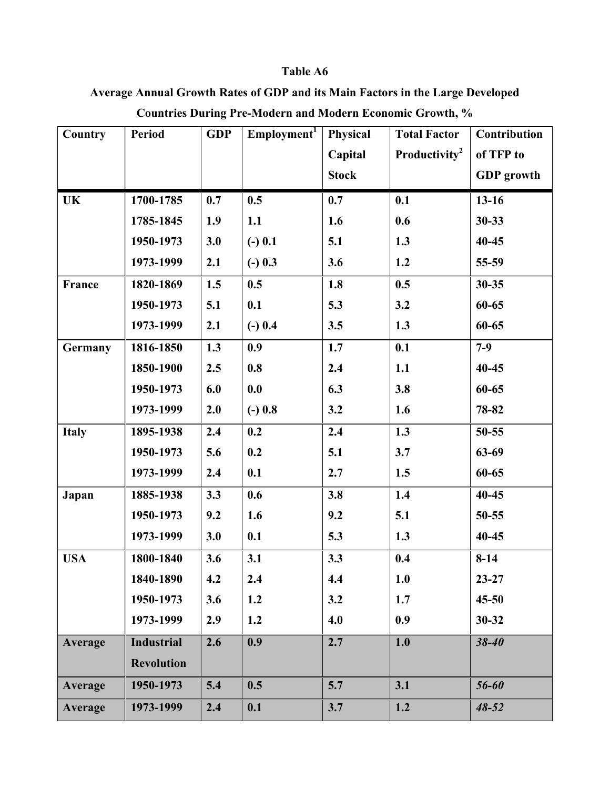**Average Annual Growth Rates of GDP and its Main Factors in the Large Developed Countries During Pre-Modern and Modern Economic Growth, %**

| <b>Country</b> | <b>Period</b>     | <b>GDP</b> | Employment <sup>1</sup> | Physical     | <b>Total Factor</b>       | Contribution      |
|----------------|-------------------|------------|-------------------------|--------------|---------------------------|-------------------|
|                |                   |            |                         | Capital      | Productivity <sup>2</sup> | of TFP to         |
|                |                   |            |                         | <b>Stock</b> |                           | <b>GDP</b> growth |
| <b>UK</b>      | 1700-1785         | 0.7        | 0.5                     | 0.7          | 0.1                       | $13 - 16$         |
|                | 1785-1845         | 1.9        | 1.1                     | 1.6          | 0.6                       | $30 - 33$         |
|                | 1950-1973         | 3.0        | $(-) 0.1$               | 5.1          | 1.3                       | $40 - 45$         |
|                | 1973-1999         | 2.1        | $(-) 0.3$               | 3.6          | 1.2                       | 55-59             |
| France         | 1820-1869         | 1.5        | 0.5                     | 1.8          | 0.5                       | $30 - 35$         |
|                | 1950-1973         | 5.1        | 0.1                     | 5.3          | 3.2                       | 60-65             |
|                | 1973-1999         | 2.1        | $(-) 0.4$               | 3.5          | 1.3                       | 60-65             |
| Germany        | 1816-1850         | 1.3        | 0.9                     | 1.7          | 0.1                       | $7-9$             |
|                | 1850-1900         | 2.5        | 0.8                     | 2.4          | 1.1                       | $40 - 45$         |
|                | 1950-1973         | 6.0        | 0.0                     | 6.3          | 3.8                       | 60-65             |
|                | 1973-1999         | 2.0        | $(-) 0.8$               | 3.2          | 1.6                       | 78-82             |
| <b>Italy</b>   | 1895-1938         | 2.4        | 0.2                     | 2.4          | 1.3                       | 50-55             |
|                | 1950-1973         | 5.6        | 0.2                     | 5.1          | 3.7                       | 63-69             |
|                | 1973-1999         | 2.4        | 0.1                     | 2.7          | 1.5                       | 60-65             |
| Japan          | 1885-1938         | 3.3        | 0.6                     | 3.8          | 1.4                       | $40 - 45$         |
|                | 1950-1973         | 9.2        | 1.6                     | 9.2          | 5.1                       | $50 - 55$         |
|                | 1973-1999         | 3.0        | 0.1                     | 5.3          | 1.3                       | $40 - 45$         |
| <b>USA</b>     | 1800-1840         | 3.6        | 3.1                     | 3.3          | 0.4                       | $8 - 14$          |
|                | 1840-1890         | 4.2        | 2.4                     | 4.4          | 1.0                       | $23 - 27$         |
|                | 1950-1973         | 3.6        | 1.2                     | 3.2          | 1.7                       | $45 - 50$         |
|                | 1973-1999         | 2.9        | 1.2                     | 4.0          | 0.9                       | $30 - 32$         |
| Average        | <b>Industrial</b> | 2.6        | 0.9                     | 2.7          | 1.0                       | $38 - 40$         |
|                | <b>Revolution</b> |            |                         |              |                           |                   |
| Average        | 1950-1973         | 5.4        | 0.5                     | 5.7          | 3.1                       | 56-60             |
| Average        | 1973-1999         | 2.4        | 0.1                     | 3.7          | 1.2                       | $48 - 52$         |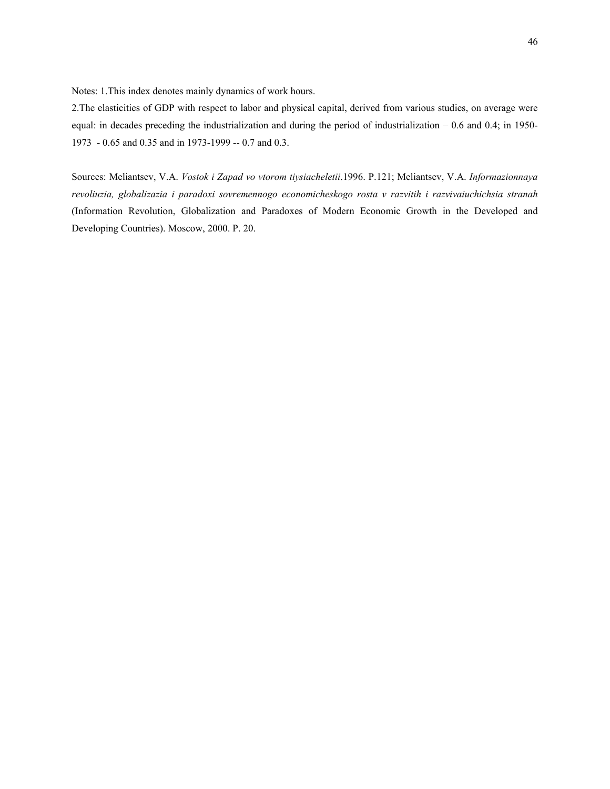Notes: 1.This index denotes mainly dynamics of work hours.

2.The elasticities of GDP with respect to labor and physical capital, derived from various studies, on average were equal: in decades preceding the industrialization and during the period of industrialization – 0.6 and 0.4; in 1950- 1973 - 0.65 and 0.35 and in 1973-1999 -- 0.7 and 0.3.

Sources: Meliantsev, V.A. *Vostok i Zapad vo vtorom tiysiacheletii*.1996. P.121; Meliantsev, V.A. *Informazionnaya revoliuzia, globalizazia i paradoxi sovremennogo economicheskogo rosta v razvitih i razvivaiuchichsia stranah* (Information Revolution, Globalization and Paradoxes of Modern Economic Growth in the Developed and Developing Countries). Moscow, 2000. P. 20.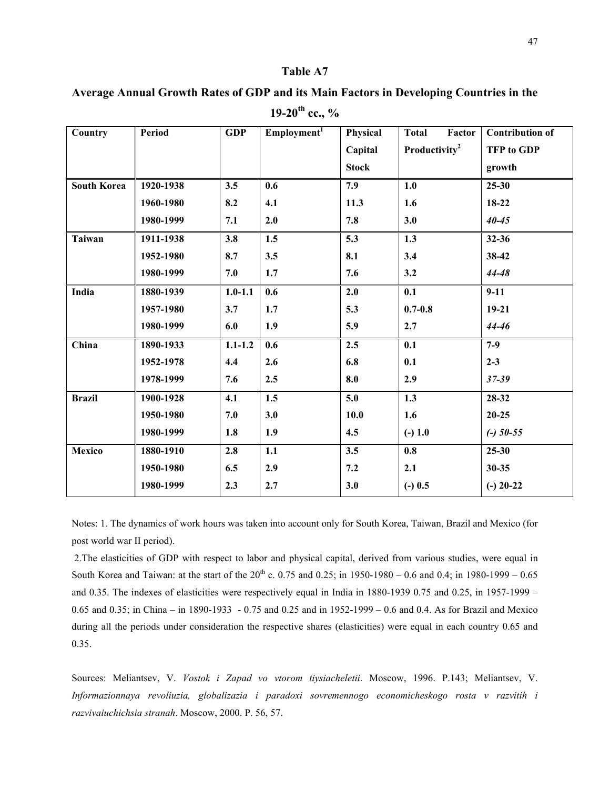| Country            | Period    | <b>GDP</b>  | Employment <sup>1</sup> | Physical     | Factor<br><b>Total</b>    | <b>Contribution of</b> |
|--------------------|-----------|-------------|-------------------------|--------------|---------------------------|------------------------|
|                    |           |             |                         | Capital      | Productivity <sup>2</sup> | <b>TFP</b> to GDP      |
|                    |           |             |                         | <b>Stock</b> |                           | growth                 |
| <b>South Korea</b> | 1920-1938 | 3.5         | 0.6                     | 7.9          | 1.0                       | $25 - 30$              |
|                    | 1960-1980 | 8.2         | 4.1                     | 11.3         | 1.6                       | 18-22                  |
|                    | 1980-1999 | 7.1         | 2.0                     | 7.8          | 3.0                       | $40 - 45$              |
| <b>Taiwan</b>      | 1911-1938 | 3.8         | 1.5                     | 5.3          | 1.3                       | 32-36                  |
|                    | 1952-1980 | 8.7         | 3.5                     | 8.1          | 3.4                       | 38-42                  |
|                    | 1980-1999 | 7.0         | 1.7                     | 7.6          | 3.2                       | 44-48                  |
| India              | 1880-1939 | $1.0 - 1.1$ | 0.6                     | 2.0          | 0.1                       | $9-11$                 |
|                    | 1957-1980 | 3.7         | 1.7                     | 5.3          | $0.7 - 0.8$               | $19 - 21$              |
|                    | 1980-1999 | 6.0         | 1.9                     | 5.9          | 2.7                       | 44-46                  |
| China              | 1890-1933 | $1.1 - 1.2$ | 0.6                     | 2.5          | 0.1                       | $7-9$                  |
|                    | 1952-1978 | 4.4         | 2.6                     | 6.8          | 0.1                       | $2 - 3$                |
|                    | 1978-1999 | 7.6         | 2.5                     | 8.0          | 2.9                       | $37 - 39$              |
| <b>Brazil</b>      | 1900-1928 | 4.1         | 1.5                     | 5.0          | 1.3                       | 28-32                  |
|                    | 1950-1980 | 7.0         | 3.0                     | 10.0         | 1.6                       | $20 - 25$              |
|                    | 1980-1999 | 1.8         | 1.9                     | 4.5          | $(-) 1.0$                 | $(-)$ 50-55            |
| Mexico             | 1880-1910 | 2.8         | 1.1                     | 3.5          | 0.8                       | $25 - 30$              |
|                    | 1950-1980 | 6.5         | 2.9                     | 7.2          | 2.1                       | $30 - 35$              |
|                    | 1980-1999 | 2.3         | 2.7                     | 3.0          | $(-) 0.5$                 | $(-)$ 20-22            |

**Average Annual Growth Rates of GDP and its Main Factors in Developing Countries in the** 

**19-20th cc., %** 

Notes: 1. The dynamics of work hours was taken into account only for South Korea, Taiwan, Brazil and Mexico (for post world war II period).

 2.The elasticities of GDP with respect to labor and physical capital, derived from various studies, were equal in South Korea and Taiwan: at the start of the  $20^{th}$  c. 0.75 and 0.25; in 1950-1980 – 0.6 and 0.4; in 1980-1999 – 0.65 and 0.35. The indexes of elasticities were respectively equal in India in 1880-1939 0.75 and 0.25, in 1957-1999 – 0.65 and 0.35; in China – in 1890-1933 - 0.75 and 0.25 and in 1952-1999 – 0.6 and 0.4. As for Brazil and Mexico during all the periods under consideration the respective shares (elasticities) were equal in each country 0.65 and 0.35.

Sources: Meliantsev, V. *Vostok i Zapad vo vtorom tiysiacheletii*. Moscow, 1996. P.143; Meliantsev, V. *Informazionnaya revoliuzia, globalizazia i paradoxi sovremennogo economicheskogo rosta v razvitih i razvivaiuchichsia stranah*. Moscow, 2000. P. 56, 57.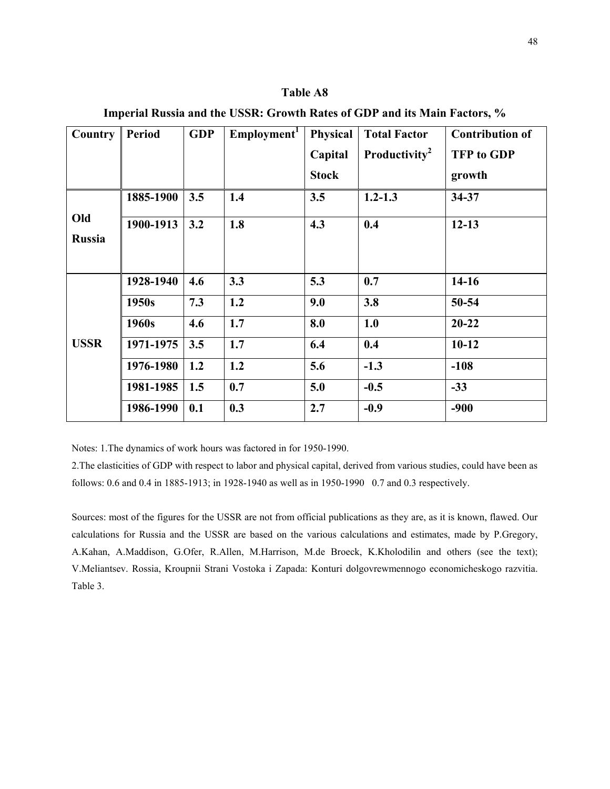**Imperial Russia and the USSR: Growth Rates of GDP and its Main Factors, % Country Period GDP Employment1 Physical Capital Stock Total Factor Productivity2 Contribution of TFP to GDP growth**  1885-1900 3.5 1.4 3.5 1.2-1.3 34-37 **Old Russia 1900-1913 3.2 1.8 4.3 0.4 12-13 1928-1940 4.6 3.3 5.3 0.7 14-16**  1950s | 7.3 | 1.2 | 9.0 | 3.8 | 50-54 **1960s 4.6 1.7 8.0 1.0 20-22 1971-1975 3.5 1.7 6.4 0.4 10-12 1976-1980 1.2 1.2 5.6 -1.3 -108 1981-1985 1.5 0.7 5.0 -0.5 -33 USSR**   $1986-1990 \mid 0.1 \mid 0.3 \mid 2.7 \mid -0.9 \mid -900$ 

Notes: 1.The dynamics of work hours was factored in for 1950-1990.

2.The elasticities of GDP with respect to labor and physical capital, derived from various studies, could have been as follows: 0.6 and 0.4 in 1885-1913; in 1928-1940 as well as in 1950-1990 0.7 and 0.3 respectively.

Sources: most of the figures for the USSR are not from official publications as they are, as it is known, flawed. Our calculations for Russia and the USSR are based on the various calculations and estimates, made by P.Gregory, A.Kahan, A.Maddison, G.Ofer, R.Allen, M.Harrison, M.de Broeck, K.Kholodilin and others (see the text); V.Meliantsev. Rossia, Kroupnii Strani Vostoka i Zapada: Konturi dolgovrewmennogo economicheskogo razvitia. Table 3.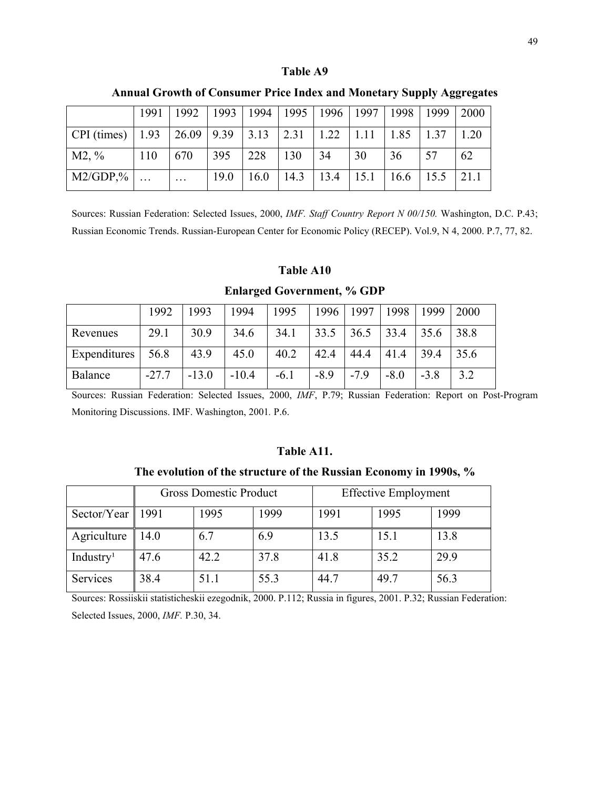|                                  | 1991 | 1992                                                 |      | 1993   1994   1995   1996   1997 |      |               |      | 1998 | $1999$ | 2000 |
|----------------------------------|------|------------------------------------------------------|------|----------------------------------|------|---------------|------|------|--------|------|
| $\vert$ CPI (times) $\vert$ 1.93 |      | $\vert 26.09 \vert 9.39 \vert 3.13 \vert 2.31 \vert$ |      |                                  |      | $1.22$   1.11 |      | 1.85 | 1.37   | 1.20 |
| $M2, \%$                         | 110  | 670                                                  | 395  | 228                              | 130  | 34            | 30   | 36   | 57     | 62   |
| $M2/GDP,\%$                      |      | $\cdot\cdot\cdot$                                    | 19.0 | 16.0                             | 14.3 | 13.4          | 15.1 | 16.6 | 15.5   | 21.1 |

**Annual Growth of Consumer Price Index and Monetary Supply Aggregates** 

Sources: Russian Federation: Selected Issues, 2000, *IMF. Staff Country Report N 00/150.* Washington, D.C. P.43; Russian Economic Trends. Russian-European Center for Economic Policy (RECEP). Vol.9, N 4, 2000. P.7, 77, 82.

### **Table A10**

**Enlarged Government, % GDP** 

|              | 1992    | 1993    | 1994    | 1995   | 1996   | 1997   | 1998   | 1999   | 2000 |
|--------------|---------|---------|---------|--------|--------|--------|--------|--------|------|
| Revenues     | 29.1    | 30.9    | 34.6    | 34.1   | 33.5   | 36.5   | 33.4   | 35.6   | 38.8 |
| Expenditures | 56.8    | 43.9    | 45.0    | 40.2   | 42.4   | 44.4   | 41.4   | 39.4   | 35.6 |
| Balance      | $-27.7$ | $-13.0$ | $-10.4$ | $-6.1$ | $-8.9$ | $-7.9$ | $-8.0$ | $-3.8$ | 3.2  |

Sources: Russian Federation: Selected Issues, 2000, *IMF*, P.79; Russian Federation: Report on Post-Program Monitoring Discussions. IMF. Washington, 2001*.* P.6.

### **Table A11.**

**The evolution of the structure of the Russian Economy in 1990s, %**

|                       | <b>Gross Domestic Product</b> |      |      | <b>Effective Employment</b> |      |      |  |  |
|-----------------------|-------------------------------|------|------|-----------------------------|------|------|--|--|
| Sector/Year           | 1991                          | 1995 | 1999 | 1991                        | 1995 | 1999 |  |  |
| Agriculture           | 14.0                          | 6.7  | 6.9  | 13.5                        | 15.1 | 13.8 |  |  |
| Industry <sup>1</sup> | 47.6                          | 42.2 | 37.8 | 41.8                        | 35.2 | 29.9 |  |  |
| <b>Services</b>       | 38.4                          | 51.1 | 55.3 | 44.7                        | 49.7 | 56.3 |  |  |

Sources: Rossiiskii statisticheskii ezegodnik, 2000. P.112; Russia in figures, 2001. P.32; Russian Federation: Selected Issues, 2000, *IMF.* P.30, 34.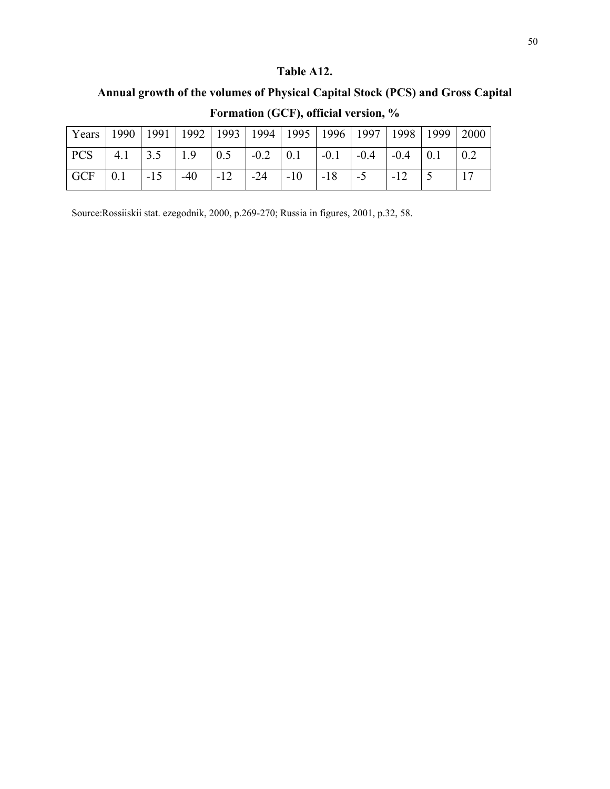# **Table A12.**

# **Annual growth of the volumes of Physical Capital Stock (PCS) and Gross Capital**

| Years   1990   1991   1992   1993   1994   1995   1996   1997   1998   1999   2000                                                                  |  |  |  |  |  |  |
|-----------------------------------------------------------------------------------------------------------------------------------------------------|--|--|--|--|--|--|
| $\vert$ PCS $\vert$ 4.1 $\vert$ 3.5 $\vert$ 1.9 $\vert$ 0.5 $\vert$ -0.2 $\vert$ 0.1 $\vert$ -0.1 $\vert$ -0.4 $\vert$ -0.4 $\vert$ 0.1 $\vert$ 0.2 |  |  |  |  |  |  |
| $\vert$ GCF $\vert$ 0.1 $\vert$ -15 $\vert$ -40 $\vert$ -12 $\vert$ -24 $\vert$ -10 $\vert$ -18 $\vert$ -5 $\vert$ -12 $\vert$ 5                    |  |  |  |  |  |  |

**Formation (GCF), official version, %** 

Source:Rossiiskii stat. ezegodnik, 2000, p.269-270; Russia in figures, 2001, p.32, 58.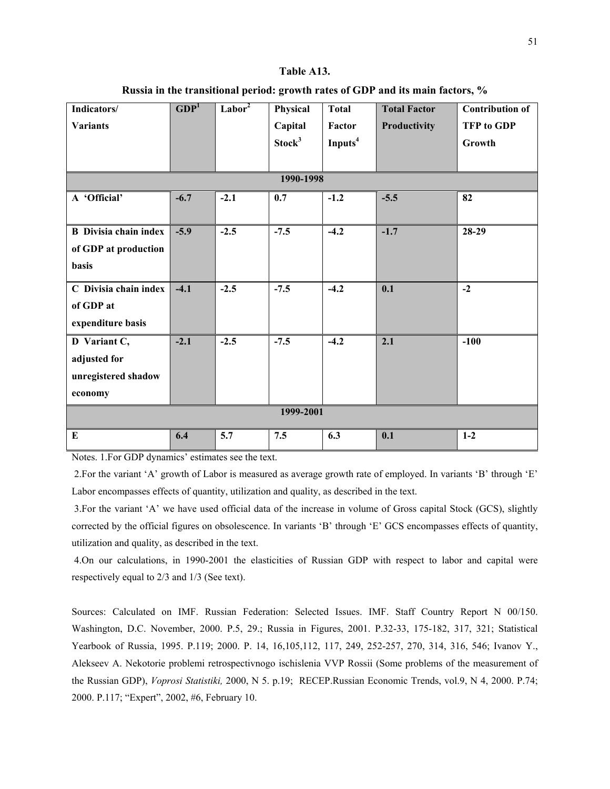#### **Table A13.**

| Russia in the transitional period: growth rates of GDP and its main factors, % |  |  |  |  |  |  |  |  |  |  |  |  |  |  |
|--------------------------------------------------------------------------------|--|--|--|--|--|--|--|--|--|--|--|--|--|--|
|--------------------------------------------------------------------------------|--|--|--|--|--|--|--|--|--|--|--|--|--|--|

| Indicators/                  | GDP <sup>1</sup> | Labor <sup>2</sup> | Physical           | <b>Total</b>        | <b>Total Factor</b> | <b>Contribution of</b> |  |  |  |  |  |
|------------------------------|------------------|--------------------|--------------------|---------------------|---------------------|------------------------|--|--|--|--|--|
| <b>Variants</b>              |                  |                    | Capital            | Factor              | Productivity        | <b>TFP</b> to GDP      |  |  |  |  |  |
|                              |                  |                    | Stock <sup>3</sup> | Inputs <sup>4</sup> |                     | Growth                 |  |  |  |  |  |
|                              |                  |                    |                    |                     |                     |                        |  |  |  |  |  |
| 1990-1998                    |                  |                    |                    |                     |                     |                        |  |  |  |  |  |
| A 'Official'                 | $-6.7$           | $-2.1$             | 0.7                | $-1.2$              | $-5.5$              | 82                     |  |  |  |  |  |
|                              |                  |                    |                    |                     |                     |                        |  |  |  |  |  |
| <b>B</b> Divisia chain index | $-5.9$           | $-2.5$             | $-7.5$             | $-4.2$              | $-1.7$              | 28-29                  |  |  |  |  |  |
| of GDP at production         |                  |                    |                    |                     |                     |                        |  |  |  |  |  |
| basis                        |                  |                    |                    |                     |                     |                        |  |  |  |  |  |
| C Divisia chain index        | $-4.1$           | $-2.5$             | $-7.5$             | $-4.2$              | 0.1                 | $-2$                   |  |  |  |  |  |
| of GDP at                    |                  |                    |                    |                     |                     |                        |  |  |  |  |  |
| expenditure basis            |                  |                    |                    |                     |                     |                        |  |  |  |  |  |
| D Variant C,                 | $-2.1$           | $-2.5$             | $-7.5$             | $-4.2$              | 2.1                 | $-100$                 |  |  |  |  |  |
| adjusted for                 |                  |                    |                    |                     |                     |                        |  |  |  |  |  |
| unregistered shadow          |                  |                    |                    |                     |                     |                        |  |  |  |  |  |
| economy                      |                  |                    |                    |                     |                     |                        |  |  |  |  |  |
| 1999-2001                    |                  |                    |                    |                     |                     |                        |  |  |  |  |  |
| ${\bf E}$                    | 6.4              | 5.7                | 7.5                | 6.3                 | 0.1                 | $1-2$                  |  |  |  |  |  |

Notes. 1.For GDP dynamics' estimates see the text.

 2.For the variant 'A' growth of Labor is measured as average growth rate of employed. In variants 'B' through 'E' Labor encompasses effects of quantity, utilization and quality, as described in the text.

 3.For the variant 'A' we have used official data of the increase in volume of Gross capital Stock (GCS), slightly corrected by the official figures on obsolescence. In variants 'B' through 'E' GCS encompasses effects of quantity, utilization and quality, as described in the text.

 4.On our calculations, in 1990-2001 the elasticities of Russian GDP with respect to labor and capital were respectively equal to 2/3 and 1/3 (See text).

Sources: Calculated on IMF. Russian Federation: Selected Issues. IMF. Staff Country Report N 00/150. Washington, D.C. November, 2000. P.5, 29.; Russia in Figures, 2001. P.32-33, 175-182, 317, 321; Statistical Yearbook of Russia, 1995. P.119; 2000. P. 14, 16,105,112, 117, 249, 252-257, 270, 314, 316, 546; Ivanov Y., Alekseev A. Nekotorie problemi retrospectivnogo ischislenia VVP Rossii (Some problems of the measurement of the Russian GDP), *Voprosi Statistiki,* 2000, N 5. p.19; RECEP.Russian Economic Trends, vol.9, N 4, 2000. P.74; 2000. P.117; "Expert", 2002, #6, February 10.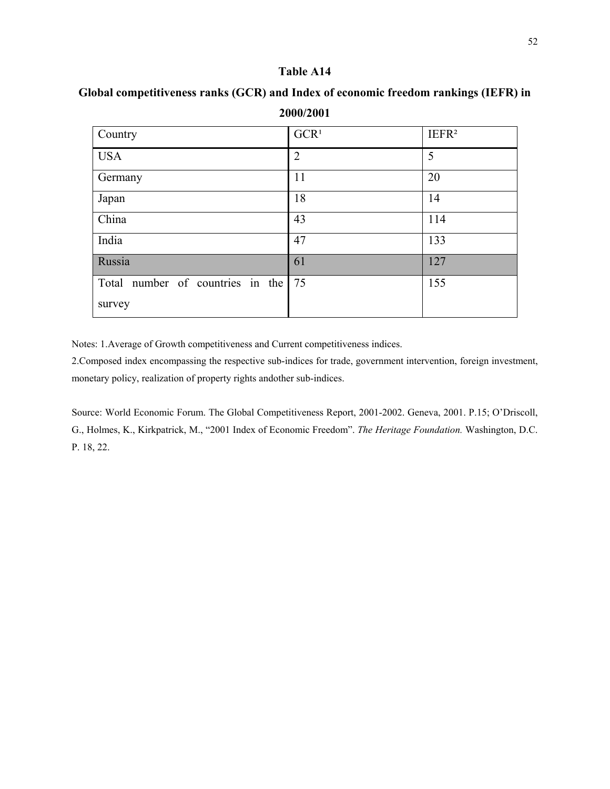| Country                          | GCR <sup>1</sup> | IEFR <sup>2</sup> |
|----------------------------------|------------------|-------------------|
| <b>USA</b>                       | $\overline{2}$   | 5                 |
| Germany                          | 11               | 20                |
| Japan                            | 18               | 14                |
| China                            | 43               | 114               |
| India                            | 47               | 133               |
| Russia                           | 61               | 127               |
| Total number of countries in the | 75               | 155               |
| survey                           |                  |                   |

**Global competitiveness ranks (GCR) and Index of economic freedom rankings (IEFR) in 2000/2001** 

Notes: 1.Average of Growth competitiveness and Current competitiveness indices.

2.Composed index encompassing the respective sub-indices for trade, government intervention, foreign investment, monetary policy, realization of property rights andother sub-indices.

Source: World Economic Forum. The Global Competitiveness Report, 2001-2002. Geneva, 2001. P.15; O'Driscoll, G., Holmes, K., Kirkpatrick, M., "2001 Index of Economic Freedom". *The Heritage Foundation.* Washington, D.C. P. 18, 22.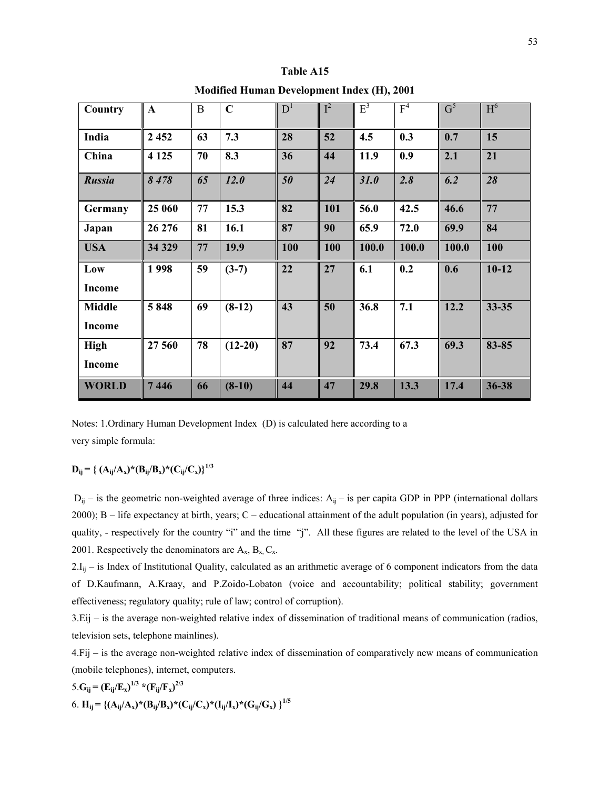| Country       | $\mathbf{A}$ | B  | $\mathbf C$ | $D^1$ | $I^2$ | $E^3$ | F <sup>4</sup> | $G^5$ | H <sub>6</sub> |
|---------------|--------------|----|-------------|-------|-------|-------|----------------|-------|----------------|
|               |              |    |             |       |       |       |                |       |                |
| India         | 2 4 5 2      | 63 | 7.3         | 28    | 52    | 4.5   | 0.3            | 0.7   | 15             |
| China         | 4 1 2 5      | 70 | 8.3         | 36    | 44    | 11.9  | 0.9            | 2.1   | 21             |
| <b>Russia</b> | 8478         | 65 | 12.0        | 50    | 24    | 31.0  | 2.8            | 6.2   | 28             |
| Germany       | 25 060       | 77 | 15.3        | 82    | 101   | 56.0  | 42.5           | 46.6  | 77             |
| Japan         | 26 276       | 81 | 16.1        | 87    | 90    | 65.9  | 72.0           | 69.9  | 84             |
| <b>USA</b>    | 34 329       | 77 | 19.9        | 100   | 100   | 100.0 | 100.0          | 100.0 | 100            |
| Low           | 1998         | 59 | $(3-7)$     | 22    | 27    | 6.1   | 0.2            | 0.6   | $10-12$        |
| <b>Income</b> |              |    |             |       |       |       |                |       |                |
| <b>Middle</b> | 5848         | 69 | $(8-12)$    | 43    | 50    | 36.8  | 7.1            | 12.2  | $33 - 35$      |
| <b>Income</b> |              |    |             |       |       |       |                |       |                |
| <b>High</b>   | 27 560       | 78 | $(12-20)$   | 87    | 92    | 73.4  | 67.3           | 69.3  | $83 - 85$      |
| <b>Income</b> |              |    |             |       |       |       |                |       |                |
| <b>WORLD</b>  | 7446         | 66 | $(8-10)$    | 44    | 47    | 29.8  | 13.3           | 17.4  | 36-38          |

**Table A15** 

**Modified Human Development Index (H), 2001**

Notes: 1.Ordinary Human Development Index (D) is calculated here according to a very simple formula:

# $D_{ii} = \frac{2}{3} (A_{ii}/A_x)^*(B_{ii}/B_x)^*(C_{ii}/C_x)^{1/3}$

 $D_{ij}$  – is the geometric non-weighted average of three indices:  $A_{ij}$  – is per capita GDP in PPP (international dollars 2000); B – life expectancy at birth, years; C – educational attainment of the adult population (in years), adjusted for quality, - respectively for the country "i" and the time "j". All these figures are related to the level of the USA in 2001. Respectively the denominators are  $A_x$ ,  $B_x$ ,  $C_x$ .

 $2.I_{ij}$  – is Index of Institutional Quality, calculated as an arithmetic average of 6 component indicators from the data of D.Kaufmann, A.Kraay, and P.Zoido-Lobaton (voice and accountability; political stability; government effectiveness; regulatory quality; rule of law; control of corruption).

3.Eij – is the average non-weighted relative index of dissemination of traditional means of communication (radios, television sets, telephone mainlines).

4.Fij – is the average non-weighted relative index of dissemination of comparatively new means of communication (mobile telephones), internet, computers.

5. 
$$
G_{ij} = (E_{ij}/E_x)^{1/3} * (F_{ij}/F_x)^{2/3}
$$
  
6.  $H_{ij} = \{(A_{ij}/A_x)^* (B_{ij}/B_x)^* (C_{ij}/C_x)^* (I_{ij}/I_x)^* (G_{ij}/G_x)\}^{1/5}$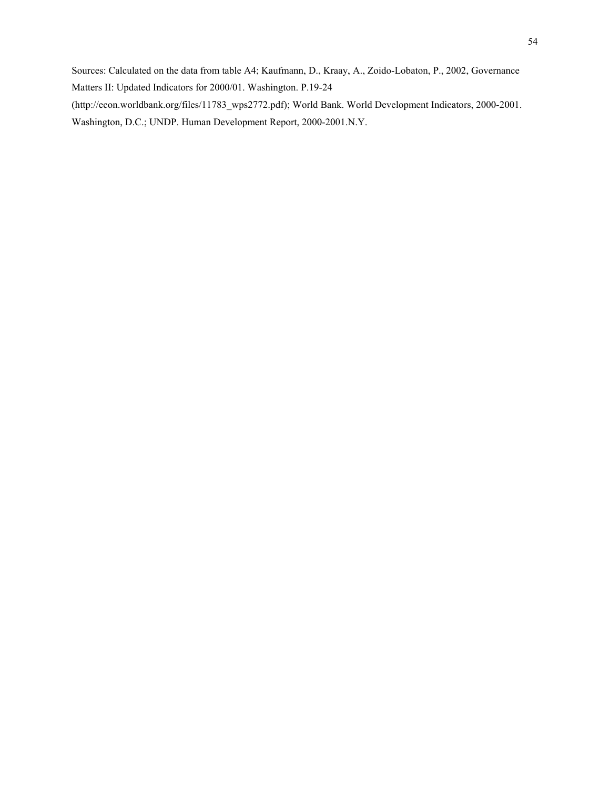Sources: Calculated on the data from table A4; Kaufmann, D., Kraay, A., Zoido-Lobaton, P., 2002, Governance Matters II: Updated Indicators for 2000/01. Washington. P.19-24

(http://econ.worldbank.org/files/11783\_wps2772.pdf); World Bank. World Development Indicators, 2000-2001. Washington, D.C.; UNDP. Human Development Report, 2000-2001.N.Y.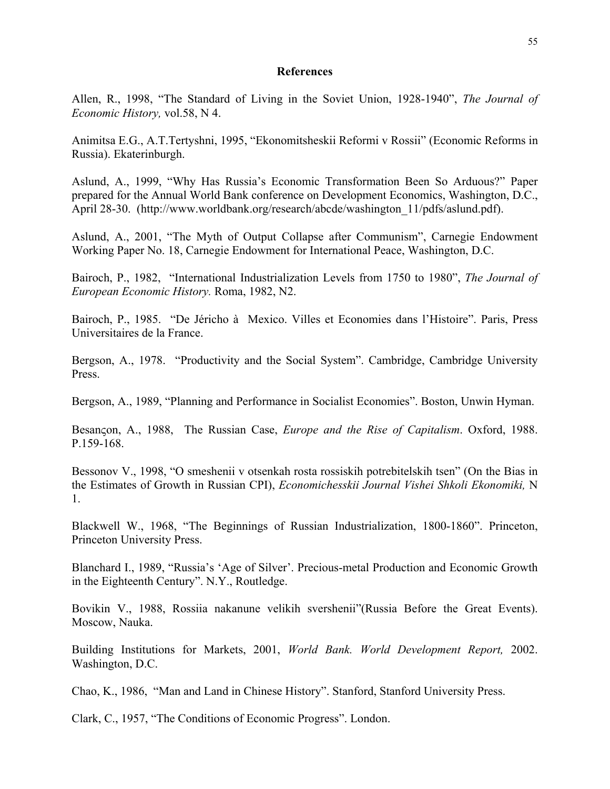### **References**

Allen, R., 1998, "The Standard of Living in the Soviet Union, 1928-1940", *The Journal of Economic History,* vol.58, N 4.

Animitsa E.G., A.T.Tertyshni, 1995, "Ekonomitsheskii Reformi v Rossii" (Economic Reforms in Russia). Ekaterinburgh.

Aslund, A., 1999, "Why Has Russia's Economic Transformation Been So Arduous?" Paper prepared for the Annual World Bank conference on Development Economics, Washington, D.C., April 28-30. (http://www.worldbank.org/research/abcde/washington\_11/pdfs/aslund.pdf).

Aslund, A., 2001, "The Myth of Output Collapse after Communism", Carnegie Endowment Working Paper No. 18, Carnegie Endowment for International Peace, Washington, D.C.

Bairoch, P., 1982, "International Industrialization Levels from 1750 to 1980", *The Journal of European Economic History.* Roma, 1982, N2.

Bairoch, P., 1985. "De Jéricho à Mexico. Villes et Economies dans l'Histoire". Paris, Press Universitaires de la France.

Bergson, A., 1978. "Productivity and the Social System". Cambridge, Cambridge University Press.

Bergson, A., 1989, "Planning and Performance in Socialist Economies". Boston, Unwin Hyman.

Besanςon, A., 1988, The Russian Case, *Europe and the Rise of Capitalism*. Oxford, 1988. P.159-168.

Bessonov V., 1998, "O smeshenii v otsenkah rosta rossiskih potrebitelskih tsen" (On the Bias in the Estimates of Growth in Russian CPI), *Economichesskii Journal Vishei Shkoli Ekonomiki,* N 1.

Blackwell W., 1968, "The Beginnings of Russian Industrialization, 1800-1860". Princeton, Princeton University Press.

Blanchard I., 1989, "Russia's 'Age of Silver'. Precious-metal Production and Economic Growth in the Eighteenth Century". N.Y., Routledge.

Bovikin V., 1988, Rossiia nakanune velikih svershenii"(Russia Before the Great Events). Moscow, Nauka.

Building Institutions for Markets, 2001, *World Bank. World Development Report,* 2002. Washington, D.C.

Chao, K., 1986, "Man and Land in Chinese History". Stanford, Stanford University Press.

Clark, C., 1957, "The Conditions of Economic Progress". London.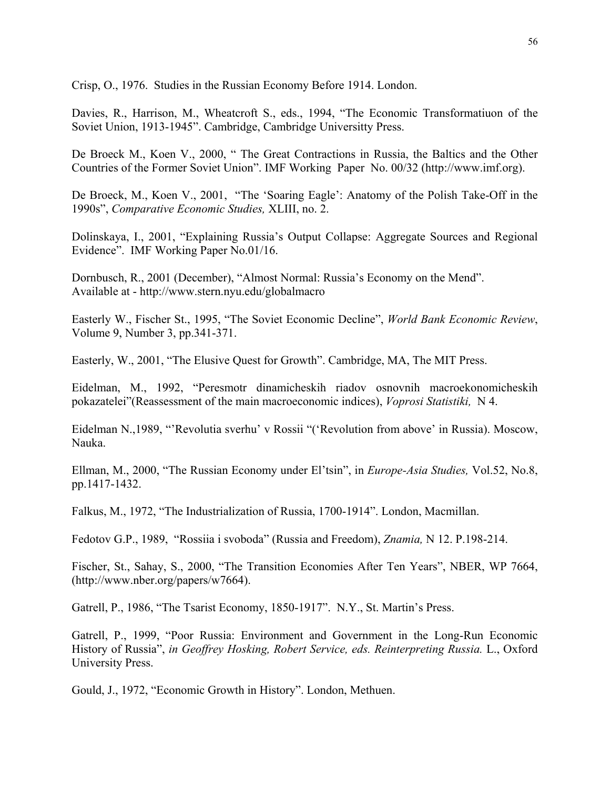Crisp, O., 1976. Studies in the Russian Economy Before 1914. London.

Davies, R., Harrison, M., Wheatcroft S., eds., 1994, "The Economic Transformatiuon of the Soviet Union, 1913-1945". Cambridge, Cambridge Universitty Press.

De Broeck M., Koen V., 2000, " The Great Contractions in Russia, the Baltics and the Other Countries of the Former Soviet Union". IMF Working Paper No. 00/32 (http://www.imf.org).

De Broeck, M., Koen V., 2001, "The 'Soaring Eagle': Anatomy of the Polish Take-Off in the 1990s", *Comparative Economic Studies,* XLIII, no. 2.

Dolinskaya, I., 2001, "Explaining Russia's Output Collapse: Aggregate Sources and Regional Evidence". IMF Working Paper No.01/16.

Dornbusch, R., 2001 (December), "Almost Normal: Russia's Economy on the Mend". Available at - http://www.stern.nyu.edu/globalmacro

Easterly W., Fischer St., 1995, "The Soviet Economic Decline", *World Bank Economic Review*, Volume 9, Number 3, pp.341-371.

Easterly, W., 2001, "The Elusive Quest for Growth". Cambridge, MA, The MIT Press.

Eidelman, M., 1992, "Peresmotr dinamicheskih riadov osnovnih macroekonomicheskih pokazatelei"(Reassessment of the main macroeconomic indices), *Voprosi Statistiki,* N 4.

Eidelman N.,1989, "'Revolutia sverhu' v Rossii "('Revolution from above' in Russia). Moscow, Nauka.

Ellman, M., 2000, "The Russian Economy under El'tsin", in *Europe-Asia Studies,* Vol.52, No.8, pp.1417-1432.

Falkus, M., 1972, "The Industrialization of Russia, 1700-1914". London, Macmillan.

Fedotov G.P., 1989, "Rossiia i svoboda" (Russia and Freedom), *Znamia,* N 12. P.198-214.

Fischer, St., Sahay, S., 2000, "The Transition Economies After Ten Years", NBER, WP 7664, (http://www.nber.org/papers/w7664).

Gatrell, P., 1986, "The Tsarist Economy, 1850-1917". N.Y., St. Martin's Press.

Gatrell, P., 1999, "Poor Russia: Environment and Government in the Long-Run Economic History of Russia", *in Geoffrey Hosking, Robert Service, eds. Reinterpreting Russia.* L., Oxford University Press.

Gould, J., 1972, "Economic Growth in History". London, Methuen.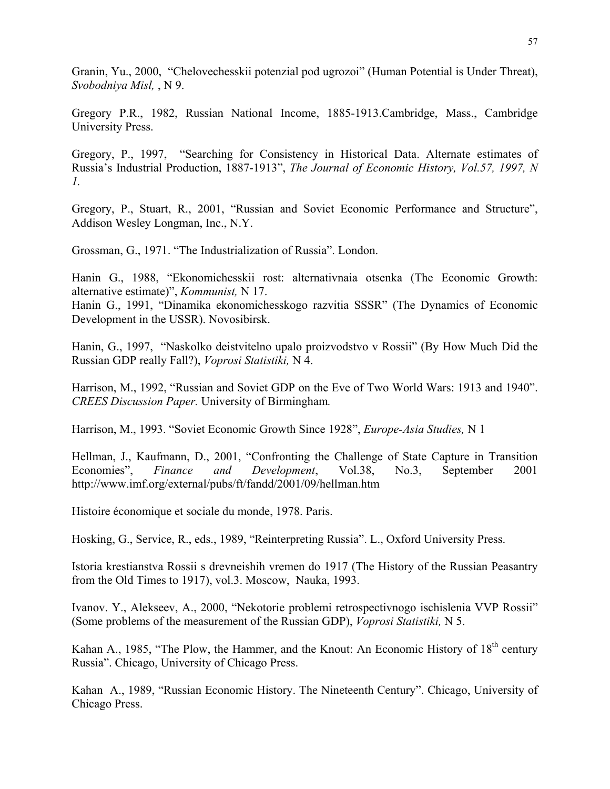Granin, Yu., 2000, "Chelovechesskii potenzial pod ugrozoi" (Human Potential is Under Threat), *Svobodniya Misl,* , N 9.

Gregory P.R., 1982, Russian National Income, 1885-1913.Cambridge, Mass., Cambridge University Press.

Gregory, P., 1997, "Searching for Consistency in Historical Data. Alternate estimates of Russia's Industrial Production, 1887-1913", *The Journal of Economic History, Vol.57, 1997, N 1.*

Gregory, P., Stuart, R., 2001, "Russian and Soviet Economic Performance and Structure", Addison Wesley Longman, Inc., N.Y.

Grossman, G., 1971. "The Industrialization of Russia". London.

Hanin G., 1988, "Ekonomichesskii rost: alternativnaia otsenka (The Economic Growth: alternative estimate)", *Kommunist,* N 17.

Hanin G., 1991, "Dinamika ekonomichesskogo razvitia SSSR" (The Dynamics of Economic Development in the USSR). Novosibirsk.

Hanin, G., 1997, "Naskolko deistvitelno upalo proizvodstvo v Rossii" (By How Much Did the Russian GDP really Fall?), *Voprosi Statistiki,* N 4.

Harrison, M., 1992, "Russian and Soviet GDP on the Eve of Two World Wars: 1913 and 1940". *CREES Discussion Paper.* University of Birmingham*.*

Harrison, M., 1993. "Soviet Economic Growth Since 1928", *Europe-Asia Studies,* N 1

Hellman, J., Kaufmann, D., 2001, "Confronting the Challenge of State Capture in Transition Economies", *Finance and Development*, Vol.38, No.3, September 2001 http://www.imf.org/external/pubs/ft/fandd/2001/09/hellman.htm

Histoire économique et sociale du monde, 1978. Paris.

Hosking, G., Service, R., eds., 1989, "Reinterpreting Russia". L., Oxford University Press.

Istoria krestianstva Rossii s drevneishih vremen do 1917 (The History of the Russian Peasantry from the Old Times to 1917), vol.3. Moscow, Nauka, 1993.

Ivanov. Y., Alekseev, A., 2000, "Nekotorie problemi retrospectivnogo ischislenia VVP Rossii" (Some problems of the measurement of the Russian GDP), *Voprosi Statistiki,* N 5.

Kahan A., 1985, "The Plow, the Hammer, and the Knout: An Economic History of  $18<sup>th</sup>$  century Russia". Chicago, University of Chicago Press.

Kahan A., 1989, "Russian Economic History. The Nineteenth Century". Chicago, University of Chicago Press.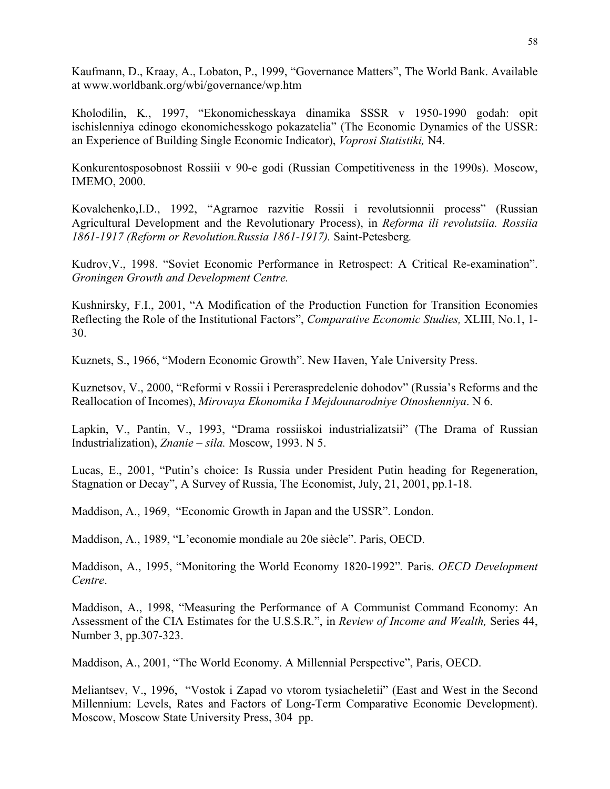Kaufmann, D., Kraay, A., Lobaton, P., 1999, "Governance Matters", The World Bank. Available at www.worldbank.org/wbi/governance/wp.htm

Kholodilin, K., 1997, "Ekonomichesskaya dinamika SSSR v 1950-1990 godah: opit ischislenniya edinogo ekonomichesskogo pokazatelia" (The Economic Dynamics of the USSR: an Experience of Building Single Economic Indicator), *Voprosi Statistiki,* N4.

Konkurentosposobnost Rossiii v 90-e godi (Russian Competitiveness in the 1990s). Moscow, IMEMO, 2000.

Kovalchenko,I.D., 1992, "Agrarnoe razvitie Rossii i revolutsionnii process" (Russian Agricultural Development and the Revolutionary Process), in *Reforma ili revolutsiia. Rossiia 1861-1917 (Reform or Revolution.Russia 1861-1917).* Saint-Petesberg*.* 

Kudrov,V., 1998. "Soviet Economic Performance in Retrospect: A Critical Re-examination". *Groningen Growth and Development Centre.* 

Kushnirsky, F.I., 2001, "A Modification of the Production Function for Transition Economies Reflecting the Role of the Institutional Factors", *Comparative Economic Studies,* XLIII, No.1, 1- 30.

Kuznets, S., 1966, "Modern Economic Growth". New Haven, Yale University Press.

Kuznetsov, V., 2000, "Reformi v Rossii i Pereraspredelenie dohodov" (Russia's Reforms and the Reallocation of Incomes), *Mirovaya Ekonomika I Mejdounarodniye Otnoshenniya*. N 6.

Lapkin, V., Pantin, V., 1993, "Drama rossiiskoi industrializatsii" (The Drama of Russian Industrialization), *Znanie – sila.* Moscow, 1993. N 5.

Lucas, E., 2001, "Putin's choice: Is Russia under President Putin heading for Regeneration, Stagnation or Decay", A Survey of Russia, The Economist, July, 21, 2001, pp.1-18.

Maddison, A., 1969, "Economic Growth in Japan and the USSR". London.

Maddison, A., 1989, "L'economie mondiale au 20e siècle". Paris, OECD.

Maddison, A., 1995, "Monitoring the World Economy 1820-1992"*.* Paris. *OECD Development Centre*.

Maddison, A., 1998, "Measuring the Performance of A Communist Command Economy: An Assessment of the CIA Estimates for the U.S.S.R.", in *Review of Income and Wealth,* Series 44, Number 3, pp.307-323.

Maddison, A., 2001, "The World Economy. A Millennial Perspective", Paris, OECD.

Meliantsev, V., 1996, "Vostok i Zapad vo vtorom tysiacheletii" (East and West in the Second Millennium: Levels, Rates and Factors of Long-Term Comparative Economic Development). Moscow, Moscow State University Press, 304 pp.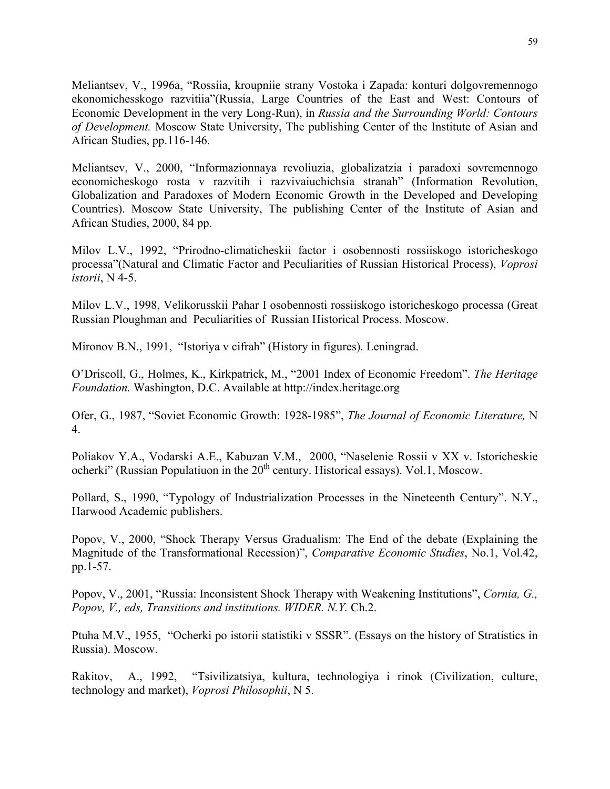Meliantsev, V., 1996a, "Rossiia, kroupniie strany Vostoka i Zapada: konturi dolgovremennogo ekonomichesskogo razvitiia"(Russia, Large Countries of the East and West: Contours of Economic Development in the very Long-Run), in *Russia and the Surrounding World: Contours of Development.* Moscow State University, The publishing Center of the Institute of Asian and African Studies, pp.116-146.

Meliantsev, V., 2000, "Informazionnaya revoliuzia, globalizatzia i paradoxi sovremennogo economicheskogo rosta v razvitih i razvivaiuchichsia stranah" (Information Revolution, Globalization and Paradoxes of Modern Economic Growth in the Developed and Developing Countries). Moscow State University, The publishing Center of the Institute of Asian and African Studies, 2000, 84 pp.

Milov L.V., 1992, "Prirodno-climaticheskii factor i osobennosti rossiiskogo istoricheskogo processa"(Natural and Climatic Factor and Peculiarities of Russian Historical Process), *Voprosi istorii*, N 4-5.

Milov L.V., 1998, Velikorusskii Pahar I osobennosti rossiiskogo istoricheskogo processa (Great Russian Ploughman and Peculiarities of Russian Historical Process. Moscow.

Mironov B.N., 1991, "Istoriya v cifrah" (History in figures). Leningrad.

O'Driscoll, G., Holmes, K., Kirkpatrick, M., "2001 Index of Economic Freedom". *The Heritage Foundation.* Washington, D.C. Available at http://index.heritage.org

Ofer, G., 1987, "Soviet Economic Growth: 1928-1985", *The Journal of Economic Literature,* N 4.

Poliakov Y.A., Vodarski A.E., Kabuzan V.M., 2000, "Naselenie Rossii v XX v. Istoricheskie ocherki" (Russian Populatiuon in the  $20<sup>th</sup>$  century. Historical essays). Vol.1, Moscow.

Pollard, S., 1990, "Typology of Industrialization Processes in the Nineteenth Century". N.Y., Harwood Academic publishers.

Popov, V., 2000, "Shock Therapy Versus Gradualism: The End of the debate (Explaining the Magnitude of the Transformational Recession)", *Comparative Economic Studies*, No.1, Vol.42, pp.1-57.

Popov, V., 2001, "Russia: Inconsistent Shock Therapy with Weakening Institutions", *Cornia, G., Popov, V., eds, Transitions and institutions. WIDER. N.Y.* Ch.2.

Ptuha M.V., 1955, "Ocherki po istorii statistiki v SSSR". (Essays on the history of Stratistics in Russia). Moscow.

Rakitov, A., 1992, "Tsivilizatsiya, kultura, technologiya i rinok (Civilization, culture, technology and market), *Voprosi Philosophii*, N 5.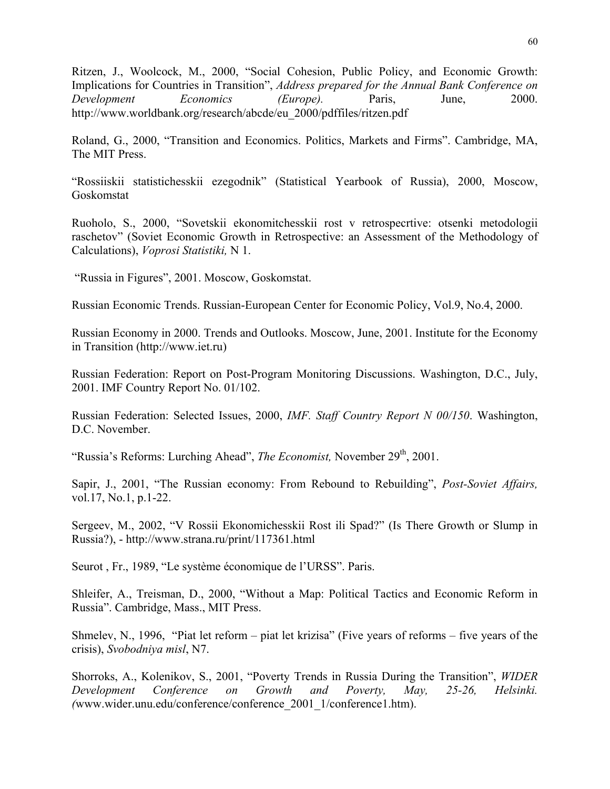Ritzen, J., Woolcock, M., 2000, "Social Cohesion, Public Policy, and Economic Growth: Implications for Countries in Transition", *Address prepared for the Annual Bank Conference on Development Economics (Europe).* Paris, June, 2000. http://www.worldbank.org/research/abcde/eu\_2000/pdffiles/ritzen.pdf

Roland, G., 2000, "Transition and Economics. Politics, Markets and Firms". Cambridge, MA, The MIT Press.

"Rossiiskii statistichesskii ezegodnik" (Statistical Yearbook of Russia), 2000, Moscow, Goskomstat

Ruoholo, S., 2000, "Sovetskii ekonomitchesskii rost v retrospecrtive: otsenki metodologii raschetov" (Soviet Economic Growth in Retrospective: an Assessment of the Methodology of Calculations), *Voprosi Statistiki,* N 1.

"Russia in Figures", 2001. Moscow, Goskomstat.

Russian Economic Trends. Russian-European Center for Economic Policy, Vol.9, No.4, 2000.

Russian Economy in 2000. Trends and Outlooks. Moscow, June, 2001. Institute for the Economy in Transition (http://www.iet.ru)

Russian Federation: Report on Post-Program Monitoring Discussions. Washington, D.C., July, 2001. IMF Country Report No. 01/102.

Russian Federation: Selected Issues, 2000, *IMF. Staff Country Report N 00/150*. Washington, D.C. November.

"Russia's Reforms: Lurching Ahead", *The Economist*, November 29<sup>th</sup>, 2001.

Sapir, J., 2001, "The Russian economy: From Rebound to Rebuilding", *Post-Soviet Affairs,*  vol.17, No.1, p.1-22.

Sergeev, M., 2002, "V Rossii Ekonomichesskii Rost ili Spad?" (Is There Growth or Slump in Russia?), - http://www.strana.ru/print/117361.html

Seurot , Fr., 1989, "Le système économique de l'URSS". Paris.

Shleifer, A., Treisman, D., 2000, "Without a Map: Political Tactics and Economic Reform in Russia". Cambridge, Mass., MIT Press.

Shmelev, N., 1996, "Piat let reform – piat let krizisa" (Five years of reforms – five years of the crisis), *Svobodniya misl*, N7.

Shorroks, A., Kolenikov, S., 2001, "Poverty Trends in Russia During the Transition", *WIDER Development Conference on Growth and Poverty, May, 25-26, Helsinki. (*www.wider.unu.edu/conference/conference\_2001\_1/conference1.htm).